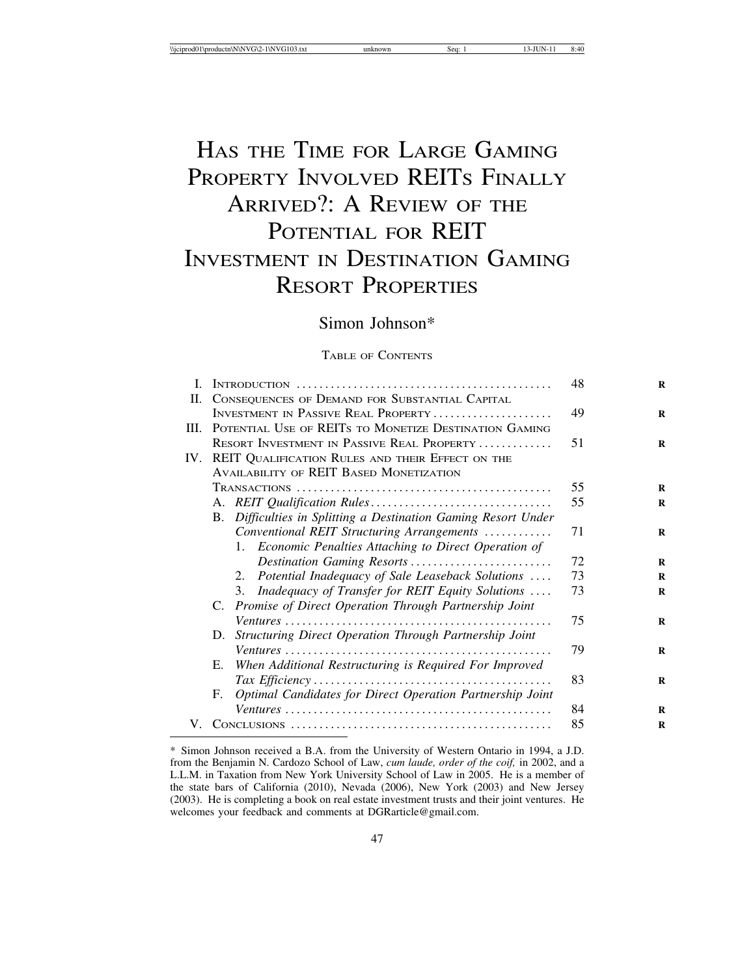# HAS THE TIME FOR LARGE GAMING PROPERTY INVOLVED REITS FINALLY ARRIVED?: A REVIEW OF THE POTENTIAL FOR REIT INVESTMENT IN DESTINATION GAMING RESORT PROPERTIES

# Simon Johnson\*

# TABLE OF CONTENTS

| $\mathbf{I}$ . |                                                                   | 48 | $\bf{R}$ |
|----------------|-------------------------------------------------------------------|----|----------|
| II.            | CONSEQUENCES OF DEMAND FOR SUBSTANTIAL CAPITAL                    |    |          |
|                | INVESTMENT IN PASSIVE REAL PROPERTY                               | 49 | R        |
| III.           | POTENTIAL USE OF REITS TO MONETIZE DESTINATION GAMING             |    |          |
|                | RESORT INVESTMENT IN PASSIVE REAL PROPERTY                        | 51 | $\bf{R}$ |
|                | IV. REIT QUALIFICATION RULES AND THEIR EFFECT ON THE              |    |          |
|                | <b>AVAILABILITY OF REIT BASED MONETIZATION</b>                    |    |          |
|                |                                                                   | 55 | R        |
|                |                                                                   | 55 | R        |
|                | Difficulties in Splitting a Destination Gaming Resort Under<br>B. |    |          |
|                | Conventional REIT Structuring Arrangements                        | 71 | R        |
|                | 1. Economic Penalties Attaching to Direct Operation of            |    |          |
|                | Destination Gaming Resorts                                        | 72 | R        |
|                | Potential Inadequacy of Sale Leaseback Solutions<br>2.            | 73 | R        |
|                | Inadequacy of Transfer for REIT Equity Solutions<br>3.            | 73 | R        |
|                | C. Promise of Direct Operation Through Partnership Joint          |    |          |
|                |                                                                   | 75 | R        |
|                | Structuring Direct Operation Through Partnership Joint<br>D.      |    |          |
|                |                                                                   | 79 | $\bf{R}$ |
|                | When Additional Restructuring is Required For Improved<br>Е.      |    |          |
|                |                                                                   | 83 | $\bf{R}$ |
|                | Optimal Candidates for Direct Operation Partnership Joint<br>F.   |    |          |
|                |                                                                   | 84 | $\bf{R}$ |
| V.             |                                                                   | 85 | R        |

<sup>\*</sup> Simon Johnson received a B.A. from the University of Western Ontario in 1994, a J.D. from the Benjamin N. Cardozo School of Law, *cum laude, order of the coif,* in 2002, and a L.L.M. in Taxation from New York University School of Law in 2005. He is a member of the state bars of California (2010), Nevada (2006), New York (2003) and New Jersey (2003). He is completing a book on real estate investment trusts and their joint ventures. He welcomes your feedback and comments at DGRarticle@gmail.com.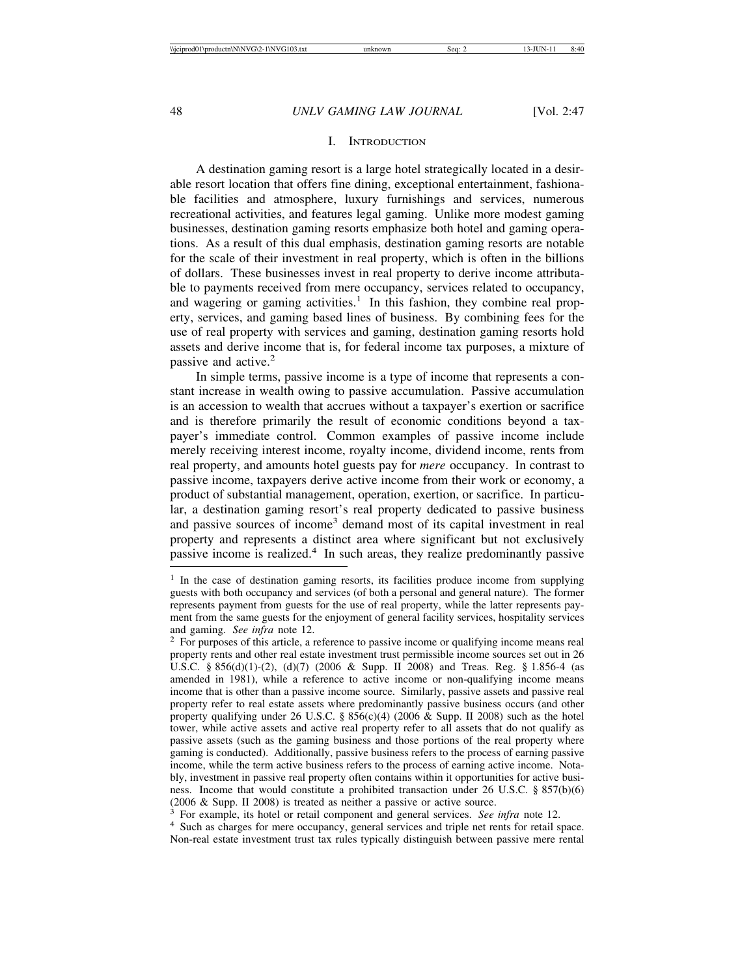# I. INTRODUCTION

A destination gaming resort is a large hotel strategically located in a desirable resort location that offers fine dining, exceptional entertainment, fashionable facilities and atmosphere, luxury furnishings and services, numerous recreational activities, and features legal gaming. Unlike more modest gaming businesses, destination gaming resorts emphasize both hotel and gaming operations. As a result of this dual emphasis, destination gaming resorts are notable for the scale of their investment in real property, which is often in the billions of dollars. These businesses invest in real property to derive income attributable to payments received from mere occupancy, services related to occupancy, and wagering or gaming activities.<sup>1</sup> In this fashion, they combine real property, services, and gaming based lines of business. By combining fees for the use of real property with services and gaming, destination gaming resorts hold assets and derive income that is, for federal income tax purposes, a mixture of passive and active.<sup>2</sup>

In simple terms, passive income is a type of income that represents a constant increase in wealth owing to passive accumulation. Passive accumulation is an accession to wealth that accrues without a taxpayer's exertion or sacrifice and is therefore primarily the result of economic conditions beyond a taxpayer's immediate control. Common examples of passive income include merely receiving interest income, royalty income, dividend income, rents from real property, and amounts hotel guests pay for *mere* occupancy. In contrast to passive income, taxpayers derive active income from their work or economy, a product of substantial management, operation, exertion, or sacrifice. In particular, a destination gaming resort's real property dedicated to passive business and passive sources of income<sup>3</sup> demand most of its capital investment in real property and represents a distinct area where significant but not exclusively passive income is realized.4 In such areas, they realize predominantly passive

<sup>3</sup> For example, its hotel or retail component and general services. *See infra* note 12. <sup>4</sup> Such as charges for mere occupancy, general services and triple net rents for retail space. Non-real estate investment trust tax rules typically distinguish between passive mere rental

<sup>&</sup>lt;sup>1</sup> In the case of destination gaming resorts, its facilities produce income from supplying guests with both occupancy and services (of both a personal and general nature). The former represents payment from guests for the use of real property, while the latter represents payment from the same guests for the enjoyment of general facility services, hospitality services

and gaming. *See infra* note 12.<br><sup>2</sup> For purposes of this article, a reference to passive income or qualifying income means real property rents and other real estate investment trust permissible income sources set out in 26 U.S.C. § 856(d)(1)-(2), (d)(7) (2006 & Supp. II 2008) and Treas. Reg. § 1.856-4 (as amended in 1981), while a reference to active income or non-qualifying income means income that is other than a passive income source. Similarly, passive assets and passive real property refer to real estate assets where predominantly passive business occurs (and other property qualifying under 26 U.S.C. § 856(c)(4) (2006 & Supp. II 2008) such as the hotel tower, while active assets and active real property refer to all assets that do not qualify as passive assets (such as the gaming business and those portions of the real property where gaming is conducted). Additionally, passive business refers to the process of earning passive income, while the term active business refers to the process of earning active income. Notably, investment in passive real property often contains within it opportunities for active business. Income that would constitute a prohibited transaction under 26 U.S.C. § 857(b)(6) (2006 & Supp. II 2008) is treated as neither a passive or active source.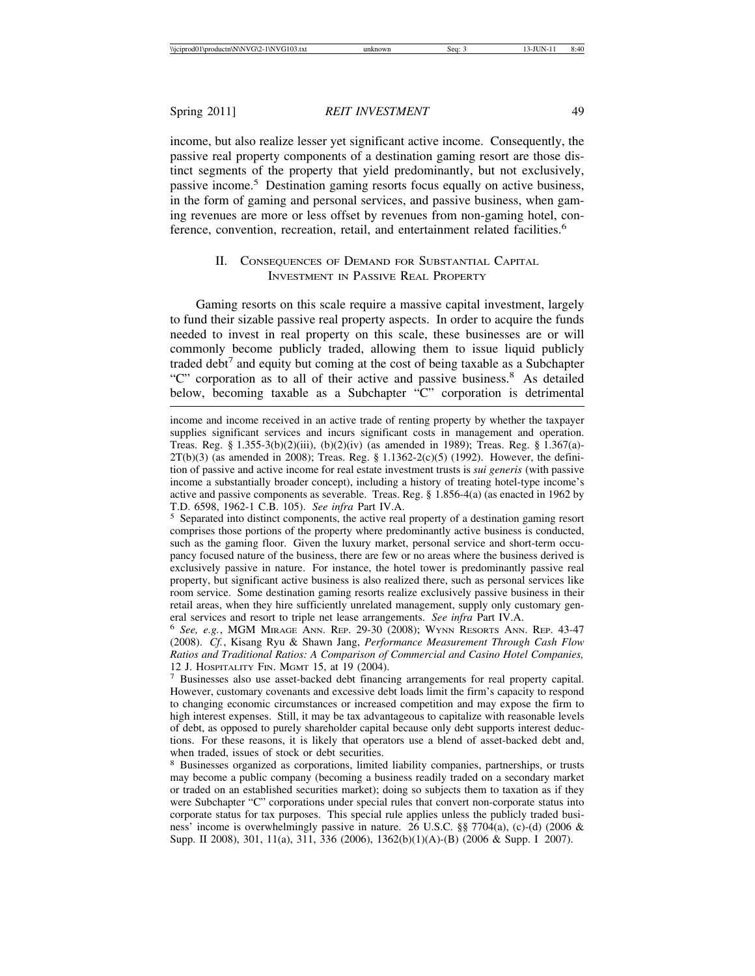income, but also realize lesser yet significant active income. Consequently, the passive real property components of a destination gaming resort are those distinct segments of the property that yield predominantly, but not exclusively, passive income.5 Destination gaming resorts focus equally on active business, in the form of gaming and personal services, and passive business, when gaming revenues are more or less offset by revenues from non-gaming hotel, conference, convention, recreation, retail, and entertainment related facilities.<sup>6</sup>

# II. CONSEQUENCES OF DEMAND FOR SUBSTANTIAL CAPITAL INVESTMENT IN PASSIVE REAL PROPERTY

Gaming resorts on this scale require a massive capital investment, largely to fund their sizable passive real property aspects. In order to acquire the funds needed to invest in real property on this scale, these businesses are or will commonly become publicly traded, allowing them to issue liquid publicly traded debt<sup>7</sup> and equity but coming at the cost of being taxable as a Subchapter "C" corporation as to all of their active and passive business.<sup>8</sup> As detailed below, becoming taxable as a Subchapter "C" corporation is detrimental

income and income received in an active trade of renting property by whether the taxpayer supplies significant services and incurs significant costs in management and operation. Treas. Reg. §  $1.355-3(b)(2)(iii)$ ,  $(b)(2)(iv)$  (as amended in 1989); Treas. Reg. §  $1.367(a)$ - $2T(b)(3)$  (as amended in 2008); Treas. Reg. § 1.1362-2(c)(5) (1992). However, the definition of passive and active income for real estate investment trusts is *sui generis* (with passive income a substantially broader concept), including a history of treating hotel-type income's active and passive components as severable. Treas. Reg. § 1.856-4(a) (as enacted in 1962 by T.D. 6598, 1962-1 C.B. 105). *See infra* Part IV.A. <sup>5</sup> Separated into distinct components, the active real property of a destination gaming resort

comprises those portions of the property where predominantly active business is conducted, such as the gaming floor. Given the luxury market, personal service and short-term occupancy focused nature of the business, there are few or no areas where the business derived is exclusively passive in nature. For instance, the hotel tower is predominantly passive real property, but significant active business is also realized there, such as personal services like room service. Some destination gaming resorts realize exclusively passive business in their retail areas, when they hire sufficiently unrelated management, supply only customary gen-

eral services and resort to triple net lease arrangements. *See infra* Part IV.A. <sup>6</sup> *See, e.g.*, MGM MIRAGE ANN. REP. 29-30 (2008); WYNN RESORTS ANN. REP. 43-47 (2008). *Cf.*, Kisang Ryu & Shawn Jang, *Performance Measurement Through Cash Flow Ratios and Traditional Ratios: A Comparison of Commercial and Casino Hotel Companies,* 12 J. HOSPITALITY FIN. MGMT 15, at 19 (2004). <sup>7</sup> Businesses also use asset-backed debt financing arrangements for real property capital.

However, customary covenants and excessive debt loads limit the firm's capacity to respond to changing economic circumstances or increased competition and may expose the firm to high interest expenses. Still, it may be tax advantageous to capitalize with reasonable levels of debt, as opposed to purely shareholder capital because only debt supports interest deductions. For these reasons, it is likely that operators use a blend of asset-backed debt and, when traded, issues of stock or debt securities.

<sup>8</sup> Businesses organized as corporations, limited liability companies, partnerships, or trusts may become a public company (becoming a business readily traded on a secondary market or traded on an established securities market); doing so subjects them to taxation as if they were Subchapter "C" corporations under special rules that convert non-corporate status into corporate status for tax purposes. This special rule applies unless the publicly traded business' income is overwhelmingly passive in nature. 26 U.S.C. §§ 7704(a), (c)-(d) (2006 & Supp. II 2008), 301, 11(a), 311, 336 (2006), 1362(b)(1)(A)-(B) (2006 & Supp. I 2007).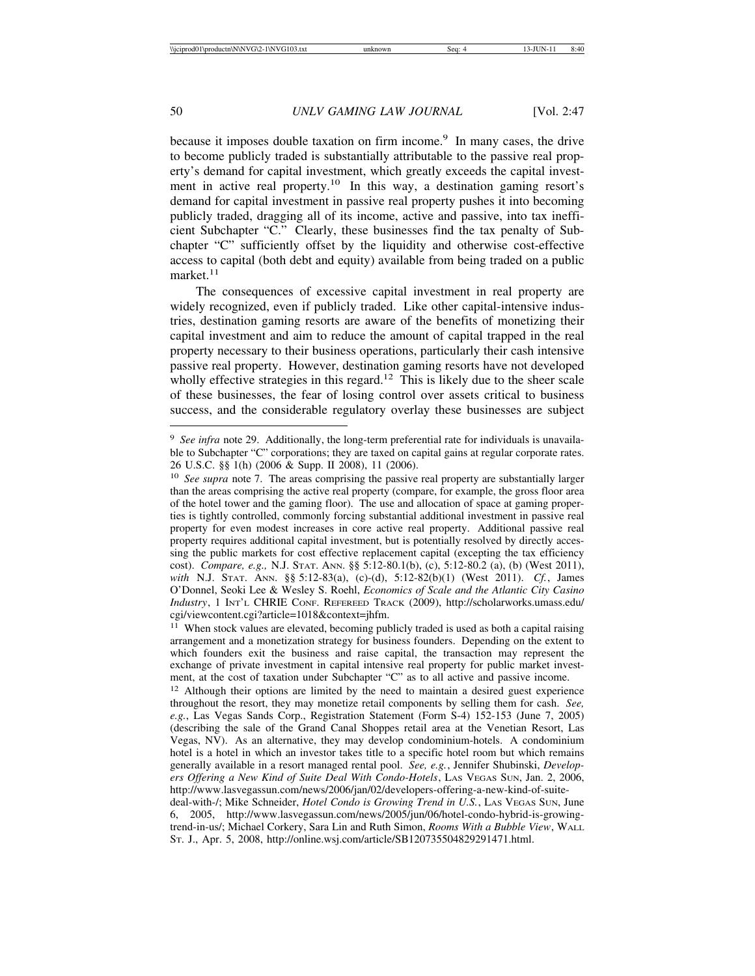because it imposes double taxation on firm income.<sup>9</sup> In many cases, the drive to become publicly traded is substantially attributable to the passive real property's demand for capital investment, which greatly exceeds the capital investment in active real property.<sup>10</sup> In this way, a destination gaming resort's demand for capital investment in passive real property pushes it into becoming publicly traded, dragging all of its income, active and passive, into tax inefficient Subchapter "C." Clearly, these businesses find the tax penalty of Subchapter "C" sufficiently offset by the liquidity and otherwise cost-effective access to capital (both debt and equity) available from being traded on a public market. $11$ 

The consequences of excessive capital investment in real property are widely recognized, even if publicly traded. Like other capital-intensive industries, destination gaming resorts are aware of the benefits of monetizing their capital investment and aim to reduce the amount of capital trapped in the real property necessary to their business operations, particularly their cash intensive passive real property. However, destination gaming resorts have not developed wholly effective strategies in this regard.<sup>12</sup> This is likely due to the sheer scale of these businesses, the fear of losing control over assets critical to business success, and the considerable regulatory overlay these businesses are subject

<sup>&</sup>lt;sup>9</sup> See infra note 29. Additionally, the long-term preferential rate for individuals is unavailable to Subchapter "C" corporations; they are taxed on capital gains at regular corporate rates. 26 U.S.C. §§ 1(h) (2006 & Supp. II 2008), 11 (2006).

<sup>&</sup>lt;sup>10</sup> *See supra* note 7. The areas comprising the passive real property are substantially larger than the areas comprising the active real property (compare, for example, the gross floor area of the hotel tower and the gaming floor). The use and allocation of space at gaming properties is tightly controlled, commonly forcing substantial additional investment in passive real property for even modest increases in core active real property. Additional passive real property requires additional capital investment, but is potentially resolved by directly accessing the public markets for cost effective replacement capital (excepting the tax efficiency cost). *Compare, e.g.,* N.J. STAT. ANN. §§ 5:12-80.1(b), (c), 5:12-80.2 (a), (b) (West 2011), *with* N.J. STAT. ANN. §§ 5:12-83(a), (c)-(d), 5:12-82(b)(1) (West 2011). *Cf.*, James O'Donnel, Seoki Lee & Wesley S. Roehl, *Economics of Scale and the Atlantic City Casino Industry*, 1 INT'L CHRIE CONF. REFEREED TRACK (2009), http://scholarworks.umass.edu/ cgi/viewcontent.cgi?article=1018&context=jhfm.

<sup>&</sup>lt;sup>11</sup> When stock values are elevated, becoming publicly traded is used as both a capital raising arrangement and a monetization strategy for business founders. Depending on the extent to which founders exit the business and raise capital, the transaction may represent the exchange of private investment in capital intensive real property for public market investment, at the cost of taxation under Subchapter "C" as to all active and passive income.

<sup>&</sup>lt;sup>12</sup> Although their options are limited by the need to maintain a desired guest experience throughout the resort, they may monetize retail components by selling them for cash. *See, e.g.*, Las Vegas Sands Corp., Registration Statement (Form S-4) 152-153 (June 7, 2005) (describing the sale of the Grand Canal Shoppes retail area at the Venetian Resort, Las Vegas, NV). As an alternative, they may develop condominium-hotels. A condominium hotel is a hotel in which an investor takes title to a specific hotel room but which remains generally available in a resort managed rental pool. *See, e.g.*, Jennifer Shubinski, *Developers Offering a New Kind of Suite Deal With Condo-Hotels*, LAS VEGAS SUN, Jan. 2, 2006, http://www.lasvegassun.com/news/2006/jan/02/developers-offering-a-new-kind-of-suite-

deal-with-/; Mike Schneider, *Hotel Condo is Growing Trend in U.S.*, Las VEGAS SUN, June 6, 2005, http://www.lasvegassun.com/news/2005/jun/06/hotel-condo-hybrid-is-growingtrend-in-us/; Michael Corkery, Sara Lin and Ruth Simon, *Rooms With a Bubble View*, WALL ST. J., Apr. 5, 2008, http://online.wsj.com/article/SB120735504829291471.html.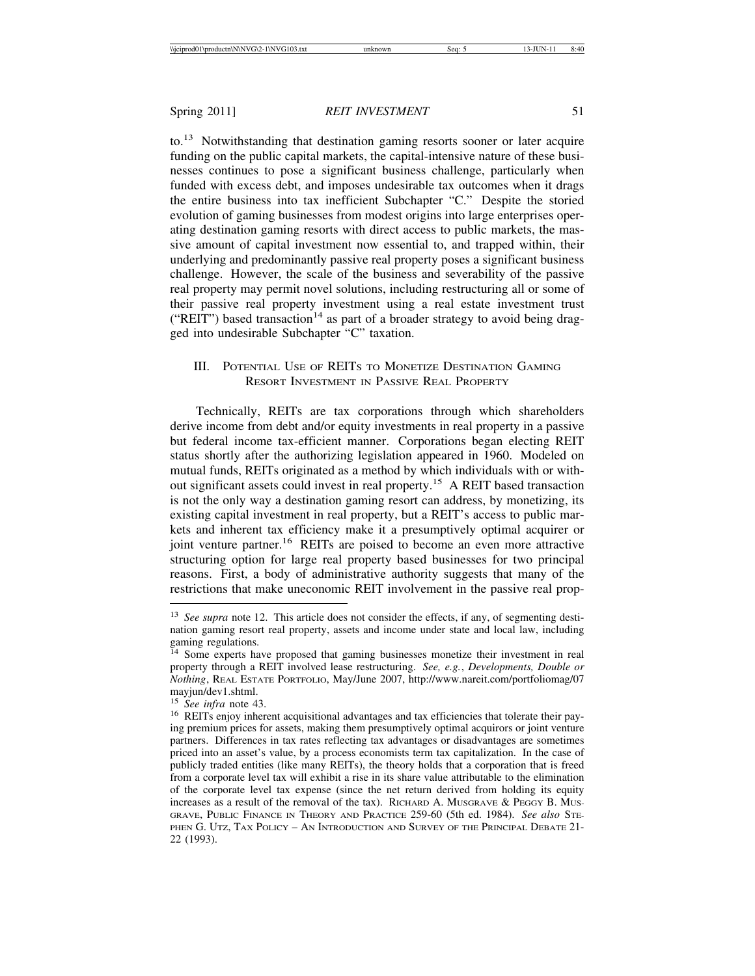to.13 Notwithstanding that destination gaming resorts sooner or later acquire funding on the public capital markets, the capital-intensive nature of these businesses continues to pose a significant business challenge, particularly when funded with excess debt, and imposes undesirable tax outcomes when it drags the entire business into tax inefficient Subchapter "C." Despite the storied evolution of gaming businesses from modest origins into large enterprises operating destination gaming resorts with direct access to public markets, the massive amount of capital investment now essential to, and trapped within, their underlying and predominantly passive real property poses a significant business challenge. However, the scale of the business and severability of the passive real property may permit novel solutions, including restructuring all or some of their passive real property investment using a real estate investment trust ("REIT") based transaction<sup>14</sup> as part of a broader strategy to avoid being dragged into undesirable Subchapter "C" taxation.

# III. POTENTIAL USE OF REITS TO MONETIZE DESTINATION GAMING RESORT INVESTMENT IN PASSIVE REAL PROPERTY

Technically, REITs are tax corporations through which shareholders derive income from debt and/or equity investments in real property in a passive but federal income tax-efficient manner. Corporations began electing REIT status shortly after the authorizing legislation appeared in 1960. Modeled on mutual funds, REITs originated as a method by which individuals with or without significant assets could invest in real property.15 A REIT based transaction is not the only way a destination gaming resort can address, by monetizing, its existing capital investment in real property, but a REIT's access to public markets and inherent tax efficiency make it a presumptively optimal acquirer or joint venture partner.<sup>16</sup> REITs are poised to become an even more attractive structuring option for large real property based businesses for two principal reasons. First, a body of administrative authority suggests that many of the restrictions that make uneconomic REIT involvement in the passive real prop-

<sup>&</sup>lt;sup>13</sup> See supra note 12. This article does not consider the effects, if any, of segmenting destination gaming resort real property, assets and income under state and local law, including gaming regulations.

<sup>&</sup>lt;sup>14</sup> Some experts have proposed that gaming businesses monetize their investment in real property through a REIT involved lease restructuring. *See, e.g.*, *Developments, Double or Nothing*, REAL ESTATE PORTFOLIO, May/June 2007, http://www.nareit.com/portfoliomag/07 mayjun/dev1.shtml.<br><sup>15</sup> See infra note 43.

<sup>&</sup>lt;sup>16</sup> REITs enjoy inherent acquisitional advantages and tax efficiencies that tolerate their paying premium prices for assets, making them presumptively optimal acquirors or joint venture partners. Differences in tax rates reflecting tax advantages or disadvantages are sometimes priced into an asset's value, by a process economists term tax capitalization. In the case of publicly traded entities (like many REITs), the theory holds that a corporation that is freed from a corporate level tax will exhibit a rise in its share value attributable to the elimination of the corporate level tax expense (since the net return derived from holding its equity increases as a result of the removal of the tax). RICHARD A. MUSGRAVE & PEGGY B. MUS-GRAVE, PUBLIC FINANCE IN THEORY AND PRACTICE 259-60 (5th ed. 1984). *See also* STE-PHEN G. UTZ, TAX POLICY – AN INTRODUCTION AND SURVEY OF THE PRINCIPAL DEBATE 21-22 (1993).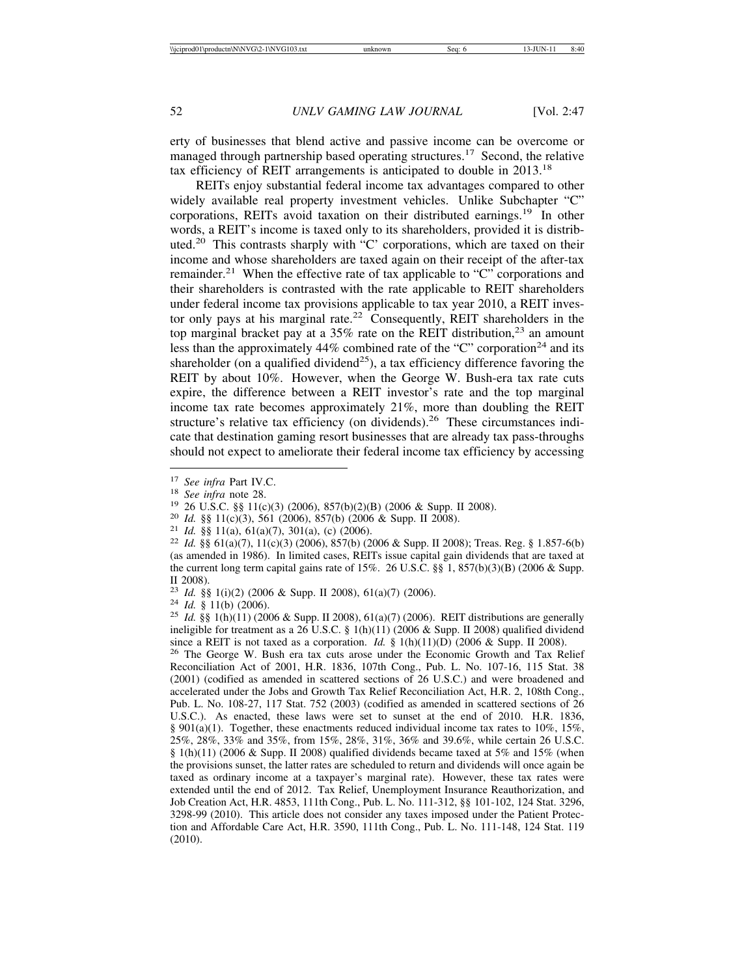erty of businesses that blend active and passive income can be overcome or managed through partnership based operating structures.<sup>17</sup> Second, the relative tax efficiency of REIT arrangements is anticipated to double in 2013.<sup>18</sup>

REITs enjoy substantial federal income tax advantages compared to other widely available real property investment vehicles. Unlike Subchapter "C" corporations, REITs avoid taxation on their distributed earnings.<sup>19</sup> In other words, a REIT's income is taxed only to its shareholders, provided it is distributed.20 This contrasts sharply with "C' corporations, which are taxed on their income and whose shareholders are taxed again on their receipt of the after-tax remainder.<sup>21</sup> When the effective rate of tax applicable to "C" corporations and their shareholders is contrasted with the rate applicable to REIT shareholders under federal income tax provisions applicable to tax year 2010, a REIT investor only pays at his marginal rate.<sup>22</sup> Consequently, REIT shareholders in the top marginal bracket pay at a  $35\%$  rate on the REIT distribution,<sup>23</sup> an amount less than the approximately  $44\%$  combined rate of the "C" corporation<sup>24</sup> and its shareholder (on a qualified dividend<sup>25</sup>), a tax efficiency difference favoring the REIT by about 10%. However, when the George W. Bush-era tax rate cuts expire, the difference between a REIT investor's rate and the top marginal income tax rate becomes approximately 21%, more than doubling the REIT structure's relative tax efficiency (on dividends).<sup>26</sup> These circumstances indicate that destination gaming resort businesses that are already tax pass-throughs should not expect to ameliorate their federal income tax efficiency by accessing

<sup>26</sup> The George W. Bush era tax cuts arose under the Economic Growth and Tax Relief Reconciliation Act of 2001, H.R. 1836, 107th Cong., Pub. L. No. 107-16, 115 Stat. 38 (2001) (codified as amended in scattered sections of 26 U.S.C.) and were broadened and accelerated under the Jobs and Growth Tax Relief Reconciliation Act, H.R. 2, 108th Cong., Pub. L. No. 108-27, 117 Stat. 752 (2003) (codified as amended in scattered sections of 26 U.S.C.). As enacted, these laws were set to sunset at the end of 2010. H.R. 1836, § 901(a)(1). Together, these enactments reduced individual income tax rates to 10%, 15%, 25%, 28%, 33% and 35%, from 15%, 28%, 31%, 36% and 39.6%, while certain 26 U.S.C. § 1(h)(11) (2006 & Supp. II 2008) qualified dividends became taxed at 5% and 15% (when the provisions sunset, the latter rates are scheduled to return and dividends will once again be taxed as ordinary income at a taxpayer's marginal rate). However, these tax rates were extended until the end of 2012. Tax Relief, Unemployment Insurance Reauthorization, and Job Creation Act, H.R. 4853, 111th Cong., Pub. L. No. 111-312, §§ 101-102, 124 Stat. 3296, 3298-99 (2010). This article does not consider any taxes imposed under the Patient Protection and Affordable Care Act, H.R. 3590, 111th Cong., Pub. L. No. 111-148, 124 Stat. 119 (2010).

<sup>&</sup>lt;sup>17</sup> See infra Part IV.C.<br>
<sup>18</sup> See infra note 28.<br>
<sup>19</sup> 26 U.S.C. §§ 11(c)(3) (2006), 857(b)(2)(B) (2006 & Supp. II 2008).<br>
<sup>20</sup> Id. §§ 11(c)(3), 561 (2006), 857(b) (2006 & Supp. II 2008).<br>
<sup>21</sup> Id. §§ 11(a), 61(a)(7), 3 (as amended in 1986). In limited cases, REITs issue capital gain dividends that are taxed at the current long term capital gains rate of 15%. 26 U.S.C. §§ 1, 857(b)(3)(B) (2006 & Supp. II 2008).

<sup>23</sup> *Id.* §§ 1(i)(2) (2006 & Supp. II 2008), 61(a)(7) (2006). <sup>24</sup> *Id.* § 11(b) (2006). <sup>25</sup> *Id.* §§ 1(h)(11) (2006 & Supp. II 2008), 61(a)(7) (2006). REIT distributions are generally ineligible for treatment as a 26 U.S.C. § 1(h)(11) (2006 & Supp. II 2008) qualified dividend since a REIT is not taxed as a corporation. *Id.* § 1(h)(11)(D) (2006 & Supp. II 2008).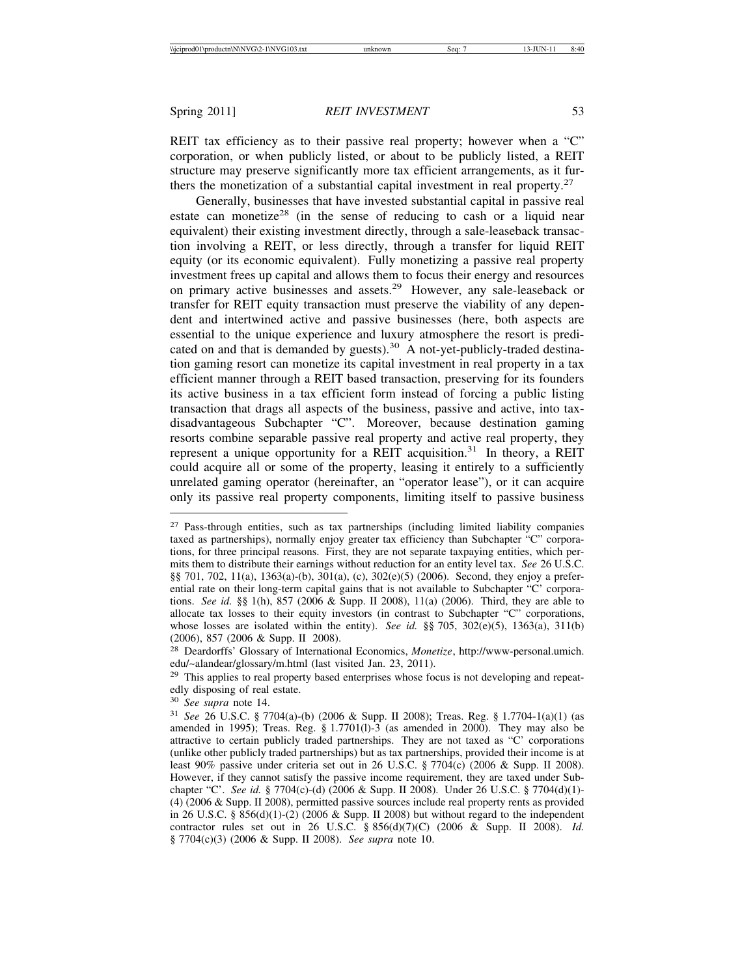REIT tax efficiency as to their passive real property; however when a "C" corporation, or when publicly listed, or about to be publicly listed, a REIT structure may preserve significantly more tax efficient arrangements, as it furthers the monetization of a substantial capital investment in real property.<sup>27</sup>

Generally, businesses that have invested substantial capital in passive real estate can monetize<sup>28</sup> (in the sense of reducing to cash or a liquid near equivalent) their existing investment directly, through a sale-leaseback transaction involving a REIT, or less directly, through a transfer for liquid REIT equity (or its economic equivalent). Fully monetizing a passive real property investment frees up capital and allows them to focus their energy and resources on primary active businesses and assets.<sup>29</sup> However, any sale-leaseback or transfer for REIT equity transaction must preserve the viability of any dependent and intertwined active and passive businesses (here, both aspects are essential to the unique experience and luxury atmosphere the resort is predicated on and that is demanded by guests).<sup>30</sup> A not-yet-publicly-traded destination gaming resort can monetize its capital investment in real property in a tax efficient manner through a REIT based transaction, preserving for its founders its active business in a tax efficient form instead of forcing a public listing transaction that drags all aspects of the business, passive and active, into taxdisadvantageous Subchapter "C". Moreover, because destination gaming resorts combine separable passive real property and active real property, they represent a unique opportunity for a REIT acquisition.<sup>31</sup> In theory, a REIT could acquire all or some of the property, leasing it entirely to a sufficiently unrelated gaming operator (hereinafter, an "operator lease"), or it can acquire only its passive real property components, limiting itself to passive business

<sup>27</sup> Pass-through entities, such as tax partnerships (including limited liability companies taxed as partnerships), normally enjoy greater tax efficiency than Subchapter "C" corporations, for three principal reasons. First, they are not separate taxpaying entities, which permits them to distribute their earnings without reduction for an entity level tax. *See* 26 U.S.C. §§ 701, 702, 11(a), 1363(a)-(b), 301(a), (c), 302(e)(5) (2006). Second, they enjoy a preferential rate on their long-term capital gains that is not available to Subchapter "C' corporations. *See id.* §§ 1(h), 857 (2006 & Supp. II 2008), 11(a) (2006). Third, they are able to allocate tax losses to their equity investors (in contrast to Subchapter "C" corporations, whose losses are isolated within the entity). *See id.* §§ 705, 302(e)(5), 1363(a), 311(b) (2006), 857 (2006 & Supp. II 2008).

<sup>28</sup> Deardorffs' Glossary of International Economics, *Monetize*, http://www-personal.umich. edu/~alandear/glossary/m.html (last visited Jan. 23, 2011).

 $29$  This applies to real property based enterprises whose focus is not developing and repeatedly disposing of real estate.

<sup>30</sup> *See supra* note 14.

<sup>31</sup> *See* 26 U.S.C. § 7704(a)-(b) (2006 & Supp. II 2008); Treas. Reg. § 1.7704-1(a)(1) (as amended in 1995); Treas. Reg.  $\S$  1.7701(1)-3 (as amended in 2000). They may also be attractive to certain publicly traded partnerships. They are not taxed as "C' corporations (unlike other publicly traded partnerships) but as tax partnerships, provided their income is at least 90% passive under criteria set out in 26 U.S.C. § 7704(c) (2006 & Supp. II 2008). However, if they cannot satisfy the passive income requirement, they are taxed under Subchapter "C'. *See id.* § 7704(c)-(d) (2006 & Supp. II 2008). Under 26 U.S.C. § 7704(d)(1)- (4) (2006 & Supp. II 2008), permitted passive sources include real property rents as provided in 26 U.S.C. § 856(d)(1)-(2) (2006 & Supp. II 2008) but without regard to the independent contractor rules set out in 26 U.S.C. § 856(d)(7)(C) (2006 & Supp. II 2008). *Id.* § 7704(c)(3) (2006 & Supp. II 2008). *See supra* note 10.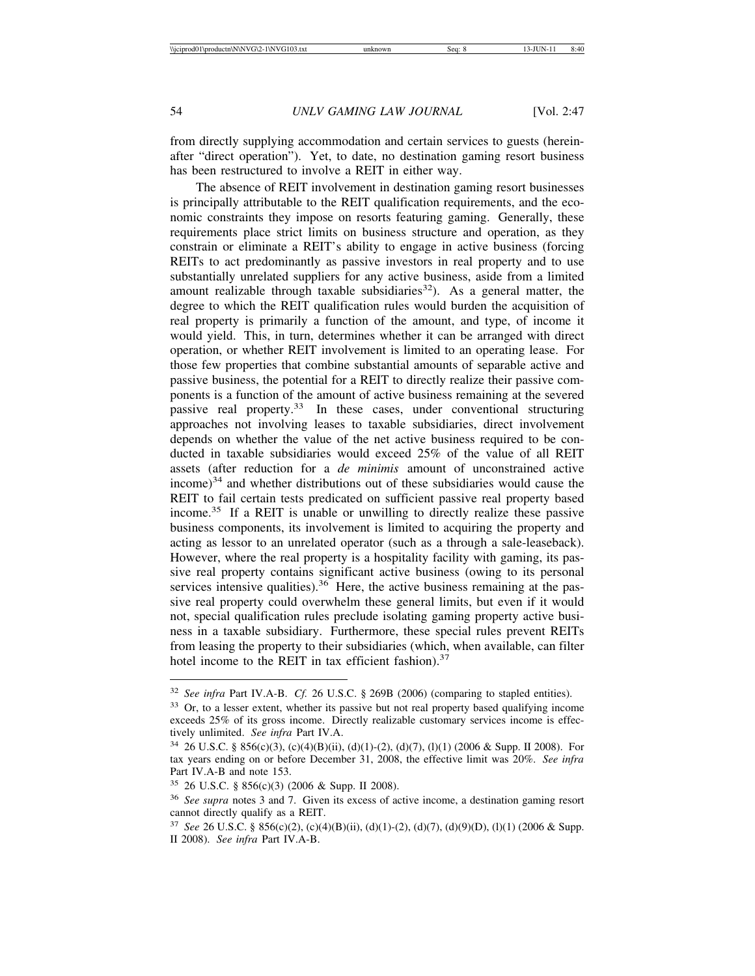from directly supplying accommodation and certain services to guests (hereinafter "direct operation"). Yet, to date, no destination gaming resort business has been restructured to involve a REIT in either way.

The absence of REIT involvement in destination gaming resort businesses is principally attributable to the REIT qualification requirements, and the economic constraints they impose on resorts featuring gaming. Generally, these requirements place strict limits on business structure and operation, as they constrain or eliminate a REIT's ability to engage in active business (forcing REITs to act predominantly as passive investors in real property and to use substantially unrelated suppliers for any active business, aside from a limited amount realizable through taxable subsidiaries<sup>32</sup>). As a general matter, the degree to which the REIT qualification rules would burden the acquisition of real property is primarily a function of the amount, and type, of income it would yield. This, in turn, determines whether it can be arranged with direct operation, or whether REIT involvement is limited to an operating lease. For those few properties that combine substantial amounts of separable active and passive business, the potential for a REIT to directly realize their passive components is a function of the amount of active business remaining at the severed passive real property.<sup>33</sup> In these cases, under conventional structuring approaches not involving leases to taxable subsidiaries, direct involvement depends on whether the value of the net active business required to be conducted in taxable subsidiaries would exceed 25% of the value of all REIT assets (after reduction for a *de minimis* amount of unconstrained active  $income$ <sup>34</sup> and whether distributions out of these subsidiaries would cause the REIT to fail certain tests predicated on sufficient passive real property based income.35 If a REIT is unable or unwilling to directly realize these passive business components, its involvement is limited to acquiring the property and acting as lessor to an unrelated operator (such as a through a sale-leaseback). However, where the real property is a hospitality facility with gaming, its passive real property contains significant active business (owing to its personal services intensive qualities).<sup>36</sup> Here, the active business remaining at the passive real property could overwhelm these general limits, but even if it would not, special qualification rules preclude isolating gaming property active business in a taxable subsidiary. Furthermore, these special rules prevent REITs from leasing the property to their subsidiaries (which, when available, can filter hotel income to the REIT in tax efficient fashion).<sup>37</sup>

<sup>32</sup> *See infra* Part IV.A-B. *Cf.* 26 U.S.C. § 269B (2006) (comparing to stapled entities).

<sup>&</sup>lt;sup>33</sup> Or, to a lesser extent, whether its passive but not real property based qualifying income exceeds 25% of its gross income. Directly realizable customary services income is effectively unlimited. *See infra* Part IV.A.

<sup>34</sup> 26 U.S.C. § 856(c)(3), (c)(4)(B)(ii), (d)(1)-(2), (d)(7), (l)(1) (2006 & Supp. II 2008). For tax years ending on or before December 31, 2008, the effective limit was 20%. *See infra* Part IV.A-B and note 153.

<sup>35</sup> 26 U.S.C. § 856(c)(3) (2006 & Supp. II 2008).

<sup>36</sup> *See supra* notes 3 and 7. Given its excess of active income, a destination gaming resort cannot directly qualify as a REIT.

<sup>37</sup> *See* 26 U.S.C. § 856(c)(2), (c)(4)(B)(ii), (d)(1)-(2), (d)(7), (d)(9)(D), (l)(1) (2006 & Supp. II 2008). *See infra* Part IV.A-B.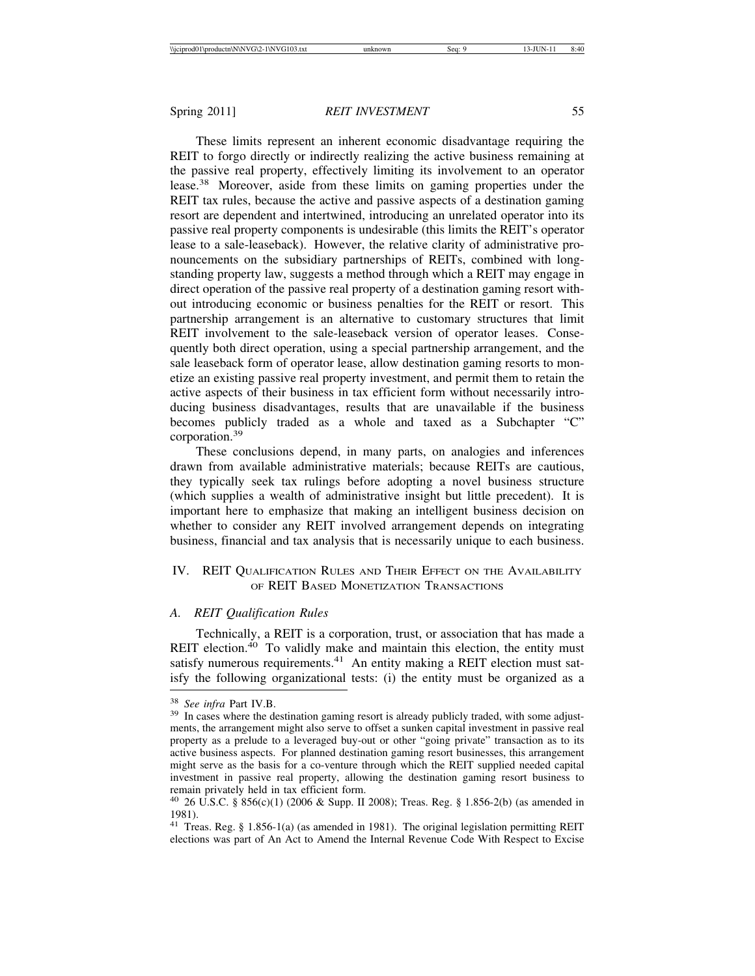These limits represent an inherent economic disadvantage requiring the REIT to forgo directly or indirectly realizing the active business remaining at the passive real property, effectively limiting its involvement to an operator lease.38 Moreover, aside from these limits on gaming properties under the REIT tax rules, because the active and passive aspects of a destination gaming resort are dependent and intertwined, introducing an unrelated operator into its passive real property components is undesirable (this limits the REIT's operator lease to a sale-leaseback). However, the relative clarity of administrative pronouncements on the subsidiary partnerships of REITs, combined with longstanding property law, suggests a method through which a REIT may engage in direct operation of the passive real property of a destination gaming resort without introducing economic or business penalties for the REIT or resort. This partnership arrangement is an alternative to customary structures that limit REIT involvement to the sale-leaseback version of operator leases. Consequently both direct operation, using a special partnership arrangement, and the sale leaseback form of operator lease, allow destination gaming resorts to monetize an existing passive real property investment, and permit them to retain the active aspects of their business in tax efficient form without necessarily introducing business disadvantages, results that are unavailable if the business becomes publicly traded as a whole and taxed as a Subchapter "C" corporation.<sup>39</sup>

These conclusions depend, in many parts, on analogies and inferences drawn from available administrative materials; because REITs are cautious, they typically seek tax rulings before adopting a novel business structure (which supplies a wealth of administrative insight but little precedent). It is important here to emphasize that making an intelligent business decision on whether to consider any REIT involved arrangement depends on integrating business, financial and tax analysis that is necessarily unique to each business.

# IV. REIT QUALIFICATION RULES AND THEIR EFFECT ON THE AVAILABILITY OF REIT BASED MONETIZATION TRANSACTIONS

#### *A. REIT Qualification Rules*

Technically, a REIT is a corporation, trust, or association that has made a REIT election.<sup>40</sup> To validly make and maintain this election, the entity must satisfy numerous requirements. $41$  An entity making a REIT election must satisfy the following organizational tests: (i) the entity must be organized as a

<sup>&</sup>lt;sup>38</sup> *See infra* Part IV.B.<br><sup>39</sup> In cases where the destination gaming resort is already publicly traded, with some adjustments, the arrangement might also serve to offset a sunken capital investment in passive real property as a prelude to a leveraged buy-out or other "going private" transaction as to its active business aspects. For planned destination gaming resort businesses, this arrangement might serve as the basis for a co-venture through which the REIT supplied needed capital investment in passive real property, allowing the destination gaming resort business to remain privately held in tax efficient form.

<sup>40</sup> 26 U.S.C. § 856(c)(1) (2006 & Supp. II 2008); Treas. Reg. § 1.856-2(b) (as amended in 1981).

<sup>41</sup> Treas. Reg. § 1.856-1(a) (as amended in 1981). The original legislation permitting REIT elections was part of An Act to Amend the Internal Revenue Code With Respect to Excise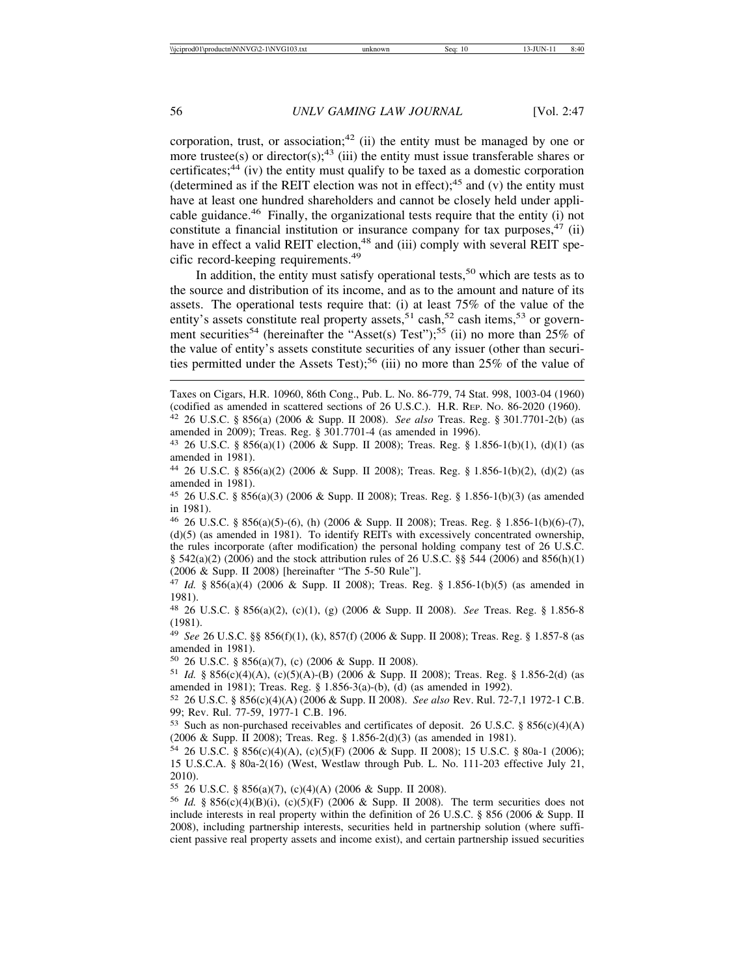corporation, trust, or association;<sup>42</sup> (ii) the entity must be managed by one or more trustee(s) or director(s);<sup>43</sup> (iii) the entity must issue transferable shares or certificates; $44$  (iv) the entity must qualify to be taxed as a domestic corporation (determined as if the REIT election was not in effect);<sup>45</sup> and (v) the entity must have at least one hundred shareholders and cannot be closely held under applicable guidance.46 Finally, the organizational tests require that the entity (i) not constitute a financial institution or insurance company for tax purposes,  $47$  (ii) have in effect a valid REIT election,<sup>48</sup> and (iii) comply with several REIT specific record-keeping requirements.<sup>49</sup>

In addition, the entity must satisfy operational tests,  $50$  which are tests as to the source and distribution of its income, and as to the amount and nature of its assets. The operational tests require that: (i) at least 75% of the value of the entity's assets constitute real property assets,<sup>51</sup> cash,<sup>52</sup> cash items,<sup>53</sup> or government securities<sup>54</sup> (hereinafter the "Asset(s) Test");<sup>55</sup> (ii) no more than  $25\%$  of the value of entity's assets constitute securities of any issuer (other than securities permitted under the Assets Test);<sup>56</sup> (iii) no more than  $25\%$  of the value of

<sup>46</sup> 26 U.S.C. § 856(a)(5)-(6), (h) (2006 & Supp. II 2008); Treas. Reg. § 1.856-1(b)(6)-(7), (d)(5) (as amended in 1981). To identify REITs with excessively concentrated ownership, the rules incorporate (after modification) the personal holding company test of 26 U.S.C. § 542(a)(2) (2006) and the stock attribution rules of 26 U.S.C. §§ 544 (2006) and 856(h)(1) (2006 & Supp. II 2008) [hereinafter "The 5-50 Rule"].

<sup>47</sup> *Id.* § 856(a)(4) (2006 & Supp. II 2008); Treas. Reg. § 1.856-1(b)(5) (as amended in 1981).

<sup>48</sup> 26 U.S.C. § 856(a)(2), (c)(1), (g) (2006 & Supp. II 2008). *See* Treas. Reg. § 1.856-8 (1981).

<sup>49</sup> *See* 26 U.S.C. §§ 856(f)(1), (k), 857(f) (2006 & Supp. II 2008); Treas. Reg. § 1.857-8 (as amended in 1981).

<sup>50</sup> 26 U.S.C. § 856(a)(7), (c) (2006 & Supp. II 2008).

<sup>51</sup> *Id.* § 856(c)(4)(A), (c)(5)(A)-(B) (2006 & Supp. II 2008); Treas. Reg. § 1.856-2(d) (as amended in 1981); Treas. Reg. § 1.856-3(a)-(b), (d) (as amended in 1992).

<sup>52</sup> 26 U.S.C. § 856(c)(4)(A) (2006 & Supp. II 2008). *See also* Rev. Rul. 72-7,1 1972-1 C.B. 99; Rev. Rul. 77-59, 1977-1 C.B. 196.

<sup>53</sup> Such as non-purchased receivables and certificates of deposit. 26 U.S.C. § 856(c)(4)(A) (2006 & Supp. II 2008); Treas. Reg. § 1.856-2(d)(3) (as amended in 1981).

<sup>54</sup> 26 U.S.C. § 856(c)(4)(A), (c)(5)(F) (2006 & Supp. II 2008); 15 U.S.C. § 80a-1 (2006); 15 U.S.C.A. § 80a-2(16) (West, Westlaw through Pub. L. No. 111-203 effective July 21, 2010).

<sup>55</sup> 26 U.S.C. § 856(a)(7), (c)(4)(A) (2006 & Supp. II 2008).

<sup>56</sup> *Id.* § 856(c)(4)(B)(i), (c)(5)(F) (2006 & Supp. II 2008). The term securities does not include interests in real property within the definition of 26 U.S.C. § 856 (2006 & Supp. II 2008), including partnership interests, securities held in partnership solution (where sufficient passive real property assets and income exist), and certain partnership issued securities

Taxes on Cigars, H.R. 10960, 86th Cong., Pub. L. No. 86-779, 74 Stat. 998, 1003-04 (1960) (codified as amended in scattered sections of 26 U.S.C.). H.R. REP. NO. 86-2020 (1960). <sup>42</sup> 26 U.S.C. § 856(a) (2006 & Supp. II 2008). *See also* Treas. Reg. § 301.7701-2(b) (as amended in 2009); Treas. Reg. § 301.7701-4 (as amended in 1996).

<sup>43</sup> 26 U.S.C. § 856(a)(1) (2006 & Supp. II 2008); Treas. Reg. § 1.856-1(b)(1), (d)(1) (as amended in 1981).

<sup>44</sup> 26 U.S.C. § 856(a)(2) (2006 & Supp. II 2008); Treas. Reg. § 1.856-1(b)(2), (d)(2) (as amended in 1981).

<sup>45</sup> 26 U.S.C. § 856(a)(3) (2006 & Supp. II 2008); Treas. Reg. § 1.856-1(b)(3) (as amended in 1981).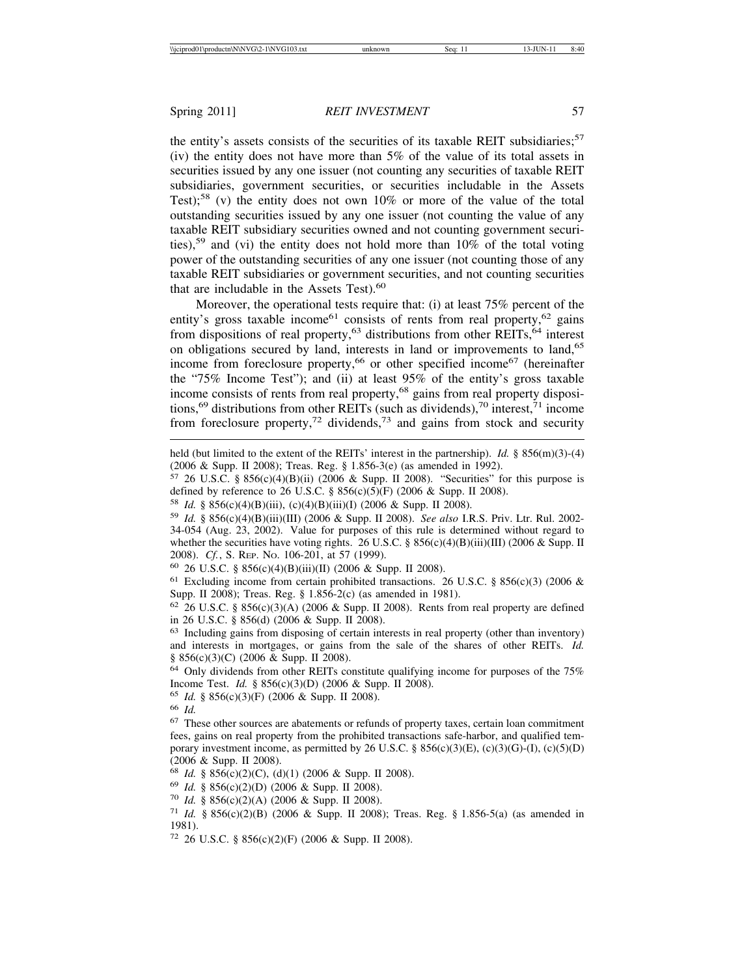the entity's assets consists of the securities of its taxable REIT subsidiaries; $57$ (iv) the entity does not have more than 5% of the value of its total assets in securities issued by any one issuer (not counting any securities of taxable REIT subsidiaries, government securities, or securities includable in the Assets Test);<sup>58</sup> (v) the entity does not own 10% or more of the value of the total outstanding securities issued by any one issuer (not counting the value of any taxable REIT subsidiary securities owned and not counting government securities),59 and (vi) the entity does not hold more than 10% of the total voting power of the outstanding securities of any one issuer (not counting those of any taxable REIT subsidiaries or government securities, and not counting securities that are includable in the Assets Test).<sup>60</sup>

Moreover, the operational tests require that: (i) at least 75% percent of the entity's gross taxable income<sup>61</sup> consists of rents from real property,<sup>62</sup> gains from dispositions of real property,<sup>63</sup> distributions from other REITs,  $64$  interest on obligations secured by land, interests in land or improvements to land,<sup>65</sup> income from foreclosure property,<sup>66</sup> or other specified income<sup>67</sup> (hereinafter the "75% Income Test"); and (ii) at least 95% of the entity's gross taxable income consists of rents from real property,<sup>68</sup> gains from real property dispositions,<sup>69</sup> distributions from other REITs (such as dividends),<sup>70</sup> interest,<sup>71</sup> income from foreclosure property,<sup>72</sup> dividends,<sup>73</sup> and gains from stock and security

 $57$  26 U.S.C. § 856(c)(4)(B)(ii) (2006 & Supp. II 2008). "Securities" for this purpose is defined by reference to 26 U.S.C. § 856(c)(5)(F) (2006 & Supp. II 2008).

<sup>58</sup> *Id.* § 856(c)(4)(B)(iii), (c)(4)(B)(iii)(I) (2006 & Supp. II 2008).

<sup>63</sup> Including gains from disposing of certain interests in real property (other than inventory) and interests in mortgages, or gains from the sale of the shares of other REITs. *Id.* § 856(c)(3)(C) (2006 & Supp. II 2008).

<sup>64</sup> Only dividends from other REITs constitute qualifying income for purposes of the 75% Income Test. *Id.* § 856(c)(3)(D) (2006 & Supp. II 2008).

<sup>66</sup> *Id.*

<sup>68</sup> *Id.* § 856(c)(2)(C), (d)(1) (2006 & Supp. II 2008).

<sup>70</sup> *Id.* § 856(c)(2)(A) (2006 & Supp. II 2008).

held (but limited to the extent of the REITs' interest in the partnership). *Id.* § 856(m)(3)-(4) (2006 & Supp. II 2008); Treas. Reg. § 1.856-3(e) (as amended in 1992).

<sup>59</sup> *Id.* § 856(c)(4)(B)(iii)(III) (2006 & Supp. II 2008). *See also* I.R.S. Priv. Ltr. Rul. 2002- 34-054 (Aug. 23, 2002). Value for purposes of this rule is determined without regard to whether the securities have voting rights. 26 U.S.C. § 856(c)(4)(B)(iii)(III) (2006 & Supp. II 2008). *Cf.*, S. REP. NO. 106-201, at 57 (1999).

<sup>60</sup> 26 U.S.C. § 856(c)(4)(B)(iii)(II) (2006 & Supp. II 2008).

<sup>&</sup>lt;sup>61</sup> Excluding income from certain prohibited transactions. 26 U.S.C. § 856(c)(3) (2006 & Supp. II 2008); Treas. Reg. § 1.856-2(c) (as amended in 1981).

 $62$  26 U.S.C. § 856(c)(3)(A) (2006 & Supp. II 2008). Rents from real property are defined in 26 U.S.C. § 856(d) (2006 & Supp. II 2008).

<sup>65</sup> *Id.* § 856(c)(3)(F) (2006 & Supp. II 2008).

<sup>67</sup> These other sources are abatements or refunds of property taxes, certain loan commitment fees, gains on real property from the prohibited transactions safe-harbor, and qualified temporary investment income, as permitted by 26 U.S.C. § 856(c)(3)(E), (c)(3)(G)-(I), (c)(5)(D) (2006 & Supp. II 2008).

<sup>69</sup> *Id.* § 856(c)(2)(D) (2006 & Supp. II 2008).

<sup>71</sup> *Id.* § 856(c)(2)(B) (2006 & Supp. II 2008); Treas. Reg. § 1.856-5(a) (as amended in 1981).

<sup>72</sup> 26 U.S.C. § 856(c)(2)(F) (2006 & Supp. II 2008).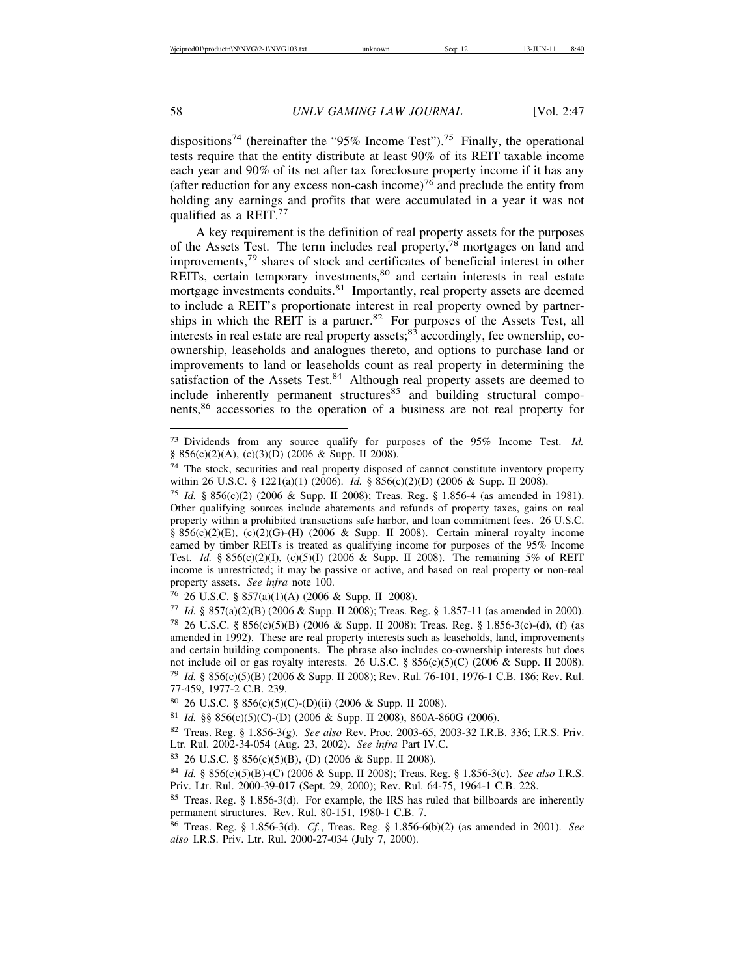dispositions<sup>74</sup> (hereinafter the "95% Income Test").<sup>75</sup> Finally, the operational tests require that the entity distribute at least 90% of its REIT taxable income each year and 90% of its net after tax foreclosure property income if it has any (after reduction for any excess non-cash income)<sup>76</sup> and preclude the entity from holding any earnings and profits that were accumulated in a year it was not qualified as a REIT.<sup>77</sup>

A key requirement is the definition of real property assets for the purposes of the Assets Test. The term includes real property,78 mortgages on land and improvements,79 shares of stock and certificates of beneficial interest in other REITs, certain temporary investments,<sup>80</sup> and certain interests in real estate mortgage investments conduits.<sup>81</sup> Importantly, real property assets are deemed to include a REIT's proportionate interest in real property owned by partnerships in which the REIT is a partner.<sup>82</sup> For purposes of the Assets Test, all interests in real estate are real property assets; $83$  accordingly, fee ownership, coownership, leaseholds and analogues thereto, and options to purchase land or improvements to land or leaseholds count as real property in determining the satisfaction of the Assets Test.<sup>84</sup> Although real property assets are deemed to include inherently permanent structures<sup>85</sup> and building structural components,86 accessories to the operation of a business are not real property for

<sup>73</sup> Dividends from any source qualify for purposes of the 95% Income Test. *Id.* § 856(c)(2)(A), (c)(3)(D) (2006 & Supp. II 2008).

<sup>&</sup>lt;sup>74</sup> The stock, securities and real property disposed of cannot constitute inventory property within 26 U.S.C. § 1221(a)(1) (2006). *Id.* § 856(c)(2)(D) (2006 & Supp. II 2008).

<sup>75</sup> *Id.* § 856(c)(2) (2006 & Supp. II 2008); Treas. Reg. § 1.856-4 (as amended in 1981). Other qualifying sources include abatements and refunds of property taxes, gains on real property within a prohibited transactions safe harbor, and loan commitment fees. 26 U.S.C. §  $856(c)(2)(E)$ , (c)(2)(G)-(H) (2006 & Supp. II 2008). Certain mineral royalty income earned by timber REITs is treated as qualifying income for purposes of the 95% Income Test. *Id.* § 856(c)(2)(I), (c)(5)(I) (2006 & Supp. II 2008). The remaining 5% of REIT income is unrestricted; it may be passive or active, and based on real property or non-real property assets. *See infra* note 100.

<sup>76</sup> 26 U.S.C. § 857(a)(1)(A) (2006 & Supp. II 2008).

<sup>77</sup> *Id.* § 857(a)(2)(B) (2006 & Supp. II 2008); Treas. Reg. § 1.857-11 (as amended in 2000). <sup>78</sup> 26 U.S.C. § 856(c)(5)(B) (2006 & Supp. II 2008); Treas. Reg. § 1.856-3(c)-(d), (f) (as amended in 1992). These are real property interests such as leaseholds, land, improvements and certain building components. The phrase also includes co-ownership interests but does not include oil or gas royalty interests. 26 U.S.C. § 856(c)(5)(C) (2006 & Supp. II 2008). <sup>79</sup> *Id.* § 856(c)(5)(B) (2006 & Supp. II 2008); Rev. Rul. 76-101, 1976-1 C.B. 186; Rev. Rul. 77-459, 1977-2 C.B. 239.

<sup>80</sup> 26 U.S.C. § 856(c)(5)(C)-(D)(ii) (2006 & Supp. II 2008).

<sup>81</sup> *Id.* §§ 856(c)(5)(C)-(D) (2006 & Supp. II 2008), 860A-860G (2006).

<sup>82</sup> Treas. Reg. § 1.856-3(g). *See also* Rev. Proc. 2003-65, 2003-32 I.R.B. 336; I.R.S. Priv. Ltr. Rul. 2002-34-054 (Aug. 23, 2002). *See infra* Part IV.C.

<sup>83</sup> 26 U.S.C. § 856(c)(5)(B), (D) (2006 & Supp. II 2008).

<sup>84</sup> *Id.* § 856(c)(5)(B)-(C) (2006 & Supp. II 2008); Treas. Reg. § 1.856-3(c). *See also* I.R.S. Priv. Ltr. Rul. 2000-39-017 (Sept. 29, 2000); Rev. Rul. 64-75, 1964-1 C.B. 228.

<sup>85</sup> Treas. Reg. § 1.856-3(d). For example, the IRS has ruled that billboards are inherently permanent structures. Rev. Rul. 80-151, 1980-1 C.B. 7.

<sup>86</sup> Treas. Reg. § 1.856-3(d). *Cf.*, Treas. Reg. § 1.856-6(b)(2) (as amended in 2001). *See also* I.R.S. Priv. Ltr. Rul. 2000-27-034 (July 7, 2000).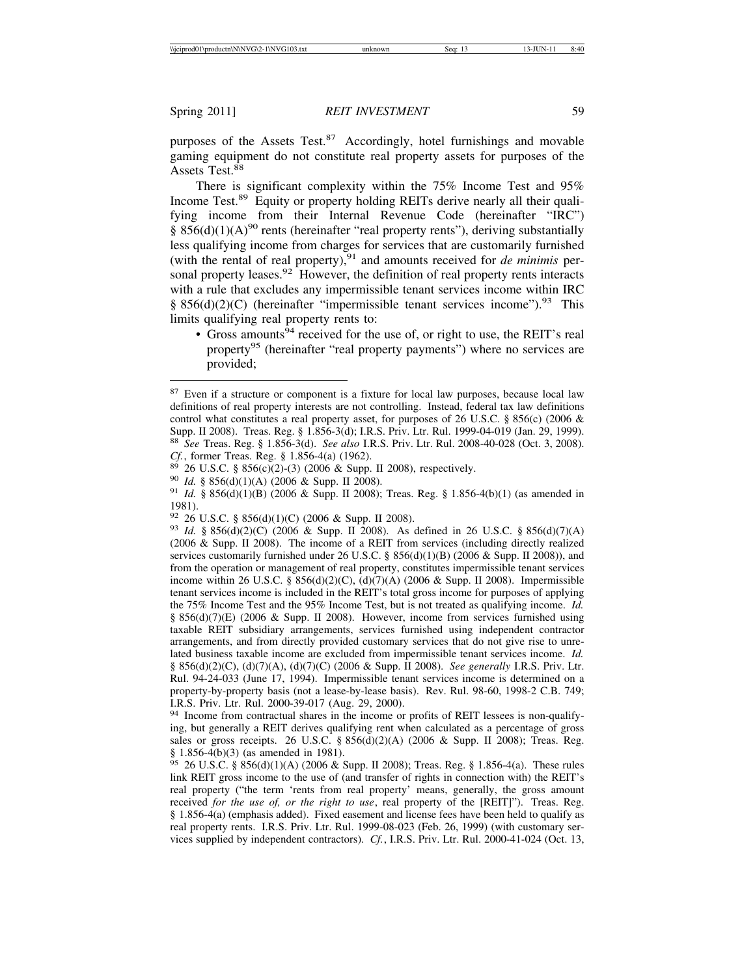purposes of the Assets Test. $87$  Accordingly, hotel furnishings and movable gaming equipment do not constitute real property assets for purposes of the Assets Test.<sup>88</sup>

There is significant complexity within the 75% Income Test and 95% Income Test.89 Equity or property holding REITs derive nearly all their qualifying income from their Internal Revenue Code (hereinafter "IRC") §  $856(d)(1)(A)^{90}$  rents (hereinafter "real property rents"), deriving substantially less qualifying income from charges for services that are customarily furnished (with the rental of real property),  $91$  and amounts received for *de minimis* personal property leases.<sup>92</sup> However, the definition of real property rents interacts with a rule that excludes any impermissible tenant services income within IRC § 856(d)(2)(C) (hereinafter "impermissible tenant services income").<sup>93</sup> This limits qualifying real property rents to:

• Gross amounts<sup>94</sup> received for the use of, or right to use, the REIT's real property<sup>95</sup> (hereinafter "real property payments") where no services are provided;

<sup>&</sup>lt;sup>87</sup> Even if a structure or component is a fixture for local law purposes, because local law definitions of real property interests are not controlling. Instead, federal tax law definitions control what constitutes a real property asset, for purposes of 26 U.S.C. § 856(c) (2006 & Supp. II 2008). Treas. Reg. § 1.856-3(d); I.R.S. Priv. Ltr. Rul. 1999-04-019 (Jan. 29, 1999). <sup>88</sup> *See* Treas. Reg. § 1.856-3(d). *See also* I.R.S. Priv. Ltr. Rul. 2008-40-028 (Oct. 3, 2008).

<sup>&</sup>lt;sup>89</sup> 26 U.S.C. § 856(c)(2)-(3) (2006 & Supp. II 2008), respectively.<br><sup>90</sup> *Id.* § 856(d)(1)(A) (2006 & Supp. II 2008).<br><sup>91</sup> *Id.* § 856(d)(1)(B) (2006 & Supp. II 2008); Treas. Reg. § 1.856-4(b)(1) (as amended in 1981).<br><sup>92</sup> 26 U.S.C. § 856(d)(1)(C) (2006 & Supp. II 2008).

<sup>92</sup> 26 U.S.C. § 856(d)(1)(C) (2006 & Supp. II 2008). <sup>93</sup> *Id.* § 856(d)(2)(C) (2006 & Supp. II 2008). As defined in 26 U.S.C. § 856(d)(7)(A) (2006 & Supp. II 2008). The income of a REIT from services (including directly realized services customarily furnished under 26 U.S.C. §  $856(d)(1)(B)$  (2006 & Supp. II 2008)), and from the operation or management of real property, constitutes impermissible tenant services income within 26 U.S.C. § 856(d)(2)(C), (d)(7)(A) (2006 & Supp. II 2008). Impermissible tenant services income is included in the REIT's total gross income for purposes of applying the 75% Income Test and the 95% Income Test, but is not treated as qualifying income. *Id.* § 856(d)(7)(E) (2006 & Supp. II 2008). However, income from services furnished using taxable REIT subsidiary arrangements, services furnished using independent contractor arrangements, and from directly provided customary services that do not give rise to unrelated business taxable income are excluded from impermissible tenant services income. *Id.* § 856(d)(2)(C), (d)(7)(A), (d)(7)(C) (2006 & Supp. II 2008). *See generally* I.R.S. Priv. Ltr. Rul. 94-24-033 (June 17, 1994). Impermissible tenant services income is determined on a property-by-property basis (not a lease-by-lease basis). Rev. Rul. 98-60, 1998-2 C.B. 749; I.R.S. Priv. Ltr. Rul. 2000-39-017 (Aug. 29, 2000).

<sup>94</sup> Income from contractual shares in the income or profits of REIT lessees is non-qualifying, but generally a REIT derives qualifying rent when calculated as a percentage of gross sales or gross receipts. 26 U.S.C. §  $856(d)(2)(A)$  (2006 & Supp. II 2008); Treas. Reg. § 1.856-4(b)(3) (as amended in 1981).

<sup>95</sup> 26 U.S.C. § 856(d)(1)(A) (2006 & Supp. II 2008); Treas. Reg. § 1.856-4(a). These rules link REIT gross income to the use of (and transfer of rights in connection with) the REIT's real property ("the term 'rents from real property' means, generally, the gross amount received *for the use of, or the right to use*, real property of the [REIT]"). Treas. Reg. § 1.856-4(a) (emphasis added). Fixed easement and license fees have been held to qualify as real property rents. I.R.S. Priv. Ltr. Rul. 1999-08-023 (Feb. 26, 1999) (with customary services supplied by independent contractors). *Cf.*, I.R.S. Priv. Ltr. Rul. 2000-41-024 (Oct. 13,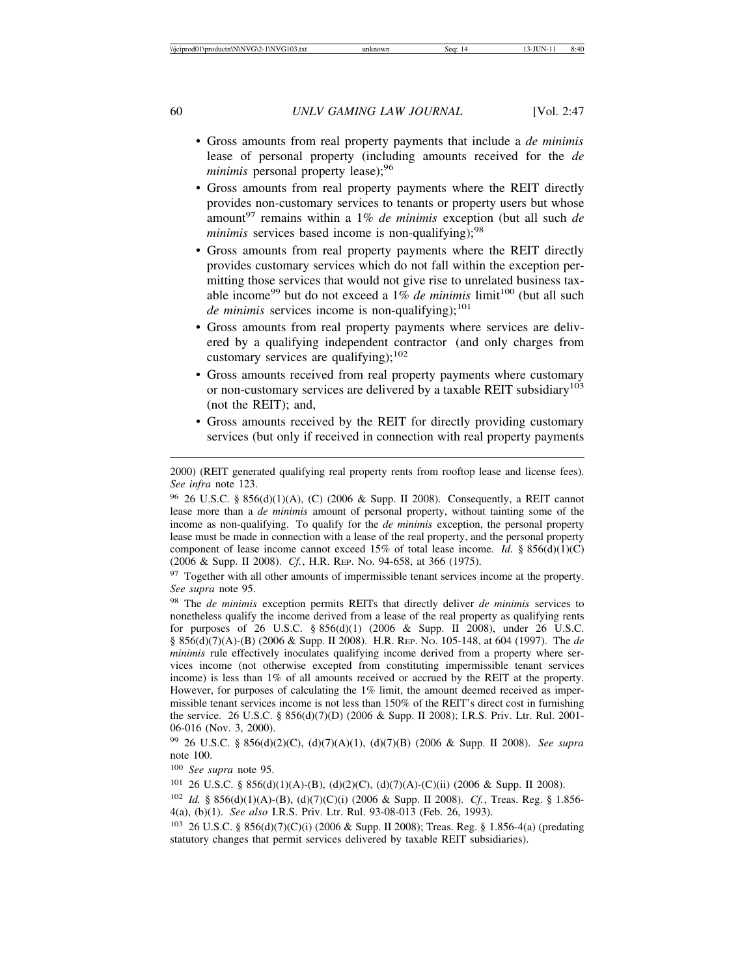- Gross amounts from real property payments that include a *de minimis* lease of personal property (including amounts received for the *de minimis* personal property lease);<sup>96</sup>
- Gross amounts from real property payments where the REIT directly provides non-customary services to tenants or property users but whose amount97 remains within a 1% *de minimis* exception (but all such *de minimis* services based income is non-qualifying);<sup>98</sup>
- Gross amounts from real property payments where the REIT directly provides customary services which do not fall within the exception permitting those services that would not give rise to unrelated business taxable income<sup>99</sup> but do not exceed a 1% *de minimis* limit<sup>100</sup> (but all such *de minimis* services income is non-qualifying);<sup>101</sup>
- Gross amounts from real property payments where services are delivered by a qualifying independent contractor (and only charges from customary services are qualifying);<sup>102</sup>
- Gross amounts received from real property payments where customary or non-customary services are delivered by a taxable REIT subsidiary<sup>103</sup> (not the REIT); and,
- Gross amounts received by the REIT for directly providing customary services (but only if received in connection with real property payments

<sup>97</sup> Together with all other amounts of impermissible tenant services income at the property. *See supra* note 95.

<sup>98</sup> The *de minimis* exception permits REITs that directly deliver *de minimis* services to nonetheless qualify the income derived from a lease of the real property as qualifying rents for purposes of 26 U.S.C. § 856(d)(1) (2006 & Supp. II 2008), under 26 U.S.C. § 856(d)(7)(A)-(B) (2006 & Supp. II 2008). H.R. REP. NO. 105-148, at 604 (1997). The *de minimis* rule effectively inoculates qualifying income derived from a property where services income (not otherwise excepted from constituting impermissible tenant services income) is less than 1% of all amounts received or accrued by the REIT at the property. However, for purposes of calculating the 1% limit, the amount deemed received as impermissible tenant services income is not less than 150% of the REIT's direct cost in furnishing the service. 26 U.S.C. § 856(d)(7)(D) (2006 & Supp. II 2008); I.R.S. Priv. Ltr. Rul. 2001- 06-016 (Nov. 3, 2000).

<sup>99</sup> 26 U.S.C. § 856(d)(2)(C), (d)(7)(A)(1), (d)(7)(B) (2006 & Supp. II 2008). *See supra* note 100.

<sup>101</sup> 26 U.S.C. § 856(d)(1)(A)-(B), (d)(2)(C), (d)(7)(A)-(C)(ii) (2006 & Supp. II 2008).

<sup>102</sup> *Id.* § 856(d)(1)(A)-(B), (d)(7)(C)(i) (2006 & Supp. II 2008). *Cf.*, Treas. Reg. § 1.856- 4(a), (b)(1). *See also* I.R.S. Priv. Ltr. Rul. 93-08-013 (Feb. 26, 1993).

<sup>2000) (</sup>REIT generated qualifying real property rents from rooftop lease and license fees). *See infra* note 123.

<sup>96</sup> 26 U.S.C. § 856(d)(1)(A), (C) (2006 & Supp. II 2008). Consequently, a REIT cannot lease more than a *de minimis* amount of personal property, without tainting some of the income as non-qualifying. To qualify for the *de minimis* exception, the personal property lease must be made in connection with a lease of the real property, and the personal property component of lease income cannot exceed 15% of total lease income. *Id.* § 856(d)(1)(C) (2006 & Supp. II 2008). *Cf.*, H.R. REP. NO. 94-658, at 366 (1975).

<sup>100</sup> *See supra* note 95.

<sup>103</sup> 26 U.S.C. § 856(d)(7)(C)(i) (2006 & Supp. II 2008); Treas. Reg. § 1.856-4(a) (predating statutory changes that permit services delivered by taxable REIT subsidiaries).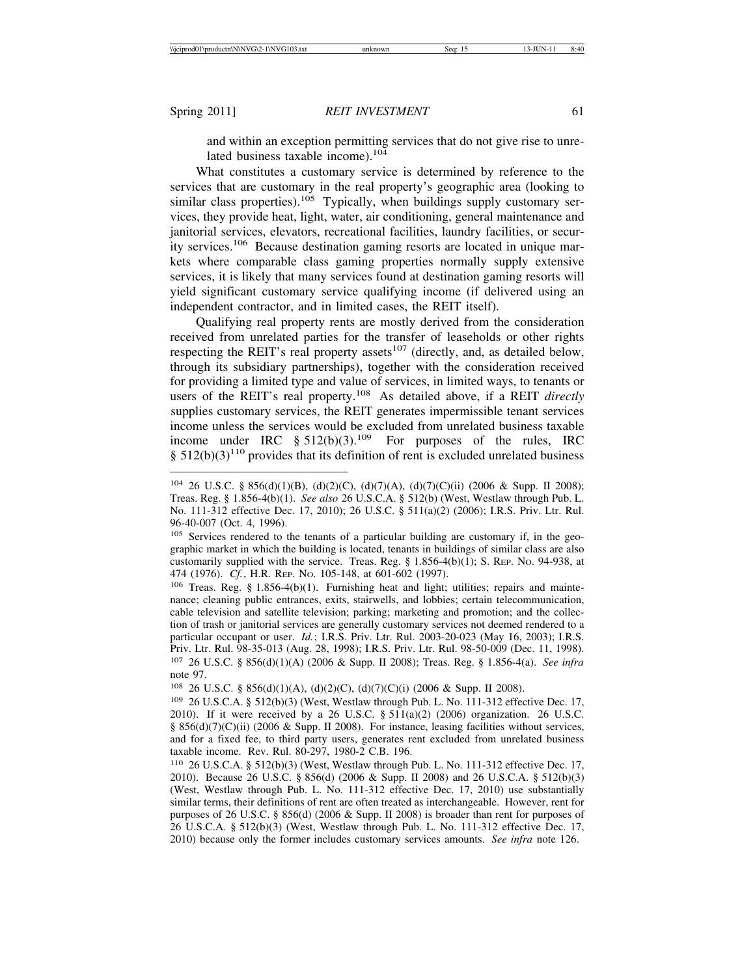and within an exception permitting services that do not give rise to unrelated business taxable income).<sup>104</sup>

What constitutes a customary service is determined by reference to the services that are customary in the real property's geographic area (looking to similar class properties).<sup>105</sup> Typically, when buildings supply customary services, they provide heat, light, water, air conditioning, general maintenance and janitorial services, elevators, recreational facilities, laundry facilities, or security services.106 Because destination gaming resorts are located in unique markets where comparable class gaming properties normally supply extensive services, it is likely that many services found at destination gaming resorts will yield significant customary service qualifying income (if delivered using an independent contractor, and in limited cases, the REIT itself).

Qualifying real property rents are mostly derived from the consideration received from unrelated parties for the transfer of leaseholds or other rights respecting the REIT's real property assets<sup>107</sup> (directly, and, as detailed below, through its subsidiary partnerships), together with the consideration received for providing a limited type and value of services, in limited ways, to tenants or users of the REIT's real property.108 As detailed above, if a REIT *directly* supplies customary services, the REIT generates impermissible tenant services income unless the services would be excluded from unrelated business taxable income under IRC  $\S 512(b)(3).^{109}$  For purposes of the rules, IRC  $§ 512(b)(3)<sup>110</sup>$  provides that its definition of rent is excluded unrelated business

<sup>108</sup> 26 U.S.C. § 856(d)(1)(A), (d)(2)(C), (d)(7)(C)(i) (2006 & Supp. II 2008).

<sup>104</sup> 26 U.S.C. § 856(d)(1)(B), (d)(2)(C), (d)(7)(A), (d)(7)(C)(ii) (2006 & Supp. II 2008); Treas. Reg. § 1.856-4(b)(1). *See also* 26 U.S.C.A. § 512(b) (West, Westlaw through Pub. L. No. 111-312 effective Dec. 17, 2010); 26 U.S.C. § 511(a)(2) (2006); I.R.S. Priv. Ltr. Rul. 96-40-007 (Oct. 4, 1996).

<sup>105</sup> Services rendered to the tenants of a particular building are customary if, in the geographic market in which the building is located, tenants in buildings of similar class are also customarily supplied with the service. Treas. Reg.  $\S$  1.856-4(b)(1); S. Rep. No. 94-938, at 474 (1976). *Cf.*, H.R. REP. NO. 105-148, at 601-602 (1997).

<sup>106</sup> Treas. Reg. § 1.856-4(b)(1). Furnishing heat and light; utilities; repairs and maintenance; cleaning public entrances, exits, stairwells, and lobbies; certain telecommunication, cable television and satellite television; parking; marketing and promotion; and the collection of trash or janitorial services are generally customary services not deemed rendered to a particular occupant or user. *Id.*; I.R.S. Priv. Ltr. Rul. 2003-20-023 (May 16, 2003); I.R.S. Priv. Ltr. Rul. 98-35-013 (Aug. 28, 1998); I.R.S. Priv. Ltr. Rul. 98-50-009 (Dec. 11, 1998). <sup>107</sup> 26 U.S.C. § 856(d)(1)(A) (2006 & Supp. II 2008); Treas. Reg. § 1.856-4(a). *See infra* note 97.

<sup>109</sup> 26 U.S.C.A. § 512(b)(3) (West, Westlaw through Pub. L. No. 111-312 effective Dec. 17, 2010). If it were received by a 26 U.S.C.  $\S$  511(a)(2) (2006) organization. 26 U.S.C. § 856(d)(7)(C)(ii) (2006 & Supp. II 2008). For instance, leasing facilities without services, and for a fixed fee, to third party users, generates rent excluded from unrelated business taxable income. Rev. Rul. 80-297, 1980-2 C.B. 196.

<sup>110</sup> 26 U.S.C.A. § 512(b)(3) (West, Westlaw through Pub. L. No. 111-312 effective Dec. 17, 2010). Because 26 U.S.C. § 856(d) (2006 & Supp. II 2008) and 26 U.S.C.A. § 512(b)(3) (West, Westlaw through Pub. L. No. 111-312 effective Dec. 17, 2010) use substantially similar terms, their definitions of rent are often treated as interchangeable. However, rent for purposes of 26 U.S.C. § 856(d) (2006 & Supp. II 2008) is broader than rent for purposes of 26 U.S.C.A. § 512(b)(3) (West, Westlaw through Pub. L. No. 111-312 effective Dec. 17, 2010) because only the former includes customary services amounts. *See infra* note 126.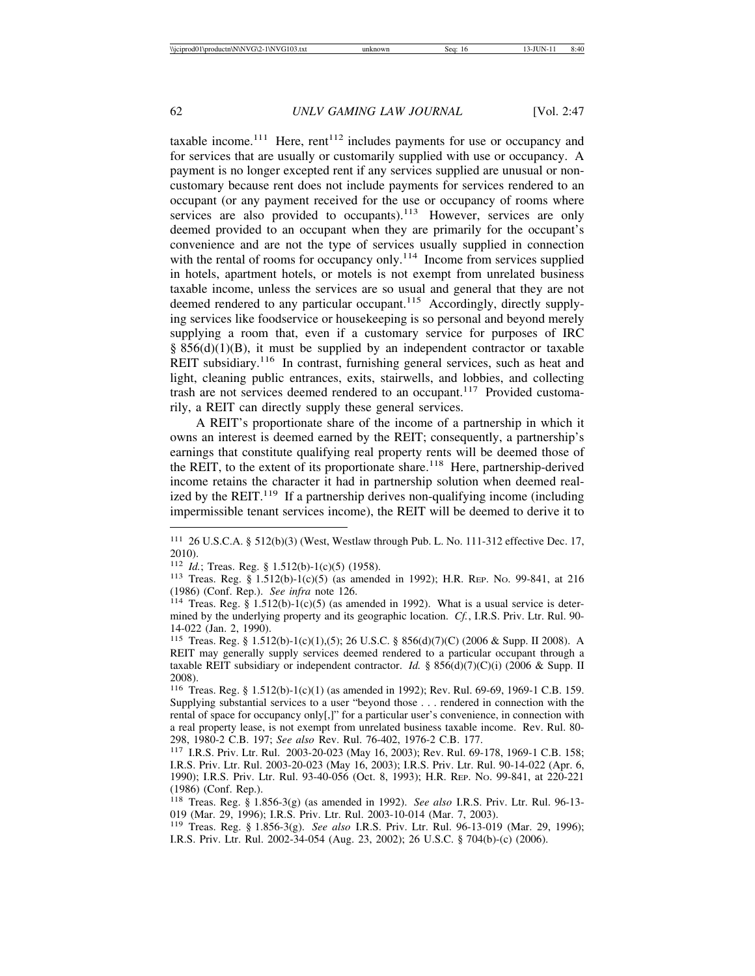taxable income.<sup>111</sup> Here, rent<sup>112</sup> includes payments for use or occupancy and for services that are usually or customarily supplied with use or occupancy. A payment is no longer excepted rent if any services supplied are unusual or noncustomary because rent does not include payments for services rendered to an occupant (or any payment received for the use or occupancy of rooms where services are also provided to occupants).<sup>113</sup> However, services are only deemed provided to an occupant when they are primarily for the occupant's convenience and are not the type of services usually supplied in connection with the rental of rooms for occupancy only.<sup>114</sup> Income from services supplied in hotels, apartment hotels, or motels is not exempt from unrelated business taxable income, unless the services are so usual and general that they are not deemed rendered to any particular occupant.<sup>115</sup> Accordingly, directly supplying services like foodservice or housekeeping is so personal and beyond merely supplying a room that, even if a customary service for purposes of IRC  $§ 856(d)(1)(B)$ , it must be supplied by an independent contractor or taxable REIT subsidiary.<sup>116</sup> In contrast, furnishing general services, such as heat and light, cleaning public entrances, exits, stairwells, and lobbies, and collecting trash are not services deemed rendered to an occupant.<sup>117</sup> Provided customarily, a REIT can directly supply these general services.

A REIT's proportionate share of the income of a partnership in which it owns an interest is deemed earned by the REIT; consequently, a partnership's earnings that constitute qualifying real property rents will be deemed those of the REIT, to the extent of its proportionate share.<sup>118</sup> Here, partnership-derived income retains the character it had in partnership solution when deemed realized by the REIT.<sup>119</sup> If a partnership derives non-qualifying income (including impermissible tenant services income), the REIT will be deemed to derive it to

<sup>111</sup> 26 U.S.C.A. § 512(b)(3) (West, Westlaw through Pub. L. No. 111-312 effective Dec. 17, 2010).<br><sup>112</sup> *Id.*; Treas. Reg. § 1.512(b)-1(c)(5) (1958).

<sup>&</sup>lt;sup>113</sup> Treas. Reg. § 1.512(b)-1(c)(5) (as amended in 1992); H.R. Rep. No. 99-841, at 216 (1986) (Conf. Rep.). *See infra* note 126.<br><sup>114</sup> Treas. Reg. § 1.512(b)-1(c)(5) (as amended in 1992). What is a usual service is deter-

mined by the underlying property and its geographic location. *Cf.*, I.R.S. Priv. Ltr. Rul. 90- 14-022 (Jan. 2, 1990).

<sup>115</sup> Treas. Reg. § 1.512(b)-1(c)(1),(5); 26 U.S.C. § 856(d)(7)(C) (2006 & Supp. II 2008). A REIT may generally supply services deemed rendered to a particular occupant through a taxable REIT subsidiary or independent contractor. *Id.* § 856(d)(7)(C)(i) (2006 & Supp. II 2008).

<sup>116</sup> Treas. Reg. § 1.512(b)-1(c)(1) (as amended in 1992); Rev. Rul. 69-69, 1969-1 C.B. 159. Supplying substantial services to a user "beyond those . . . rendered in connection with the rental of space for occupancy only[,]" for a particular user's convenience, in connection with a real property lease, is not exempt from unrelated business taxable income. Rev. Rul. 80-298, 1980-2 C.B. 197; See also Rev. Rul. 76-402, 1976-2 C.B. 177.

<sup>&</sup>lt;sup>117</sup> I.R.S. Priv. Ltr. Rul. 2003-20-023 (May 16, 2003); Rev. Rul. 69-178, 1969-1 C.B. 158; I.R.S. Priv. Ltr. Rul. 2003-20-023 (May 16, 2003); I.R.S. Priv. Ltr. Rul. 90-14-022 (Apr. 6, 1990); I.R.S. Priv. Ltr. Rul. 93-40-056 (Oct. 8, 1993); H.R. REP. NO. 99-841, at 220-221 (1986) (Conf. Rep.).

<sup>118</sup> Treas. Reg. § 1.856-3(g) (as amended in 1992). *See also* I.R.S. Priv. Ltr. Rul. 96-13- 019 (Mar. 29, 1996); I.R.S. Priv. Ltr. Rul. 2003-10-014 (Mar. 7, 2003).

<sup>119</sup> Treas. Reg. § 1.856-3(g). *See also* I.R.S. Priv. Ltr. Rul. 96-13-019 (Mar. 29, 1996); I.R.S. Priv. Ltr. Rul. 2002-34-054 (Aug. 23, 2002); 26 U.S.C. § 704(b)-(c) (2006).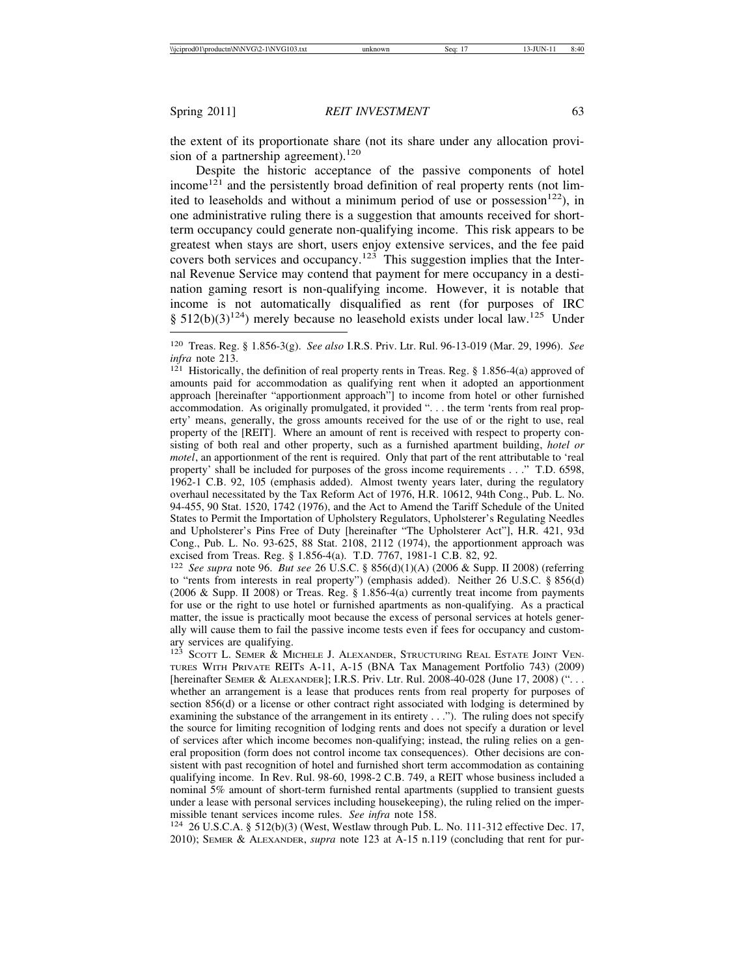the extent of its proportionate share (not its share under any allocation provision of a partnership agreement).<sup>120</sup>

Despite the historic acceptance of the passive components of hotel income<sup>121</sup> and the persistently broad definition of real property rents (not limited to leaseholds and without a minimum period of use or possession<sup>122</sup>), in one administrative ruling there is a suggestion that amounts received for shortterm occupancy could generate non-qualifying income. This risk appears to be greatest when stays are short, users enjoy extensive services, and the fee paid covers both services and occupancy.<sup>123</sup> This suggestion implies that the Internal Revenue Service may contend that payment for mere occupancy in a destination gaming resort is non-qualifying income. However, it is notable that income is not automatically disqualified as rent (for purposes of IRC §  $512(b)(3)^{124}$ ) merely because no leasehold exists under local law.<sup>125</sup> Under

amounts paid for accommodation as qualifying rent when it adopted an apportionment approach [hereinafter "apportionment approach"] to income from hotel or other furnished accommodation. As originally promulgated, it provided ". . . the term 'rents from real property' means, generally, the gross amounts received for the use of or the right to use, real property of the [REIT]. Where an amount of rent is received with respect to property consisting of both real and other property, such as a furnished apartment building, *hotel or motel*, an apportionment of the rent is required. Only that part of the rent attributable to 'real property' shall be included for purposes of the gross income requirements . . ." T.D. 6598, 1962-1 C.B. 92, 105 (emphasis added). Almost twenty years later, during the regulatory overhaul necessitated by the Tax Reform Act of 1976, H.R. 10612, 94th Cong., Pub. L. No. 94-455, 90 Stat. 1520, 1742 (1976), and the Act to Amend the Tariff Schedule of the United States to Permit the Importation of Upholstery Regulators, Upholsterer's Regulating Needles and Upholsterer's Pins Free of Duty [hereinafter "The Upholsterer Act"], H.R. 421, 93d Cong., Pub. L. No. 93-625, 88 Stat. 2108, 2112 (1974), the apportionment approach was excised from Treas. Reg. § 1.856-4(a). T.D. 7767, 1981-1 C.B. 82, 92.

<sup>122</sup> *See supra* note 96. *But see* 26 U.S.C. § 856(d)(1)(A) (2006 & Supp. II 2008) (referring to "rents from interests in real property") (emphasis added). Neither 26 U.S.C. § 856(d) (2006 & Supp. II 2008) or Treas. Reg. § 1.856-4(a) currently treat income from payments for use or the right to use hotel or furnished apartments as non-qualifying. As a practical matter, the issue is practically moot because the excess of personal services at hotels generally will cause them to fail the passive income tests even if fees for occupancy and customary services are qualifying.

2010); SEMER & ALEXANDER, *supra* note 123 at A-15 n.119 (concluding that rent for pur-

<sup>120</sup> Treas. Reg. § 1.856-3(g). *See also* I.R.S. Priv. Ltr. Rul. 96-13-019 (Mar. 29, 1996). *See infra* note 213.<br><sup>121</sup> Historically, the definition of real property rents in Treas. Reg. § 1.856-4(a) approved of

<sup>&</sup>lt;sup>123</sup> SCOTT L. SEMER & MICHELE J. ALEXANDER, STRUCTURING REAL ESTATE JOINT VEN-TURES WITH PRIVATE REITS A-11, A-15 (BNA Tax Management Portfolio 743) (2009) [hereinafter SEMER & ALEXANDER]; I.R.S. Priv. Ltr. Rul. 2008-40-028 (June 17, 2008) (". . . whether an arrangement is a lease that produces rents from real property for purposes of section 856(d) or a license or other contract right associated with lodging is determined by examining the substance of the arrangement in its entirety . . ."). The ruling does not specify the source for limiting recognition of lodging rents and does not specify a duration or level of services after which income becomes non-qualifying; instead, the ruling relies on a general proposition (form does not control income tax consequences). Other decisions are consistent with past recognition of hotel and furnished short term accommodation as containing qualifying income. In Rev. Rul. 98-60, 1998-2 C.B. 749, a REIT whose business included a nominal 5% amount of short-term furnished rental apartments (supplied to transient guests under a lease with personal services including housekeeping), the ruling relied on the impermissible tenant services income rules. *See infra* note 158.<br><sup>124</sup> 26 U.S.C.A. § 512(b)(3) (West, Westlaw through Pub. L. No. 111-312 effective Dec. 17,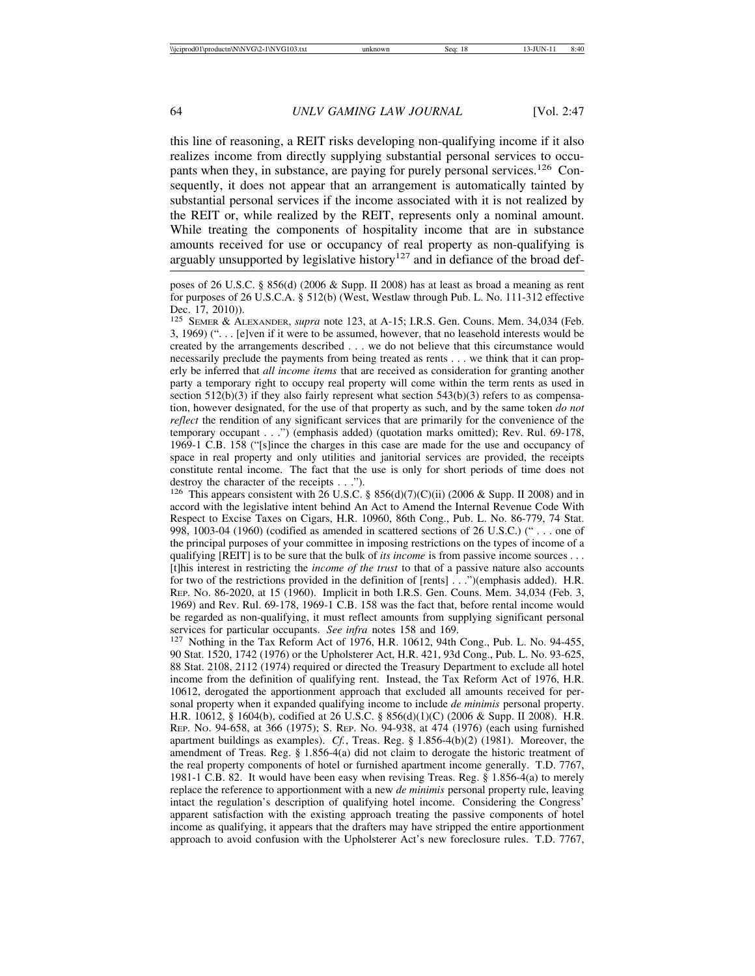this line of reasoning, a REIT risks developing non-qualifying income if it also realizes income from directly supplying substantial personal services to occupants when they, in substance, are paying for purely personal services.<sup>126</sup> Consequently, it does not appear that an arrangement is automatically tainted by substantial personal services if the income associated with it is not realized by the REIT or, while realized by the REIT, represents only a nominal amount. While treating the components of hospitality income that are in substance amounts received for use or occupancy of real property as non-qualifying is arguably unsupported by legislative history<sup>127</sup> and in defiance of the broad def-

<sup>125</sup> SEMER & ALEXANDER, *supra* note 123, at A-15; I.R.S. Gen. Couns. Mem. 34,034 (Feb. 3, 1969) (". . . [e]ven if it were to be assumed, however, that no leasehold interests would be created by the arrangements described . . . we do not believe that this circumstance would necessarily preclude the payments from being treated as rents . . . we think that it can properly be inferred that *all income items* that are received as consideration for granting another party a temporary right to occupy real property will come within the term rents as used in section  $512(b)(3)$  if they also fairly represent what section  $543(b)(3)$  refers to as compensation, however designated, for the use of that property as such, and by the same token *do not reflect* the rendition of any significant services that are primarily for the convenience of the temporary occupant . . .") (emphasis added) (quotation marks omitted); Rev. Rul. 69-178, 1969-1 C.B. 158 ("[s]ince the charges in this case are made for the use and occupancy of space in real property and only utilities and janitorial services are provided, the receipts constitute rental income. The fact that the use is only for short periods of time does not destroy the character of the receipts . . .").

<sup>126</sup> This appears consistent with 26 U.S.C. § 856(d)(7)(C)(ii) (2006 & Supp. II 2008) and in accord with the legislative intent behind An Act to Amend the Internal Revenue Code With Respect to Excise Taxes on Cigars, H.R. 10960, 86th Cong., Pub. L. No. 86-779, 74 Stat. 998, 1003-04 (1960) (codified as amended in scattered sections of 26 U.S.C.) (" . . . one of the principal purposes of your committee in imposing restrictions on the types of income of a qualifying [REIT] is to be sure that the bulk of *its income* is from passive income sources . . . [t]his interest in restricting the *income of the trust* to that of a passive nature also accounts for two of the restrictions provided in the definition of [rents] . . .")(emphasis added). H.R. REP. NO. 86-2020, at 15 (1960). Implicit in both I.R.S. Gen. Couns. Mem. 34,034 (Feb. 3, 1969) and Rev. Rul. 69-178, 1969-1 C.B. 158 was the fact that, before rental income would be regarded as non-qualifying, it must reflect amounts from supplying significant personal

services for particular occupants. *See infra* notes 158 and 169.<br><sup>127</sup> Nothing in the Tax Reform Act of 1976, H.R. 10612, 94th Cong., Pub. L. No. 94-455, 90 Stat. 1520, 1742 (1976) or the Upholsterer Act, H.R. 421, 93d Cong., Pub. L. No. 93-625, 88 Stat. 2108, 2112 (1974) required or directed the Treasury Department to exclude all hotel income from the definition of qualifying rent. Instead, the Tax Reform Act of 1976, H.R. 10612, derogated the apportionment approach that excluded all amounts received for personal property when it expanded qualifying income to include *de minimis* personal property. H.R. 10612, § 1604(b), codified at 26 U.S.C. § 856(d)(1)(C) (2006 & Supp. II 2008). H.R. REP. NO. 94-658, at 366 (1975); S. REP. NO. 94-938, at 474 (1976) (each using furnished apartment buildings as examples). *Cf.*, Treas. Reg. § 1.856-4(b)(2) (1981). Moreover, the amendment of Treas. Reg. § 1.856-4(a) did not claim to derogate the historic treatment of the real property components of hotel or furnished apartment income generally. T.D. 7767, 1981-1 C.B. 82. It would have been easy when revising Treas. Reg. § 1.856-4(a) to merely replace the reference to apportionment with a new *de minimis* personal property rule, leaving intact the regulation's description of qualifying hotel income. Considering the Congress' apparent satisfaction with the existing approach treating the passive components of hotel income as qualifying, it appears that the drafters may have stripped the entire apportionment approach to avoid confusion with the Upholsterer Act's new foreclosure rules. T.D. 7767,

poses of 26 U.S.C. § 856(d) (2006 & Supp. II 2008) has at least as broad a meaning as rent for purposes of 26 U.S.C.A. § 512(b) (West, Westlaw through Pub. L. No. 111-312 effective Dec. 17, 2010)).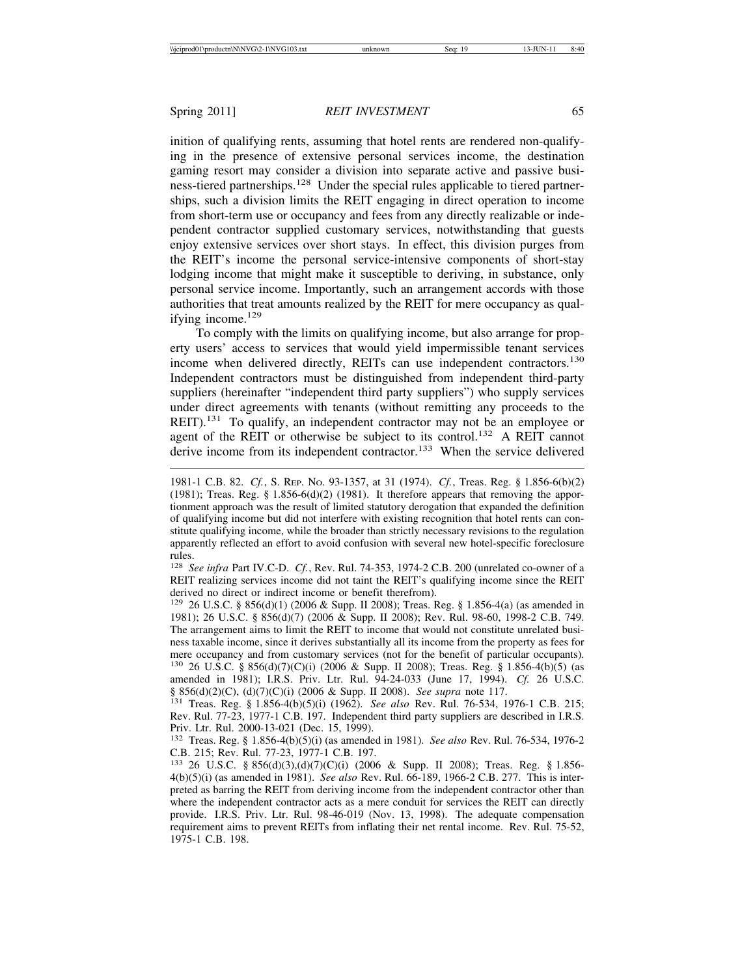inition of qualifying rents, assuming that hotel rents are rendered non-qualifying in the presence of extensive personal services income, the destination gaming resort may consider a division into separate active and passive business-tiered partnerships.<sup>128</sup> Under the special rules applicable to tiered partnerships, such a division limits the REIT engaging in direct operation to income from short-term use or occupancy and fees from any directly realizable or independent contractor supplied customary services, notwithstanding that guests enjoy extensive services over short stays. In effect, this division purges from the REIT's income the personal service-intensive components of short-stay lodging income that might make it susceptible to deriving, in substance, only personal service income. Importantly, such an arrangement accords with those authorities that treat amounts realized by the REIT for mere occupancy as qualifying income.<sup>129</sup>

To comply with the limits on qualifying income, but also arrange for property users' access to services that would yield impermissible tenant services income when delivered directly, REITs can use independent contractors.<sup>130</sup> Independent contractors must be distinguished from independent third-party suppliers (hereinafter "independent third party suppliers") who supply services under direct agreements with tenants (without remitting any proceeds to the REIT).<sup>131</sup> To qualify, an independent contractor may not be an employee or agent of the REIT or otherwise be subject to its control.<sup>132</sup> A REIT cannot derive income from its independent contractor.<sup>133</sup> When the service delivered

<sup>128</sup> *See infra* Part IV.C-D. *Cf.*, Rev. Rul. 74-353, 1974-2 C.B. 200 (unrelated co-owner of a REIT realizing services income did not taint the REIT's qualifying income since the REIT derived no direct or indirect income or benefit therefrom).

<sup>129</sup> 26 U.S.C. § 856(d)(1) (2006 & Supp. II 2008); Treas. Reg. § 1.856-4(a) (as amended in 1981); 26 U.S.C. § 856(d)(7) (2006 & Supp. II 2008); Rev. Rul. 98-60, 1998-2 C.B. 749. The arrangement aims to limit the REIT to income that would not constitute unrelated business taxable income, since it derives substantially all its income from the property as fees for mere occupancy and from customary services (not for the benefit of particular occupants). <sup>130</sup> 26 U.S.C. § 856(d)(7)(C)(i) (2006 & Supp. II 2008); Treas. Reg. § 1.856-4(b)(5) (as

amended in 1981); I.R.S. Priv. Ltr. Rul. 94-24-033 (June 17, 1994). *Cf.* 26 U.S.C. § 856(d)(2)(C), (d)(7)(C)(i) (2006 & Supp. II 2008). *See supra* note 117.<br><sup>131</sup> Treas. Reg. § 1.856-4(b)(5)(i) (1962). *See also* Rev. Rul. 76-534, 1976-1 C.B. 215;

Rev. Rul. 77-23, 1977-1 C.B. 197. Independent third party suppliers are described in I.R.S. Priv. Ltr. Rul. 2000-13-021 (Dec. 15, 1999).

<sup>132</sup> Treas. Reg. § 1.856-4(b)(5)(i) (as amended in 1981). *See also* Rev. Rul. 76-534, 1976-2 C.B. 215; Rev. Rul. 77-23, 1977-1 C.B. 197.

<sup>133</sup> 26 U.S.C. § 856(d)(3),(d)(7)(C)(i) (2006 & Supp. II 2008); Treas. Reg. § 1.856- 4(b)(5)(i) (as amended in 1981). *See also* Rev. Rul. 66-189, 1966-2 C.B. 277. This is interpreted as barring the REIT from deriving income from the independent contractor other than where the independent contractor acts as a mere conduit for services the REIT can directly provide. I.R.S. Priv. Ltr. Rul. 98-46-019 (Nov. 13, 1998). The adequate compensation requirement aims to prevent REITs from inflating their net rental income. Rev. Rul. 75-52, 1975-1 C.B. 198.

<sup>1981-1</sup> C.B. 82. *Cf.*, S. REP. NO. 93-1357, at 31 (1974). *Cf.*, Treas. Reg. § 1.856-6(b)(2) (1981); Treas. Reg. § 1.856-6(d)(2) (1981). It therefore appears that removing the apportionment approach was the result of limited statutory derogation that expanded the definition of qualifying income but did not interfere with existing recognition that hotel rents can constitute qualifying income, while the broader than strictly necessary revisions to the regulation apparently reflected an effort to avoid confusion with several new hotel-specific foreclosure rules.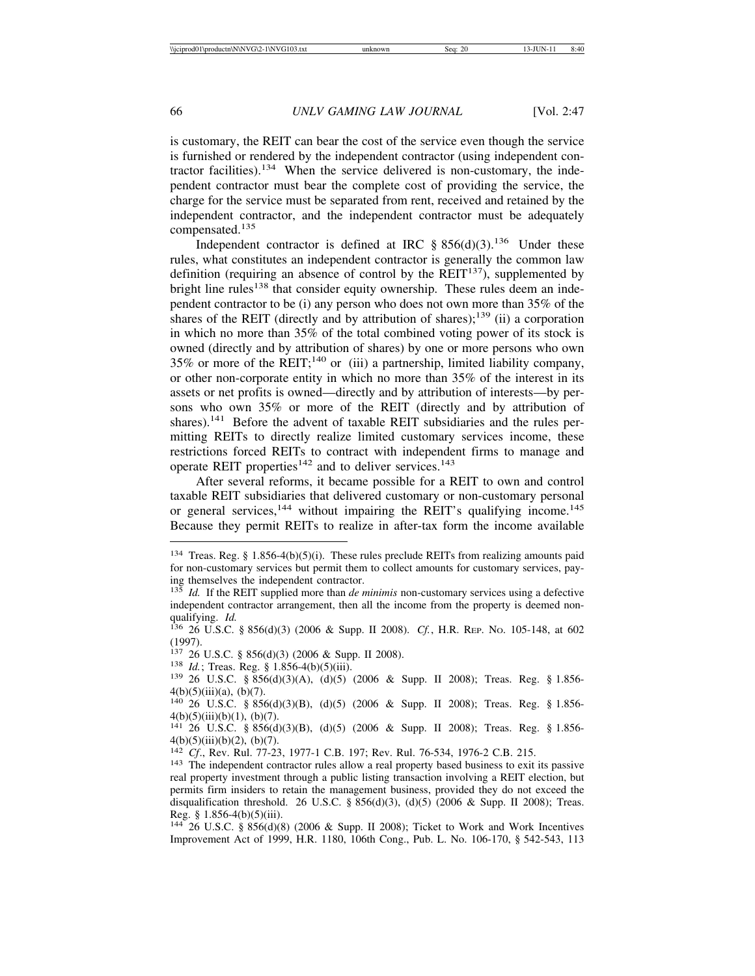is customary, the REIT can bear the cost of the service even though the service is furnished or rendered by the independent contractor (using independent contractor facilities).<sup>134</sup> When the service delivered is non-customary, the independent contractor must bear the complete cost of providing the service, the charge for the service must be separated from rent, received and retained by the independent contractor, and the independent contractor must be adequately compensated.<sup>135</sup>

Independent contractor is defined at IRC  $\S 856(d)(3)$ .<sup>136</sup> Under these rules, what constitutes an independent contractor is generally the common law definition (requiring an absence of control by the  $REIT<sup>137</sup>$ ), supplemented by bright line rules<sup>138</sup> that consider equity ownership. These rules deem an independent contractor to be (i) any person who does not own more than 35% of the shares of the REIT (directly and by attribution of shares);<sup>139</sup> (ii) a corporation in which no more than 35% of the total combined voting power of its stock is owned (directly and by attribution of shares) by one or more persons who own 35% or more of the REIT;<sup>140</sup> or (iii) a partnership, limited liability company, or other non-corporate entity in which no more than 35% of the interest in its assets or net profits is owned—directly and by attribution of interests—by persons who own 35% or more of the REIT (directly and by attribution of shares).<sup>141</sup> Before the advent of taxable REIT subsidiaries and the rules permitting REITs to directly realize limited customary services income, these restrictions forced REITs to contract with independent firms to manage and operate REIT properties<sup>142</sup> and to deliver services.<sup>143</sup>

After several reforms, it became possible for a REIT to own and control taxable REIT subsidiaries that delivered customary or non-customary personal or general services,<sup>144</sup> without impairing the REIT's qualifying income.<sup>145</sup> Because they permit REITs to realize in after-tax form the income available

<sup>&</sup>lt;sup>134</sup> Treas. Reg. § 1.856-4(b)(5)(i). These rules preclude REITs from realizing amounts paid for non-customary services but permit them to collect amounts for customary services, paying themselves the independent contractor.<br> $\frac{135}{1d}$  If the DEIT specific 1

Id. If the REIT supplied more than *de minimis* non-customary services using a defective independent contractor arrangement, then all the income from the property is deemed non-

qualifying. *Id.* **136 26 U.S.C.** § 856(d)(3) (2006 & Supp. II 2008). *Cf.*, H.R. REP. No. 105-148, at 602 (1997).

<sup>137 26</sup> U.S.C. § 856(d)(3) (2006 & Supp. II 2008).<br><sup>138</sup> *Id.*; Treas. Reg. § 1.856-4(b)(5)(iii).<br><sup>139</sup> 26 U.S.C. § 856(d)(3)(A), (d)(5) (2006 & Supp. II 2008); Treas. Reg. § 1.856- $4(b)(5)(iii)(a), (b)(7).$ 

<sup>140</sup> 26 U.S.C. § 856(d)(3)(B), (d)(5) (2006 & Supp. II 2008); Treas. Reg. § 1.856-  $4(b)(5)(iii)(b)(1), (b)(7).$ 

<sup>141</sup> 26 U.S.C. § 856(d)(3)(B), (d)(5) (2006 & Supp. II 2008); Treas. Reg. § 1.856- 4(b)(5)(iii)(b)(2), (b)(7).<br><sup>142</sup> *Cf.*, Rev. Rul. 77-23, 1977-1 C.B. 197; Rev. Rul. 76-534, 1976-2 C.B. 215.

<sup>&</sup>lt;sup>143</sup> The independent contractor rules allow a real property based business to exit its passive real property investment through a public listing transaction involving a REIT election, but permits firm insiders to retain the management business, provided they do not exceed the disqualification threshold. 26 U.S.C. § 856(d)(3), (d)(5) (2006 & Supp. II 2008); Treas. Reg. § 1.856-4(b)(5)(iii).

<sup>144</sup> 26 U.S.C. § 856(d)(8) (2006 & Supp. II 2008); Ticket to Work and Work Incentives Improvement Act of 1999, H.R. 1180, 106th Cong., Pub. L. No. 106-170, § 542-543, 113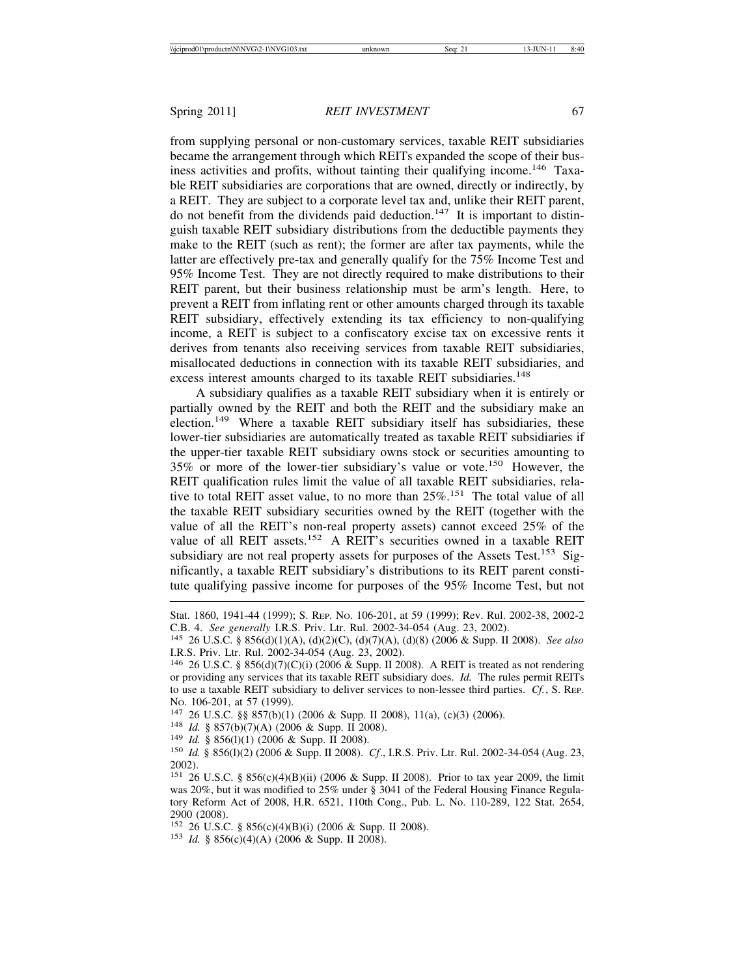from supplying personal or non-customary services, taxable REIT subsidiaries became the arrangement through which REITs expanded the scope of their business activities and profits, without tainting their qualifying income.<sup>146</sup> Taxable REIT subsidiaries are corporations that are owned, directly or indirectly, by a REIT. They are subject to a corporate level tax and, unlike their REIT parent, do not benefit from the dividends paid deduction.<sup>147</sup> It is important to distinguish taxable REIT subsidiary distributions from the deductible payments they make to the REIT (such as rent); the former are after tax payments, while the latter are effectively pre-tax and generally qualify for the 75% Income Test and 95% Income Test. They are not directly required to make distributions to their REIT parent, but their business relationship must be arm's length. Here, to prevent a REIT from inflating rent or other amounts charged through its taxable REIT subsidiary, effectively extending its tax efficiency to non-qualifying income, a REIT is subject to a confiscatory excise tax on excessive rents it derives from tenants also receiving services from taxable REIT subsidiaries, misallocated deductions in connection with its taxable REIT subsidiaries, and excess interest amounts charged to its taxable REIT subsidiaries.<sup>148</sup>

A subsidiary qualifies as a taxable REIT subsidiary when it is entirely or partially owned by the REIT and both the REIT and the subsidiary make an election.<sup>149</sup> Where a taxable REIT subsidiary itself has subsidiaries, these lower-tier subsidiaries are automatically treated as taxable REIT subsidiaries if the upper-tier taxable REIT subsidiary owns stock or securities amounting to 35% or more of the lower-tier subsidiary's value or vote.150 However, the REIT qualification rules limit the value of all taxable REIT subsidiaries, relative to total REIT asset value, to no more than 25%.151 The total value of all the taxable REIT subsidiary securities owned by the REIT (together with the value of all the REIT's non-real property assets) cannot exceed 25% of the value of all REIT assets.<sup>152</sup> A REIT's securities owned in a taxable REIT subsidiary are not real property assets for purposes of the Assets Test.<sup>153</sup> Significantly, a taxable REIT subsidiary's distributions to its REIT parent constitute qualifying passive income for purposes of the 95% Income Test, but not

<sup>152</sup> 26 U.S.C. § 856(c)(4)(B)(i) (2006 & Supp. II 2008). <sup>153</sup> *Id.* § 856(c)(4)(A) (2006 & Supp. II 2008).

Stat. 1860, 1941-44 (1999); S. REP. NO. 106-201, at 59 (1999); Rev. Rul. 2002-38, 2002-2 C.B. 4. *See generally* I.R.S. Priv. Ltr. Rul. 2002-34-054 (Aug. 23, 2002). <sup>145</sup> 26 U.S.C. § 856(d)(1)(A), (d)(2)(C), (d)(7)(A), (d)(8) (2006 & Supp. II 2008). *See also*

I.R.S. Priv. Ltr. Rul. 2002-34-054 (Aug. 23, 2002).

<sup>146</sup> 26 U.S.C. § 856(d)(7)(C)(i) (2006 & Supp. II 2008). A REIT is treated as not rendering or providing any services that its taxable REIT subsidiary does. *Id.* The rules permit REITs to use a taxable REIT subsidiary to deliver services to non-lessee third parties. *Cf.*, S. REP.

No. 106-201, at 57 (1999).<br>
<sup>147</sup> 26 U.S.C. §§ 857(b)(1) (2006 & Supp. II 2008), 11(a), (c)(3) (2006).<br>
<sup>148</sup> Id. § 857(b)(7)(A) (2006 & Supp. II 2008).<br>
<sup>149</sup> Id. § 856(l)(1) (2006 & Supp. II 2008).<br>
<sup>150</sup> Id. § 856(l)(2) 2002).

<sup>151</sup> 26 U.S.C. § 856(c)(4)(B)(ii) (2006 & Supp. II 2008). Prior to tax year 2009, the limit was 20%, but it was modified to 25% under § 3041 of the Federal Housing Finance Regulatory Reform Act of 2008, H.R. 6521, 110th Cong., Pub. L. No. 110-289, 122 Stat. 2654, 2900 (2008).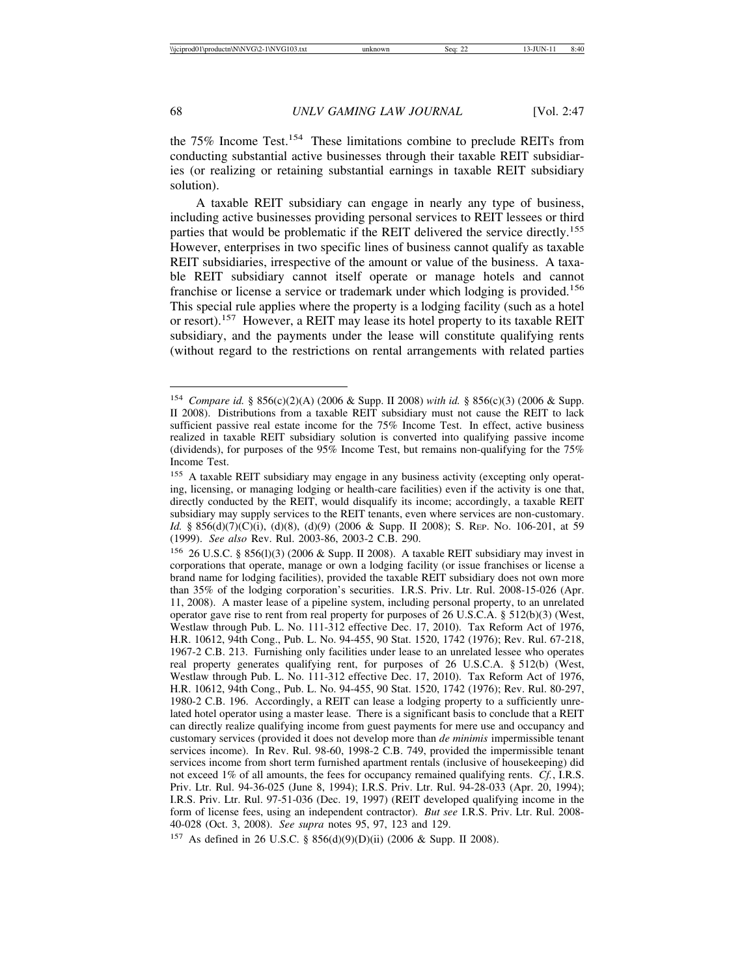the 75% Income Test.154 These limitations combine to preclude REITs from conducting substantial active businesses through their taxable REIT subsidiaries (or realizing or retaining substantial earnings in taxable REIT subsidiary solution).

A taxable REIT subsidiary can engage in nearly any type of business, including active businesses providing personal services to REIT lessees or third parties that would be problematic if the REIT delivered the service directly.<sup>155</sup> However, enterprises in two specific lines of business cannot qualify as taxable REIT subsidiaries, irrespective of the amount or value of the business. A taxable REIT subsidiary cannot itself operate or manage hotels and cannot franchise or license a service or trademark under which lodging is provided.<sup>156</sup> This special rule applies where the property is a lodging facility (such as a hotel or resort).<sup>157</sup> However, a REIT may lease its hotel property to its taxable REIT subsidiary, and the payments under the lease will constitute qualifying rents (without regard to the restrictions on rental arrangements with related parties

<sup>157</sup> As defined in 26 U.S.C. § 856(d)(9)(D)(ii) (2006 & Supp. II 2008).

<sup>154</sup> *Compare id.* § 856(c)(2)(A) (2006 & Supp. II 2008) *with id.* § 856(c)(3) (2006 & Supp. II 2008). Distributions from a taxable REIT subsidiary must not cause the REIT to lack sufficient passive real estate income for the 75% Income Test. In effect, active business realized in taxable REIT subsidiary solution is converted into qualifying passive income (dividends), for purposes of the 95% Income Test, but remains non-qualifying for the 75% Income Test.

<sup>155</sup> A taxable REIT subsidiary may engage in any business activity (excepting only operating, licensing, or managing lodging or health-care facilities) even if the activity is one that, directly conducted by the REIT, would disqualify its income; accordingly, a taxable REIT subsidiary may supply services to the REIT tenants, even where services are non-customary. *Id.* § 856(d)(7)(C)(i), (d)(8), (d)(9) (2006 & Supp. II 2008); S. Rep. No. 106-201, at 59 (1999). *See also* Rev. Rul. 2003-86, 2003-2 C.B. 290.

<sup>156</sup> 26 U.S.C. § 856(l)(3) (2006 & Supp. II 2008). A taxable REIT subsidiary may invest in corporations that operate, manage or own a lodging facility (or issue franchises or license a brand name for lodging facilities), provided the taxable REIT subsidiary does not own more than 35% of the lodging corporation's securities. I.R.S. Priv. Ltr. Rul. 2008-15-026 (Apr. 11, 2008). A master lease of a pipeline system, including personal property, to an unrelated operator gave rise to rent from real property for purposes of 26 U.S.C.A. § 512(b)(3) (West, Westlaw through Pub. L. No. 111-312 effective Dec. 17, 2010). Tax Reform Act of 1976, H.R. 10612, 94th Cong., Pub. L. No. 94-455, 90 Stat. 1520, 1742 (1976); Rev. Rul. 67-218, 1967-2 C.B. 213. Furnishing only facilities under lease to an unrelated lessee who operates real property generates qualifying rent, for purposes of 26 U.S.C.A. § 512(b) (West, Westlaw through Pub. L. No. 111-312 effective Dec. 17, 2010). Tax Reform Act of 1976, H.R. 10612, 94th Cong., Pub. L. No. 94-455, 90 Stat. 1520, 1742 (1976); Rev. Rul. 80-297, 1980-2 C.B. 196. Accordingly, a REIT can lease a lodging property to a sufficiently unrelated hotel operator using a master lease. There is a significant basis to conclude that a REIT can directly realize qualifying income from guest payments for mere use and occupancy and customary services (provided it does not develop more than *de minimis* impermissible tenant services income). In Rev. Rul. 98-60, 1998-2 C.B. 749, provided the impermissible tenant services income from short term furnished apartment rentals (inclusive of housekeeping) did not exceed 1% of all amounts, the fees for occupancy remained qualifying rents. *Cf.*, I.R.S. Priv. Ltr. Rul. 94-36-025 (June 8, 1994); I.R.S. Priv. Ltr. Rul. 94-28-033 (Apr. 20, 1994); I.R.S. Priv. Ltr. Rul. 97-51-036 (Dec. 19, 1997) (REIT developed qualifying income in the form of license fees, using an independent contractor). *But see* I.R.S. Priv. Ltr. Rul. 2008- 40-028 (Oct. 3, 2008). *See supra* notes 95, 97, 123 and 129.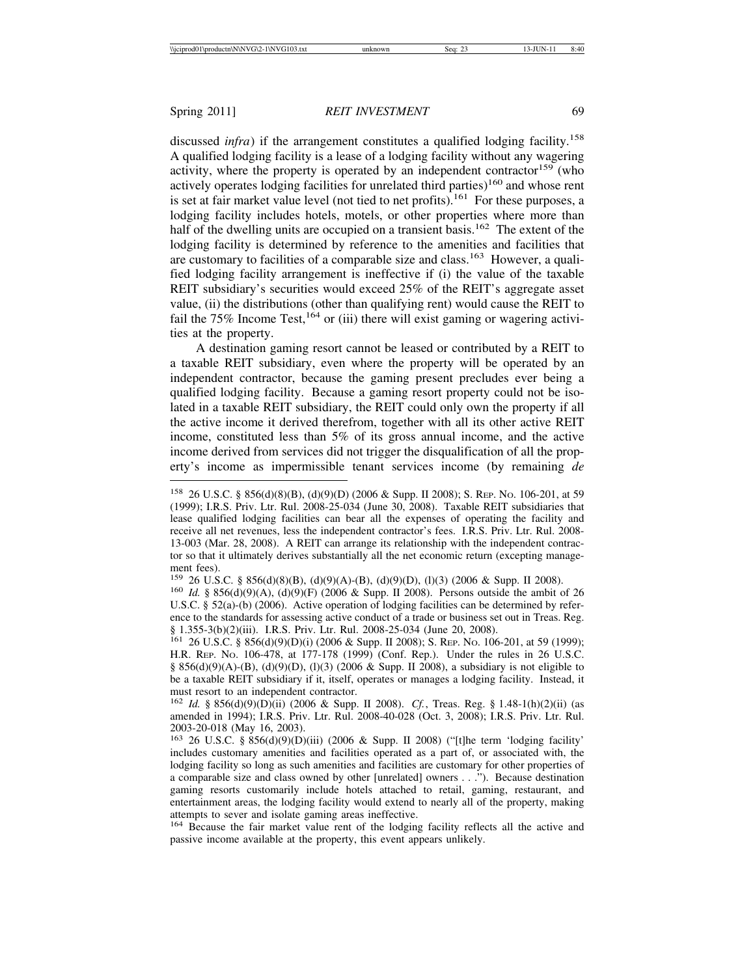discussed *infra*) if the arrangement constitutes a qualified lodging facility.<sup>158</sup> A qualified lodging facility is a lease of a lodging facility without any wagering activity, where the property is operated by an independent contractor<sup>159</sup> (who actively operates lodging facilities for unrelated third parties)<sup>160</sup> and whose rent is set at fair market value level (not tied to net profits).<sup>161</sup> For these purposes, a lodging facility includes hotels, motels, or other properties where more than half of the dwelling units are occupied on a transient basis.<sup>162</sup> The extent of the lodging facility is determined by reference to the amenities and facilities that are customary to facilities of a comparable size and class.<sup>163</sup> However, a qualified lodging facility arrangement is ineffective if (i) the value of the taxable REIT subsidiary's securities would exceed 25% of the REIT's aggregate asset value, (ii) the distributions (other than qualifying rent) would cause the REIT to fail the 75% Income Test,  $164$  or (iii) there will exist gaming or wagering activities at the property.

A destination gaming resort cannot be leased or contributed by a REIT to a taxable REIT subsidiary, even where the property will be operated by an independent contractor, because the gaming present precludes ever being a qualified lodging facility. Because a gaming resort property could not be isolated in a taxable REIT subsidiary, the REIT could only own the property if all the active income it derived therefrom, together with all its other active REIT income, constituted less than 5% of its gross annual income, and the active income derived from services did not trigger the disqualification of all the property's income as impermissible tenant services income (by remaining *de*

<sup>158</sup> 26 U.S.C. § 856(d)(8)(B), (d)(9)(D) (2006 & Supp. II 2008); S. REP. NO. 106-201, at 59 (1999); I.R.S. Priv. Ltr. Rul. 2008-25-034 (June 30, 2008). Taxable REIT subsidiaries that lease qualified lodging facilities can bear all the expenses of operating the facility and receive all net revenues, less the independent contractor's fees. I.R.S. Priv. Ltr. Rul. 2008- 13-003 (Mar. 28, 2008). A REIT can arrange its relationship with the independent contractor so that it ultimately derives substantially all the net economic return (excepting management fees).

<sup>159</sup> 26 U.S.C. § 856(d)(8)(B), (d)(9)(A)-(B), (d)(9)(D), (l)(3) (2006 & Supp. II 2008). <sup>160</sup> *Id.* § 856(d)(9)(A), (d)(9)(F) (2006 & Supp. II 2008). Persons outside the ambit of 26

U.S.C. § 52(a)-(b) (2006). Active operation of lodging facilities can be determined by reference to the standards for assessing active conduct of a trade or business set out in Treas. Reg. § 1.355-3(b)(2)(iii). I.R.S. Priv. Ltr. Rul. 2008-25-034 (June 20, 2008).

<sup>161</sup> 26 U.S.C. § 856(d)(9)(D)(i) (2006 & Supp. II 2008); S. REP. NO. 106-201, at 59 (1999); H.R. REP. NO. 106-478, at 177-178 (1999) (Conf. Rep.). Under the rules in 26 U.S.C. § 856(d)(9)(A)-(B), (d)(9)(D), (l)(3) (2006 & Supp. II 2008), a subsidiary is not eligible to be a taxable REIT subsidiary if it, itself, operates or manages a lodging facility. Instead, it must resort to an independent contractor.

<sup>162</sup> *Id.* § 856(d)(9)(D)(ii) (2006 & Supp. II 2008). *Cf.*, Treas. Reg. § 1.48-1(h)(2)(ii) (as amended in 1994); I.R.S. Priv. Ltr. Rul. 2008-40-028 (Oct. 3, 2008); I.R.S. Priv. Ltr. Rul. 2003-20-018 (May 16, 2003).

<sup>163</sup> 26 U.S.C. § 856(d)(9)(D)(iii) (2006 & Supp. II 2008) ("[t]he term 'lodging facility' includes customary amenities and facilities operated as a part of, or associated with, the lodging facility so long as such amenities and facilities are customary for other properties of a comparable size and class owned by other [unrelated] owners . . ."). Because destination gaming resorts customarily include hotels attached to retail, gaming, restaurant, and entertainment areas, the lodging facility would extend to nearly all of the property, making attempts to sever and isolate gaming areas ineffective.

<sup>&</sup>lt;sup>164</sup> Because the fair market value rent of the lodging facility reflects all the active and passive income available at the property, this event appears unlikely.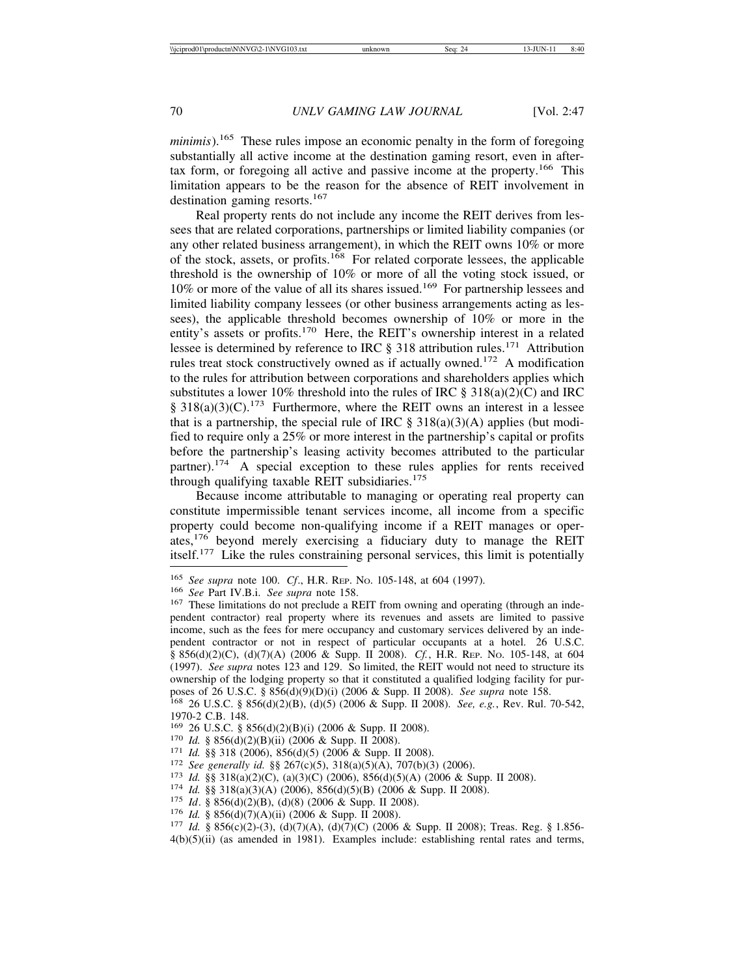*minimis*).<sup>165</sup> These rules impose an economic penalty in the form of foregoing substantially all active income at the destination gaming resort, even in aftertax form, or foregoing all active and passive income at the property.<sup>166</sup> This limitation appears to be the reason for the absence of REIT involvement in destination gaming resorts.<sup>167</sup>

Real property rents do not include any income the REIT derives from lessees that are related corporations, partnerships or limited liability companies (or any other related business arrangement), in which the REIT owns 10% or more of the stock, assets, or profits.168 For related corporate lessees, the applicable threshold is the ownership of 10% or more of all the voting stock issued, or 10% or more of the value of all its shares issued.<sup>169</sup> For partnership lessees and limited liability company lessees (or other business arrangements acting as lessees), the applicable threshold becomes ownership of 10% or more in the entity's assets or profits.<sup>170</sup> Here, the REIT's ownership interest in a related lessee is determined by reference to IRC  $\S$  318 attribution rules.<sup>171</sup> Attribution rules treat stock constructively owned as if actually owned.<sup>172</sup> A modification to the rules for attribution between corporations and shareholders applies which substitutes a lower 10% threshold into the rules of IRC  $\S 318(a)(2)(C)$  and IRC  $§ 318(a)(3)(C).<sup>173</sup>$  Furthermore, where the REIT owns an interest in a lessee that is a partnership, the special rule of IRC  $\S 318(a)(3)(A)$  applies (but modified to require only a 25% or more interest in the partnership's capital or profits before the partnership's leasing activity becomes attributed to the particular partner).<sup>174</sup> A special exception to these rules applies for rents received through qualifying taxable REIT subsidiaries. $175$ 

Because income attributable to managing or operating real property can constitute impermissible tenant services income, all income from a specific property could become non-qualifying income if a REIT manages or operates,176 beyond merely exercising a fiduciary duty to manage the REIT itself.177 Like the rules constraining personal services, this limit is potentially

- 
- 
- 
- <sup>170</sup> *Id.* § 856(d)(2)(B)(ii) (2006 & Supp. II 2008).<br>
<sup>171</sup> *Id.* §§ 318 (2006), 856(d)(5) (2006 & Supp. II 2008).<br>
<sup>172</sup> *See generally id.* §§ 267(c)(5), 318(a)(5)(A), 707(b)(3) (2006).<br>
<sup>173</sup> *Id.* §§ 318(a)(2)(C), (
- 
- 
- 

<sup>&</sup>lt;sup>165</sup> *See supra* note 100. *Cf.*, H.R. REP. No. 105-148, at 604 (1997).<br><sup>166</sup> *See* Part IV.B.i. *See supra* note 158.<br><sup>167</sup> These limitations do not preclude a REIT from owning and operating (through an independent contractor) real property where its revenues and assets are limited to passive income, such as the fees for mere occupancy and customary services delivered by an independent contractor or not in respect of particular occupants at a hotel. 26 U.S.C. § 856(d)(2)(C), (d)(7)(A) (2006 & Supp. II 2008). *Cf.*, H.R. REP. NO. 105-148, at 604 (1997). *See supra* notes 123 and 129. So limited, the REIT would not need to structure its ownership of the lodging property so that it constituted a qualified lodging facility for pur-<br>poses of 26 U.S.C. § 856(d)(9)(D)(i) (2006 & Supp. II 2008). See supra note 158.

<sup>&</sup>lt;sup>168</sup> 26 U.S.C. § 856(d)(2)(B), (d)(5) (2006 & Supp. II 2008). *See, e.g.*, Rev. Rul. 70-542, 1970-2 C.B. 148.<br><sup>169</sup> 26 U.S.C. § 856(d)(2)(B)(i) (2006 & Supp. II 2008).

 $4(b)(5)(ii)$  (as amended in 1981). Examples include: establishing rental rates and terms,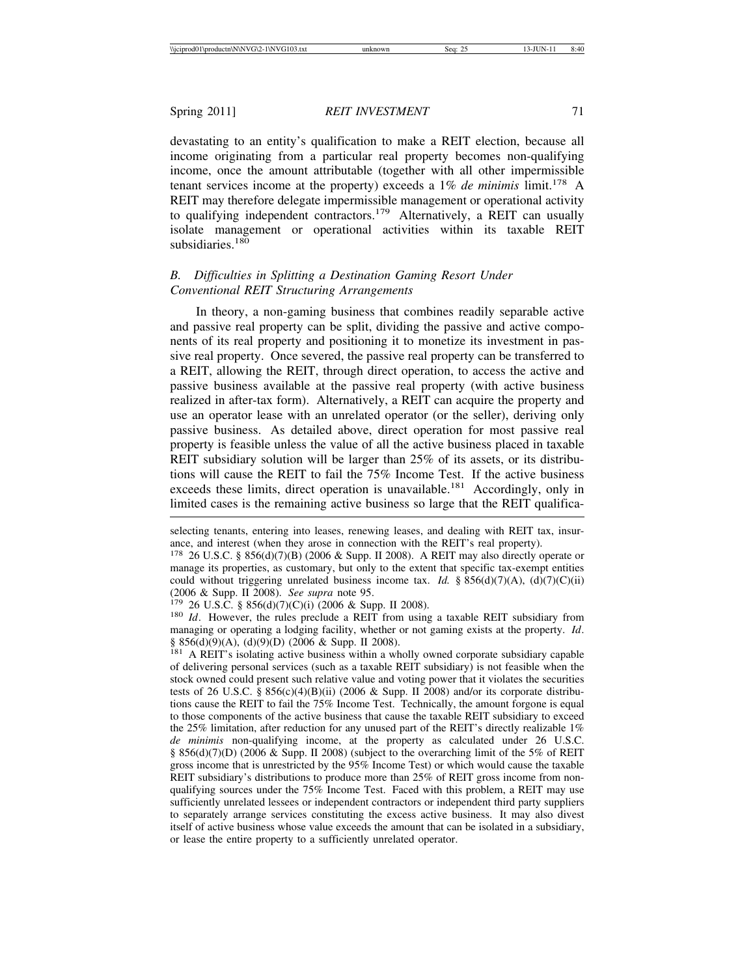devastating to an entity's qualification to make a REIT election, because all income originating from a particular real property becomes non-qualifying income, once the amount attributable (together with all other impermissible tenant services income at the property) exceeds a  $1\%$  *de minimis* limit.<sup>178</sup> A REIT may therefore delegate impermissible management or operational activity to qualifying independent contractors.<sup>179</sup> Alternatively, a REIT can usually isolate management or operational activities within its taxable REIT subsidiaries.<sup>180</sup>

# *B. Difficulties in Splitting a Destination Gaming Resort Under Conventional REIT Structuring Arrangements*

In theory, a non-gaming business that combines readily separable active and passive real property can be split, dividing the passive and active components of its real property and positioning it to monetize its investment in passive real property. Once severed, the passive real property can be transferred to a REIT, allowing the REIT, through direct operation, to access the active and passive business available at the passive real property (with active business realized in after-tax form). Alternatively, a REIT can acquire the property and use an operator lease with an unrelated operator (or the seller), deriving only passive business. As detailed above, direct operation for most passive real property is feasible unless the value of all the active business placed in taxable REIT subsidiary solution will be larger than 25% of its assets, or its distributions will cause the REIT to fail the 75% Income Test. If the active business exceeds these limits, direct operation is unavailable.<sup>181</sup> Accordingly, only in limited cases is the remaining active business so large that the REIT qualifica-

managing or operating a lodging facility, whether or not gaming exists at the property. *Id*. § 856(d)(9)(A), (d)(9)(D) (2006 & Supp. II 2008).

selecting tenants, entering into leases, renewing leases, and dealing with REIT tax, insurance, and interest (when they arose in connection with the REIT's real property).

<sup>178</sup> 26 U.S.C. § 856(d)(7)(B) (2006 & Supp. II 2008). A REIT may also directly operate or manage its properties, as customary, but only to the extent that specific tax-exempt entities could without triggering unrelated business income tax. *Id.* § 856(d)(7)(A), (d)(7)(C)(ii) (2006 & Supp. II 2008). *See supra* note 95.<br><sup>179</sup> 26 U.S.C. § 856(d)(7)(C)(i) (2006 & Supp. II 2008).<br><sup>180</sup> *Id*. However, the rules preclude a REIT from using a taxable REIT subsidiary from

<sup>&</sup>lt;sup>181</sup> A REIT's isolating active business within a wholly owned corporate subsidiary capable of delivering personal services (such as a taxable REIT subsidiary) is not feasible when the stock owned could present such relative value and voting power that it violates the securities tests of 26 U.S.C. § 856(c)(4)(B)(ii) (2006 & Supp. II 2008) and/or its corporate distributions cause the REIT to fail the 75% Income Test. Technically, the amount forgone is equal to those components of the active business that cause the taxable REIT subsidiary to exceed the 25% limitation, after reduction for any unused part of the REIT's directly realizable 1% *de minimis* non-qualifying income, at the property as calculated under 26 U.S.C. § 856(d)(7)(D) (2006 & Supp. II 2008) (subject to the overarching limit of the 5% of REIT gross income that is unrestricted by the 95% Income Test) or which would cause the taxable REIT subsidiary's distributions to produce more than 25% of REIT gross income from nonqualifying sources under the 75% Income Test. Faced with this problem, a REIT may use sufficiently unrelated lessees or independent contractors or independent third party suppliers to separately arrange services constituting the excess active business. It may also divest itself of active business whose value exceeds the amount that can be isolated in a subsidiary, or lease the entire property to a sufficiently unrelated operator.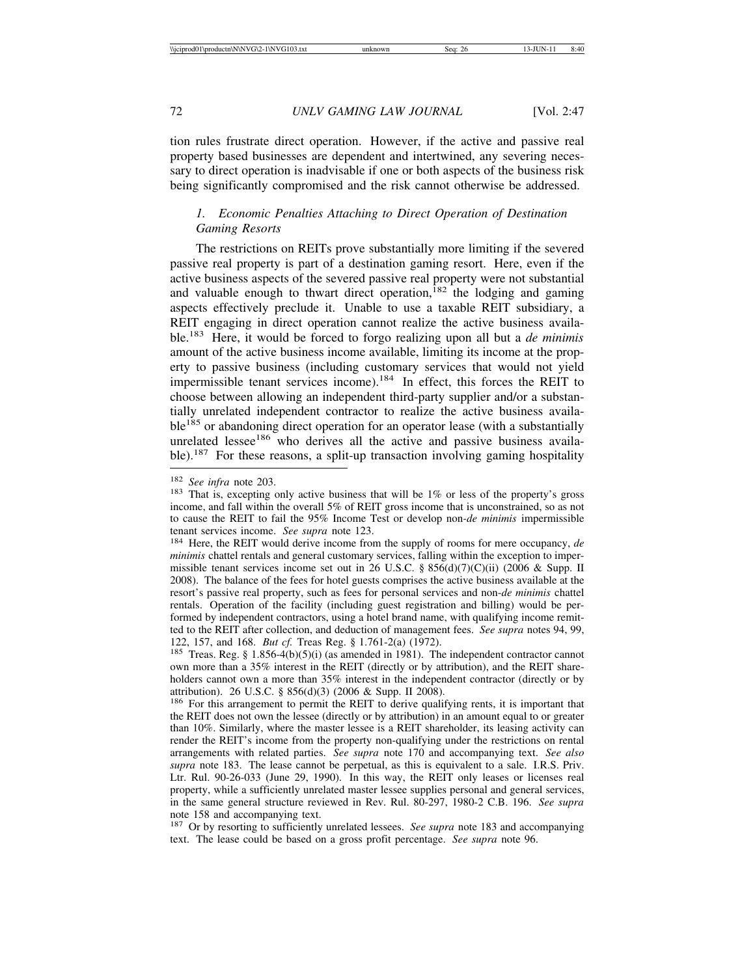tion rules frustrate direct operation. However, if the active and passive real property based businesses are dependent and intertwined, any severing necessary to direct operation is inadvisable if one or both aspects of the business risk being significantly compromised and the risk cannot otherwise be addressed.

# *1. Economic Penalties Attaching to Direct Operation of Destination Gaming Resorts*

The restrictions on REITs prove substantially more limiting if the severed passive real property is part of a destination gaming resort. Here, even if the active business aspects of the severed passive real property were not substantial and valuable enough to thwart direct operation,<sup>182</sup> the lodging and gaming aspects effectively preclude it. Unable to use a taxable REIT subsidiary, a REIT engaging in direct operation cannot realize the active business available.183 Here, it would be forced to forgo realizing upon all but a *de minimis* amount of the active business income available, limiting its income at the property to passive business (including customary services that would not yield impermissible tenant services income).184 In effect, this forces the REIT to choose between allowing an independent third-party supplier and/or a substantially unrelated independent contractor to realize the active business available<sup>185</sup> or abandoning direct operation for an operator lease (with a substantially unrelated lessee<sup>186</sup> who derives all the active and passive business available).<sup>187</sup> For these reasons, a split-up transaction involving gaming hospitality

<sup>&</sup>lt;sup>182</sup> *See infra* note 203.<br><sup>183</sup> That is, excepting only active business that will be 1% or less of the property's gross income, and fall within the overall 5% of REIT gross income that is unconstrained, so as not to cause the REIT to fail the 95% Income Test or develop non*-de minimis* impermissible tenant services income. *See supra* note 123.<br><sup>184</sup> Here, the REIT would derive income from the supply of rooms for mere occupancy, *de* 

*minimis* chattel rentals and general customary services, falling within the exception to impermissible tenant services income set out in 26 U.S.C. § 856(d)(7)(C)(ii) (2006 & Supp. II 2008). The balance of the fees for hotel guests comprises the active business available at the resort's passive real property, such as fees for personal services and non-*de minimis* chattel rentals. Operation of the facility (including guest registration and billing) would be performed by independent contractors, using a hotel brand name, with qualifying income remitted to the REIT after collection, and deduction of management fees. *See supra* notes 94, 99, 122, 157, and 168. *But cf.* Treas Reg. § 1.761-2(a) (1972).<br><sup>185</sup> Treas. Reg. § 1.856-4(b)(5)(i) (as amended in 1981). The independent contractor cannot

own more than a 35% interest in the REIT (directly or by attribution), and the REIT shareholders cannot own a more than 35% interest in the independent contractor (directly or by attribution). 26 U.S.C. § 856(d)(3) (2006 & Supp. II 2008).

<sup>&</sup>lt;sup>186</sup> For this arrangement to permit the REIT to derive qualifying rents, it is important that the REIT does not own the lessee (directly or by attribution) in an amount equal to or greater than 10%. Similarly, where the master lessee is a REIT shareholder, its leasing activity can render the REIT's income from the property non-qualifying under the restrictions on rental arrangements with related parties. *See supra* note 170 and accompanying text. *See also supra* note 183. The lease cannot be perpetual, as this is equivalent to a sale. I.R.S. Priv. Ltr. Rul. 90-26-033 (June 29, 1990). In this way, the REIT only leases or licenses real property, while a sufficiently unrelated master lessee supplies personal and general services, in the same general structure reviewed in Rev. Rul. 80-297, 1980-2 C.B. 196. *See supra* note 158 and accompanying text.

<sup>187</sup> Or by resorting to sufficiently unrelated lessees. *See supra* note 183 and accompanying text. The lease could be based on a gross profit percentage. *See supra* note 96.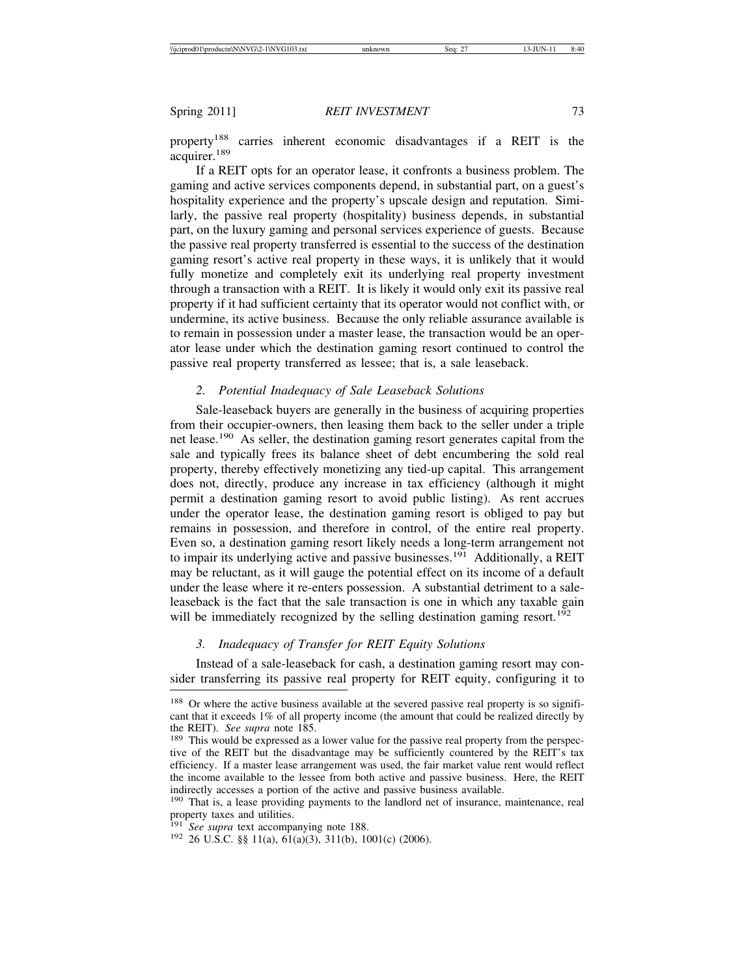property188 carries inherent economic disadvantages if a REIT is the acquirer.<sup>189</sup>

If a REIT opts for an operator lease, it confronts a business problem. The gaming and active services components depend, in substantial part, on a guest's hospitality experience and the property's upscale design and reputation. Similarly, the passive real property (hospitality) business depends, in substantial part, on the luxury gaming and personal services experience of guests. Because the passive real property transferred is essential to the success of the destination gaming resort's active real property in these ways, it is unlikely that it would fully monetize and completely exit its underlying real property investment through a transaction with a REIT. It is likely it would only exit its passive real property if it had sufficient certainty that its operator would not conflict with, or undermine, its active business. Because the only reliable assurance available is to remain in possession under a master lease, the transaction would be an operator lease under which the destination gaming resort continued to control the passive real property transferred as lessee; that is, a sale leaseback.

#### *2. Potential Inadequacy of Sale Leaseback Solutions*

Sale-leaseback buyers are generally in the business of acquiring properties from their occupier-owners, then leasing them back to the seller under a triple net lease.<sup>190</sup> As seller, the destination gaming resort generates capital from the sale and typically frees its balance sheet of debt encumbering the sold real property, thereby effectively monetizing any tied-up capital. This arrangement does not, directly, produce any increase in tax efficiency (although it might permit a destination gaming resort to avoid public listing). As rent accrues under the operator lease, the destination gaming resort is obliged to pay but remains in possession, and therefore in control, of the entire real property. Even so, a destination gaming resort likely needs a long-term arrangement not to impair its underlying active and passive businesses.<sup>191</sup> Additionally, a REIT may be reluctant, as it will gauge the potential effect on its income of a default under the lease where it re-enters possession. A substantial detriment to a saleleaseback is the fact that the sale transaction is one in which any taxable gain will be immediately recognized by the selling destination gaming resort.<sup>192</sup>

#### *3. Inadequacy of Transfer for REIT Equity Solutions*

Instead of a sale-leaseback for cash, a destination gaming resort may consider transferring its passive real property for REIT equity, configuring it to

<sup>&</sup>lt;sup>188</sup> Or where the active business available at the severed passive real property is so significant that it exceeds 1% of all property income (the amount that could be realized directly by the REIT). *See supra* note 185. 189 This would be expressed as a lower value for the passive real property from the perspec-

tive of the REIT but the disadvantage may be sufficiently countered by the REIT's tax efficiency. If a master lease arrangement was used, the fair market value rent would reflect the income available to the lessee from both active and passive business. Here, the REIT indirectly accesses a portion of the active and passive business available.

<sup>190</sup> That is, a lease providing payments to the landlord net of insurance, maintenance, real property taxes and utilities.<br><sup>191</sup> See supra text accompanying note 188.

<sup>&</sup>lt;sup>192</sup> 26 U.S.C. §§ 11(a), 61(a)(3), 311(b), 1001(c) (2006).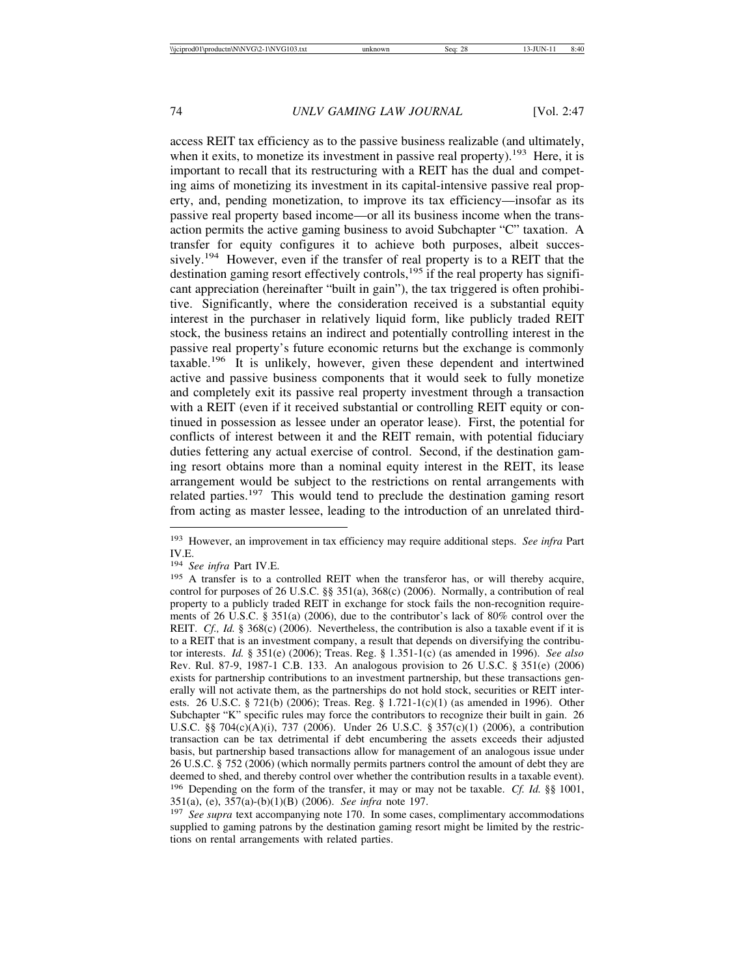access REIT tax efficiency as to the passive business realizable (and ultimately, when it exits, to monetize its investment in passive real property).<sup>193</sup> Here, it is important to recall that its restructuring with a REIT has the dual and competing aims of monetizing its investment in its capital-intensive passive real property, and, pending monetization, to improve its tax efficiency—insofar as its passive real property based income—or all its business income when the transaction permits the active gaming business to avoid Subchapter "C" taxation. A transfer for equity configures it to achieve both purposes, albeit successively.<sup>194</sup> However, even if the transfer of real property is to a REIT that the destination gaming resort effectively controls,<sup>195</sup> if the real property has significant appreciation (hereinafter "built in gain"), the tax triggered is often prohibitive. Significantly, where the consideration received is a substantial equity interest in the purchaser in relatively liquid form, like publicly traded REIT stock, the business retains an indirect and potentially controlling interest in the passive real property's future economic returns but the exchange is commonly taxable.196 It is unlikely, however, given these dependent and intertwined active and passive business components that it would seek to fully monetize and completely exit its passive real property investment through a transaction with a REIT (even if it received substantial or controlling REIT equity or continued in possession as lessee under an operator lease). First, the potential for conflicts of interest between it and the REIT remain, with potential fiduciary duties fettering any actual exercise of control. Second, if the destination gaming resort obtains more than a nominal equity interest in the REIT, its lease arrangement would be subject to the restrictions on rental arrangements with related parties.<sup>197</sup> This would tend to preclude the destination gaming resort from acting as master lessee, leading to the introduction of an unrelated third-

<sup>193</sup> However, an improvement in tax efficiency may require additional steps. *See infra* Part IV.E.

<sup>194</sup> *See infra* Part IV.E.

<sup>&</sup>lt;sup>195</sup> A transfer is to a controlled REIT when the transferor has, or will thereby acquire, control for purposes of 26 U.S.C. §§ 351(a), 368(c) (2006). Normally, a contribution of real property to a publicly traded REIT in exchange for stock fails the non-recognition requirements of 26 U.S.C. § 351(a) (2006), due to the contributor's lack of 80% control over the REIT. *Cf., Id.* § 368(c) (2006). Nevertheless, the contribution is also a taxable event if it is to a REIT that is an investment company, a result that depends on diversifying the contributor interests. *Id.* § 351(e) (2006); Treas. Reg. § 1.351-1(c) (as amended in 1996). *See also* Rev. Rul. 87-9, 1987-1 C.B. 133. An analogous provision to 26 U.S.C. § 351(e) (2006) exists for partnership contributions to an investment partnership, but these transactions generally will not activate them, as the partnerships do not hold stock, securities or REIT interests. 26 U.S.C. § 721(b) (2006); Treas. Reg. § 1.721-1(c)(1) (as amended in 1996). Other Subchapter "K" specific rules may force the contributors to recognize their built in gain. 26 U.S.C. §§ 704(c)(A)(i), 737 (2006). Under 26 U.S.C. § 357(c)(1) (2006), a contribution transaction can be tax detrimental if debt encumbering the assets exceeds their adjusted basis, but partnership based transactions allow for management of an analogous issue under 26 U.S.C. § 752 (2006) (which normally permits partners control the amount of debt they are deemed to shed, and thereby control over whether the contribution results in a taxable event). <sup>196</sup> Depending on the form of the transfer, it may or may not be taxable. *Cf. Id.* §§ 1001, 351(a), (e), 357(a)-(b)(1)(B) (2006). *See infra* note 197.

<sup>&</sup>lt;sup>197</sup> *See supra* text accompanying note 170. In some cases, complimentary accommodations supplied to gaming patrons by the destination gaming resort might be limited by the restrictions on rental arrangements with related parties.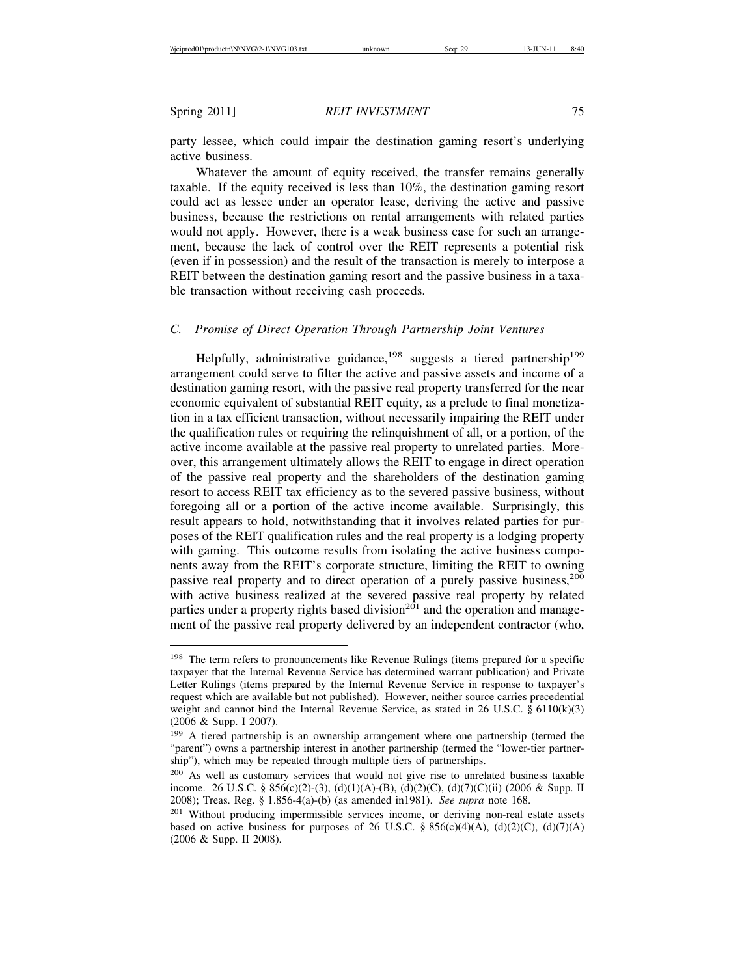party lessee, which could impair the destination gaming resort's underlying active business.

Whatever the amount of equity received, the transfer remains generally taxable. If the equity received is less than 10%, the destination gaming resort could act as lessee under an operator lease, deriving the active and passive business, because the restrictions on rental arrangements with related parties would not apply. However, there is a weak business case for such an arrangement, because the lack of control over the REIT represents a potential risk (even if in possession) and the result of the transaction is merely to interpose a REIT between the destination gaming resort and the passive business in a taxable transaction without receiving cash proceeds.

# *C. Promise of Direct Operation Through Partnership Joint Ventures*

Helpfully, administrative guidance,<sup>198</sup> suggests a tiered partnership<sup>199</sup> arrangement could serve to filter the active and passive assets and income of a destination gaming resort, with the passive real property transferred for the near economic equivalent of substantial REIT equity, as a prelude to final monetization in a tax efficient transaction, without necessarily impairing the REIT under the qualification rules or requiring the relinquishment of all, or a portion, of the active income available at the passive real property to unrelated parties. Moreover, this arrangement ultimately allows the REIT to engage in direct operation of the passive real property and the shareholders of the destination gaming resort to access REIT tax efficiency as to the severed passive business, without foregoing all or a portion of the active income available. Surprisingly, this result appears to hold, notwithstanding that it involves related parties for purposes of the REIT qualification rules and the real property is a lodging property with gaming. This outcome results from isolating the active business components away from the REIT's corporate structure, limiting the REIT to owning passive real property and to direct operation of a purely passive business,<sup>200</sup> with active business realized at the severed passive real property by related parties under a property rights based division<sup>201</sup> and the operation and management of the passive real property delivered by an independent contractor (who,

<sup>&</sup>lt;sup>198</sup> The term refers to pronouncements like Revenue Rulings (items prepared for a specific taxpayer that the Internal Revenue Service has determined warrant publication) and Private Letter Rulings (items prepared by the Internal Revenue Service in response to taxpayer's request which are available but not published). However, neither source carries precedential weight and cannot bind the Internal Revenue Service, as stated in 26 U.S.C. § 6110(k)(3) (2006 & Supp. I 2007).

<sup>&</sup>lt;sup>199</sup> A tiered partnership is an ownership arrangement where one partnership (termed the "parent") owns a partnership interest in another partnership (termed the "lower-tier partnership"), which may be repeated through multiple tiers of partnerships.

<sup>&</sup>lt;sup>200</sup> As well as customary services that would not give rise to unrelated business taxable income. 26 U.S.C. § 856(c)(2)-(3), (d)(1)(A)-(B), (d)(2)(C), (d)(7)(C)(ii) (2006 & Supp. II 2008); Treas. Reg. § 1.856-4(a)-(b) (as amended in1981). *See supra* note 168.

<sup>&</sup>lt;sup>201</sup> Without producing impermissible services income, or deriving non-real estate assets based on active business for purposes of 26 U.S.C. § 856(c)(4)(A), (d)(2)(C), (d)(7)(A) (2006 & Supp. II 2008).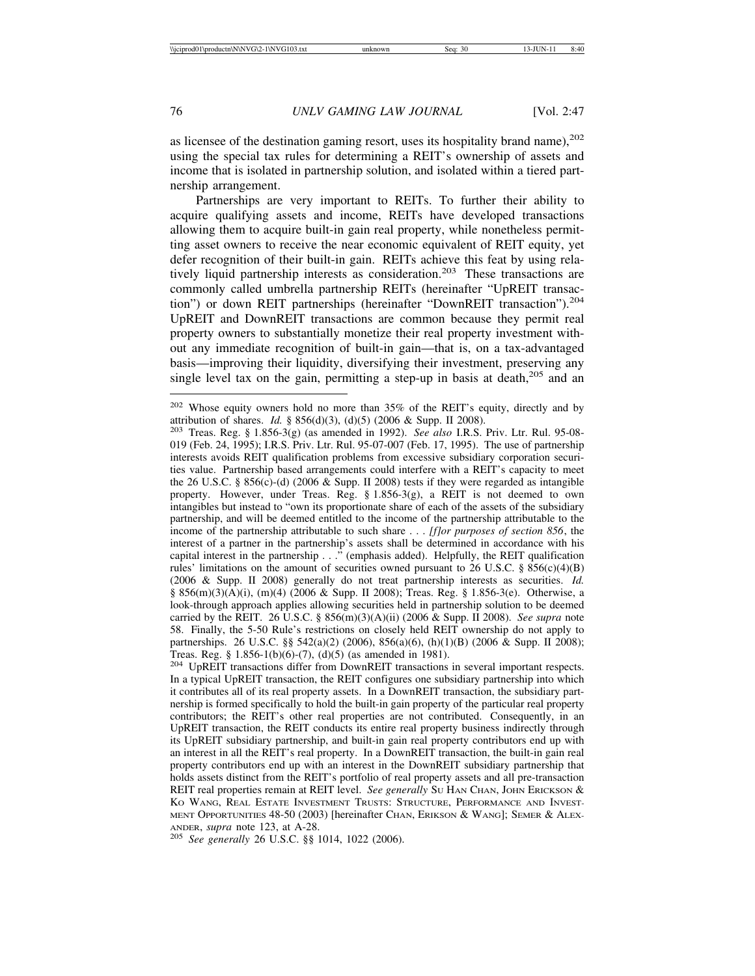as licensee of the destination gaming resort, uses its hospitality brand name),  $202$ using the special tax rules for determining a REIT's ownership of assets and income that is isolated in partnership solution, and isolated within a tiered partnership arrangement.

Partnerships are very important to REITs. To further their ability to acquire qualifying assets and income, REITs have developed transactions allowing them to acquire built-in gain real property, while nonetheless permitting asset owners to receive the near economic equivalent of REIT equity, yet defer recognition of their built-in gain. REITs achieve this feat by using relatively liquid partnership interests as consideration.<sup>203</sup> These transactions are commonly called umbrella partnership REITs (hereinafter "UpREIT transaction") or down REIT partnerships (hereinafter "DownREIT transaction").<sup>204</sup> UpREIT and DownREIT transactions are common because they permit real property owners to substantially monetize their real property investment without any immediate recognition of built-in gain—that is, on a tax-advantaged basis—improving their liquidity, diversifying their investment, preserving any single level tax on the gain, permitting a step-up in basis at death,  $205$  and an

<sup>&</sup>lt;sup>202</sup> Whose equity owners hold no more than 35% of the REIT's equity, directly and by attribution of shares. *Id.* § 856(d)(3), (d)(5) (2006 & Supp. II 2008).

<sup>&</sup>lt;sup>203</sup> Treas. Reg. § 1.856-3(g) (as amended in 1992). *See also* I.R.S. Priv. Ltr. Rul. 95-08-019 (Feb. 24, 1995); I.R.S. Priv. Ltr. Rul. 95-07-007 (Feb. 17, 1995). The use of partnership interests avoids REIT qualification problems from excessive subsidiary corporation securities value. Partnership based arrangements could interfere with a REIT's capacity to meet the 26 U.S.C. § 856(c)-(d) (2006 & Supp. II 2008) tests if they were regarded as intangible property. However, under Treas. Reg. § 1.856-3(g), a REIT is not deemed to own intangibles but instead to "own its proportionate share of each of the assets of the subsidiary partnership, and will be deemed entitled to the income of the partnership attributable to the income of the partnership attributable to such share . . . *[f]or purposes of section 856*, the interest of a partner in the partnership's assets shall be determined in accordance with his capital interest in the partnership . . ." (emphasis added). Helpfully, the REIT qualification rules' limitations on the amount of securities owned pursuant to 26 U.S.C. § 856(c)(4)(B) (2006 & Supp. II 2008) generally do not treat partnership interests as securities. *Id.* § 856(m)(3)(A)(i), (m)(4) (2006 & Supp. II 2008); Treas. Reg. § 1.856-3(e). Otherwise, a look-through approach applies allowing securities held in partnership solution to be deemed carried by the REIT. 26 U.S.C. § 856(m)(3)(A)(ii) (2006 & Supp. II 2008). *See supra* note 58. Finally, the 5-50 Rule's restrictions on closely held REIT ownership do not apply to partnerships. 26 U.S.C. §§ 542(a)(2) (2006), 856(a)(6), (h)(1)(B) (2006 & Supp. II 2008); Treas. Reg. § 1.856-1(b)(6)-(7), (d)(5) (as amended in 1981).

<sup>204</sup> UpREIT transactions differ from DownREIT transactions in several important respects. In a typical UpREIT transaction, the REIT configures one subsidiary partnership into which it contributes all of its real property assets. In a DownREIT transaction, the subsidiary partnership is formed specifically to hold the built-in gain property of the particular real property contributors; the REIT's other real properties are not contributed. Consequently, in an UpREIT transaction, the REIT conducts its entire real property business indirectly through its UpREIT subsidiary partnership, and built-in gain real property contributors end up with an interest in all the REIT's real property. In a DownREIT transaction, the built-in gain real property contributors end up with an interest in the DownREIT subsidiary partnership that holds assets distinct from the REIT's portfolio of real property assets and all pre-transaction REIT real properties remain at REIT level. *See generally* Su HAN CHAN, JOHN ERICKSON & KO WANG, REAL ESTATE INVESTMENT TRUSTS: STRUCTURE, PERFORMANCE AND INVEST-MENT OPPORTUNITIES 48-50 (2003) [hereinafter CHAN, ERIKSON & WANG]; SEMER & ALEX-ANDER, *supra* note 123, at A-28. <sup>205</sup> *See generally* 26 U.S.C. §§ 1014, 1022 (2006).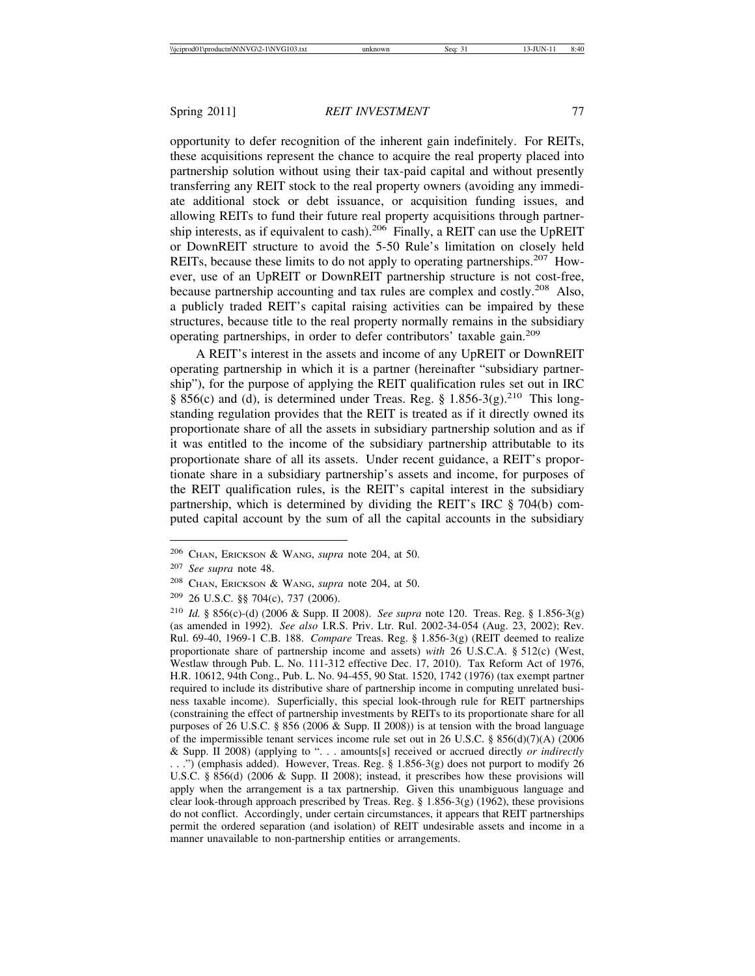opportunity to defer recognition of the inherent gain indefinitely. For REITs, these acquisitions represent the chance to acquire the real property placed into partnership solution without using their tax-paid capital and without presently transferring any REIT stock to the real property owners (avoiding any immediate additional stock or debt issuance, or acquisition funding issues, and allowing REITs to fund their future real property acquisitions through partnership interests, as if equivalent to cash).<sup>206</sup> Finally, a REIT can use the UpREIT or DownREIT structure to avoid the 5-50 Rule's limitation on closely held REITs, because these limits to do not apply to operating partnerships.<sup>207</sup> However, use of an UpREIT or DownREIT partnership structure is not cost-free, because partnership accounting and tax rules are complex and costly.<sup>208</sup> Also, a publicly traded REIT's capital raising activities can be impaired by these structures, because title to the real property normally remains in the subsidiary operating partnerships, in order to defer contributors' taxable gain.<sup>209</sup>

A REIT's interest in the assets and income of any UpREIT or DownREIT operating partnership in which it is a partner (hereinafter "subsidiary partnership"), for the purpose of applying the REIT qualification rules set out in IRC § 856(c) and (d), is determined under Treas. Reg. § 1.856-3(g).<sup>210</sup> This longstanding regulation provides that the REIT is treated as if it directly owned its proportionate share of all the assets in subsidiary partnership solution and as if it was entitled to the income of the subsidiary partnership attributable to its proportionate share of all its assets. Under recent guidance, a REIT's proportionate share in a subsidiary partnership's assets and income, for purposes of the REIT qualification rules, is the REIT's capital interest in the subsidiary partnership, which is determined by dividing the REIT's IRC § 704(b) computed capital account by the sum of all the capital accounts in the subsidiary

<sup>206</sup> CHAN, ERICKSON & WANG, *supra* note 204, at 50.

<sup>207</sup> *See supra* note 48.

<sup>208</sup> CHAN, ERICKSON & WANG, *supra* note 204, at 50.

<sup>209</sup> 26 U.S.C. §§ 704(c), 737 (2006).

<sup>210</sup> *Id.* § 856(c)-(d) (2006 & Supp. II 2008). *See supra* note 120. Treas. Reg. § 1.856-3(g) (as amended in 1992). *See also* I.R.S. Priv. Ltr. Rul. 2002-34-054 (Aug. 23, 2002); Rev. Rul. 69-40, 1969-1 C.B. 188. *Compare* Treas. Reg. § 1.856-3(g) (REIT deemed to realize proportionate share of partnership income and assets) *with* 26 U.S.C.A. § 512(c) (West, Westlaw through Pub. L. No. 111-312 effective Dec. 17, 2010). Tax Reform Act of 1976, H.R. 10612, 94th Cong., Pub. L. No. 94-455, 90 Stat. 1520, 1742 (1976) (tax exempt partner required to include its distributive share of partnership income in computing unrelated business taxable income). Superficially, this special look-through rule for REIT partnerships (constraining the effect of partnership investments by REITs to its proportionate share for all purposes of 26 U.S.C. § 856 (2006 & Supp. II 2008)) is at tension with the broad language of the impermissible tenant services income rule set out in 26 U.S.C. § 856(d)(7)(A) (2006) & Supp. II 2008) (applying to ". . . amounts[s] received or accrued directly *or indirectly* ...") (emphasis added). However, Treas. Reg.  $\S$  1.856-3(g) does not purport to modify 26 U.S.C. § 856(d) (2006 & Supp. II 2008); instead, it prescribes how these provisions will apply when the arrangement is a tax partnership. Given this unambiguous language and clear look-through approach prescribed by Treas. Reg. § 1.856-3(g) (1962), these provisions do not conflict. Accordingly, under certain circumstances, it appears that REIT partnerships permit the ordered separation (and isolation) of REIT undesirable assets and income in a manner unavailable to non-partnership entities or arrangements.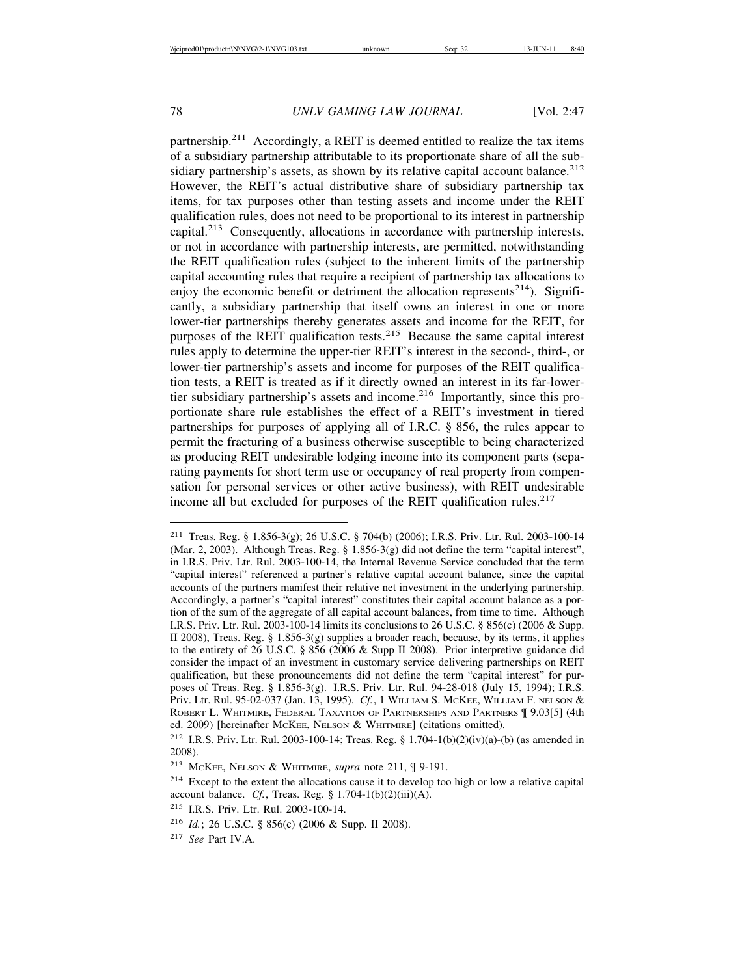partnership.211 Accordingly, a REIT is deemed entitled to realize the tax items of a subsidiary partnership attributable to its proportionate share of all the subsidiary partnership's assets, as shown by its relative capital account balance.<sup>212</sup> However, the REIT's actual distributive share of subsidiary partnership tax items, for tax purposes other than testing assets and income under the REIT qualification rules, does not need to be proportional to its interest in partnership capital.213 Consequently, allocations in accordance with partnership interests, or not in accordance with partnership interests, are permitted, notwithstanding the REIT qualification rules (subject to the inherent limits of the partnership capital accounting rules that require a recipient of partnership tax allocations to enjoy the economic benefit or detriment the allocation represents<sup>214</sup>). Significantly, a subsidiary partnership that itself owns an interest in one or more lower-tier partnerships thereby generates assets and income for the REIT, for purposes of the REIT qualification tests.<sup>215</sup> Because the same capital interest rules apply to determine the upper-tier REIT's interest in the second-, third-, or lower-tier partnership's assets and income for purposes of the REIT qualification tests, a REIT is treated as if it directly owned an interest in its far-lowertier subsidiary partnership's assets and income.<sup>216</sup> Importantly, since this proportionate share rule establishes the effect of a REIT's investment in tiered partnerships for purposes of applying all of I.R.C. § 856, the rules appear to permit the fracturing of a business otherwise susceptible to being characterized as producing REIT undesirable lodging income into its component parts (separating payments for short term use or occupancy of real property from compensation for personal services or other active business), with REIT undesirable income all but excluded for purposes of the REIT qualification rules.<sup>217</sup>

<sup>211</sup> Treas. Reg. § 1.856-3(g); 26 U.S.C. § 704(b) (2006); I.R.S. Priv. Ltr. Rul. 2003-100-14 (Mar. 2, 2003). Although Treas. Reg. § 1.856-3(g) did not define the term "capital interest", in I.R.S. Priv. Ltr. Rul. 2003-100-14, the Internal Revenue Service concluded that the term "capital interest" referenced a partner's relative capital account balance, since the capital accounts of the partners manifest their relative net investment in the underlying partnership. Accordingly, a partner's "capital interest" constitutes their capital account balance as a portion of the sum of the aggregate of all capital account balances, from time to time. Although I.R.S. Priv. Ltr. Rul. 2003-100-14 limits its conclusions to 26 U.S.C. § 856(c) (2006 & Supp. II 2008), Treas. Reg. § 1.856-3(g) supplies a broader reach, because, by its terms, it applies to the entirety of 26 U.S.C. § 856 (2006 & Supp II 2008). Prior interpretive guidance did consider the impact of an investment in customary service delivering partnerships on REIT qualification, but these pronouncements did not define the term "capital interest" for purposes of Treas. Reg. § 1.856-3(g). I.R.S. Priv. Ltr. Rul. 94-28-018 (July 15, 1994); I.R.S. Priv. Ltr. Rul. 95-02-037 (Jan. 13, 1995). *Cf.*, 1 WILLIAM S. MCKEE, WILLIAM F. NELSON & ROBERT L. WHITMIRE, FEDERAL TAXATION OF PARTNERSHIPS AND PARTNERS  $\mathcal T$  9.03[5] (4th ed. 2009) [hereinafter McKEE, NELSON & WHITMIRE] (citations omitted).

<sup>212</sup> I.R.S. Priv. Ltr. Rul. 2003-100-14; Treas. Reg. § 1.704-1(b)(2)(iv)(a)-(b) (as amended in 2008).

<sup>213</sup> MCKEE, NELSON & WHITMIRE, *supra* note 211, ¶ 9-191.

<sup>214</sup> Except to the extent the allocations cause it to develop too high or low a relative capital account balance. *Cf.*, Treas. Reg. § 1.704-1(b)(2)(iii)(A).

<sup>215</sup> I.R.S. Priv. Ltr. Rul. 2003-100-14.

<sup>216</sup> *Id.*; 26 U.S.C. § 856(c) (2006 & Supp. II 2008).

<sup>217</sup> *See* Part IV.A.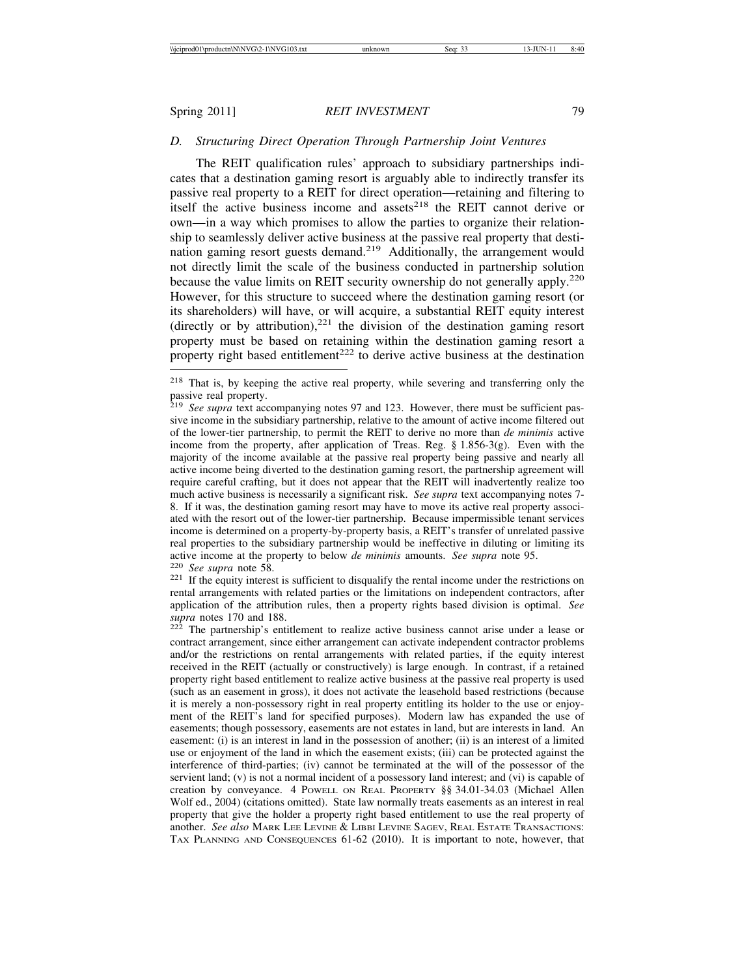# *D. Structuring Direct Operation Through Partnership Joint Ventures*

The REIT qualification rules' approach to subsidiary partnerships indicates that a destination gaming resort is arguably able to indirectly transfer its passive real property to a REIT for direct operation—retaining and filtering to itself the active business income and assets<sup>218</sup> the REIT cannot derive or own—in a way which promises to allow the parties to organize their relationship to seamlessly deliver active business at the passive real property that destination gaming resort guests demand.<sup>219</sup> Additionally, the arrangement would not directly limit the scale of the business conducted in partnership solution because the value limits on REIT security ownership do not generally apply.<sup>220</sup> However, for this structure to succeed where the destination gaming resort (or its shareholders) will have, or will acquire, a substantial REIT equity interest (directly or by attribution),  $221$  the division of the destination gaming resort property must be based on retaining within the destination gaming resort a property right based entitlement<sup>222</sup> to derive active business at the destination

rental arrangements with related parties or the limitations on independent contractors, after application of the attribution rules, then a property rights based division is optimal. *See supra* notes 170 and 188.<br><sup>222</sup> The partnership's entitlement to realize active business cannot arise under a lease or

<sup>218</sup> That is, by keeping the active real property, while severing and transferring only the passive real property.

<sup>219</sup> *See supra* text accompanying notes 97 and 123. However, there must be sufficient passive income in the subsidiary partnership, relative to the amount of active income filtered out of the lower-tier partnership, to permit the REIT to derive no more than *de minimis* active income from the property, after application of Treas. Reg.  $\S$  1.856-3(g). Even with the majority of the income available at the passive real property being passive and nearly all active income being diverted to the destination gaming resort, the partnership agreement will require careful crafting, but it does not appear that the REIT will inadvertently realize too much active business is necessarily a significant risk. *See supra* text accompanying notes 7- 8. If it was, the destination gaming resort may have to move its active real property associated with the resort out of the lower-tier partnership. Because impermissible tenant services income is determined on a property-by-property basis, a REIT's transfer of unrelated passive real properties to the subsidiary partnership would be ineffective in diluting or limiting its active income at the property to below *de minimis* amounts. *See supra* note 95. <sup>220</sup> *See supra* note 58. <sup>221</sup> If the equity interest is sufficient to disqualify the rental income under the restrictions on

contract arrangement, since either arrangement can activate independent contractor problems and/or the restrictions on rental arrangements with related parties, if the equity interest received in the REIT (actually or constructively) is large enough. In contrast, if a retained property right based entitlement to realize active business at the passive real property is used (such as an easement in gross), it does not activate the leasehold based restrictions (because it is merely a non-possessory right in real property entitling its holder to the use or enjoyment of the REIT's land for specified purposes). Modern law has expanded the use of easements; though possessory, easements are not estates in land, but are interests in land. An easement: (i) is an interest in land in the possession of another; (ii) is an interest of a limited use or enjoyment of the land in which the easement exists; (iii) can be protected against the interference of third-parties; (iv) cannot be terminated at the will of the possessor of the servient land; (v) is not a normal incident of a possessory land interest; and (vi) is capable of creation by conveyance. 4 POWELL ON REAL PROPERTY §§ 34.01-34.03 (Michael Allen Wolf ed., 2004) (citations omitted). State law normally treats easements as an interest in real property that give the holder a property right based entitlement to use the real property of another. *See also* MARK LEE LEVINE & LIBBI LEVINE SAGEV, REAL ESTATE TRANSACTIONS: TAX PLANNING AND CONSEQUENCES 61-62 (2010). It is important to note, however, that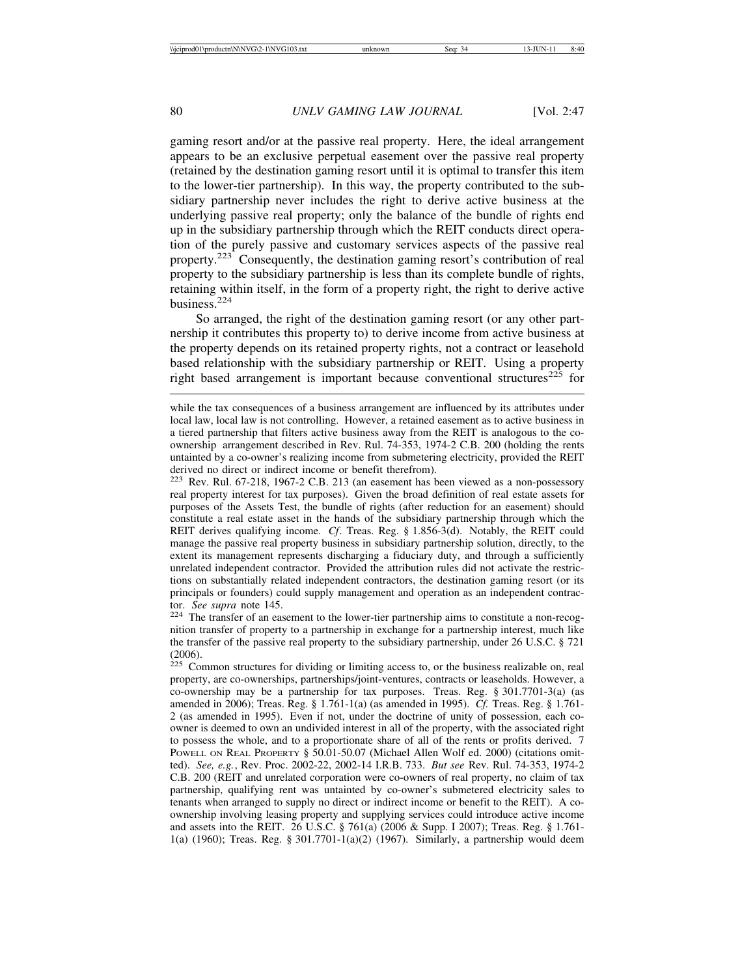gaming resort and/or at the passive real property. Here, the ideal arrangement appears to be an exclusive perpetual easement over the passive real property (retained by the destination gaming resort until it is optimal to transfer this item to the lower-tier partnership). In this way, the property contributed to the subsidiary partnership never includes the right to derive active business at the underlying passive real property; only the balance of the bundle of rights end up in the subsidiary partnership through which the REIT conducts direct operation of the purely passive and customary services aspects of the passive real property.223 Consequently, the destination gaming resort's contribution of real property to the subsidiary partnership is less than its complete bundle of rights, retaining within itself, in the form of a property right, the right to derive active business.<sup>224</sup>

So arranged, the right of the destination gaming resort (or any other partnership it contributes this property to) to derive income from active business at the property depends on its retained property rights, not a contract or leasehold based relationship with the subsidiary partnership or REIT. Using a property right based arrangement is important because conventional structures<sup> $225$ </sup> for

<sup>223</sup> Rev. Rul. 67-218, 1967-2 C.B. 213 (an easement has been viewed as a non-possessory real property interest for tax purposes). Given the broad definition of real estate assets for purposes of the Assets Test, the bundle of rights (after reduction for an easement) should constitute a real estate asset in the hands of the subsidiary partnership through which the REIT derives qualifying income. *Cf*. Treas. Reg. § 1.856-3(d). Notably, the REIT could manage the passive real property business in subsidiary partnership solution, directly, to the extent its management represents discharging a fiduciary duty, and through a sufficiently unrelated independent contractor. Provided the attribution rules did not activate the restrictions on substantially related independent contractors, the destination gaming resort (or its principals or founders) could supply management and operation as an independent contractor. See supra note 145.

<sup>224</sup> The transfer of an easement to the lower-tier partnership aims to constitute a non-recognition transfer of property to a partnership in exchange for a partnership interest, much like the transfer of the passive real property to the subsidiary partnership, under 26 U.S.C. § 721 (2006).

 $225$  Common structures for dividing or limiting access to, or the business realizable on, real property, are co-ownerships, partnerships/joint-ventures, contracts or leaseholds. However, a co-ownership may be a partnership for tax purposes. Treas. Reg. § 301.7701-3(a) (as amended in 2006); Treas. Reg. § 1.761-1(a) (as amended in 1995). *Cf.* Treas. Reg. § 1.761- 2 (as amended in 1995). Even if not, under the doctrine of unity of possession, each coowner is deemed to own an undivided interest in all of the property, with the associated right to possess the whole, and to a proportionate share of all of the rents or profits derived. 7 POWELL ON REAL PROPERTY § 50.01-50.07 (Michael Allen Wolf ed. 2000) (citations omitted). *See, e.g.*, Rev. Proc. 2002-22, 2002-14 I.R.B. 733. *But see* Rev. Rul. 74-353, 1974-2 C.B. 200 (REIT and unrelated corporation were co-owners of real property, no claim of tax partnership, qualifying rent was untainted by co-owner's submetered electricity sales to tenants when arranged to supply no direct or indirect income or benefit to the REIT). A coownership involving leasing property and supplying services could introduce active income and assets into the REIT. 26 U.S.C. § 761(a) (2006 & Supp. I 2007); Treas. Reg. § 1.761- 1(a) (1960); Treas. Reg. § 301.7701-1(a)(2) (1967). Similarly, a partnership would deem

while the tax consequences of a business arrangement are influenced by its attributes under local law, local law is not controlling. However, a retained easement as to active business in a tiered partnership that filters active business away from the REIT is analogous to the coownership arrangement described in Rev. Rul. 74-353, 1974-2 C.B. 200 (holding the rents untainted by a co-owner's realizing income from submetering electricity, provided the REIT derived no direct or indirect income or benefit therefrom).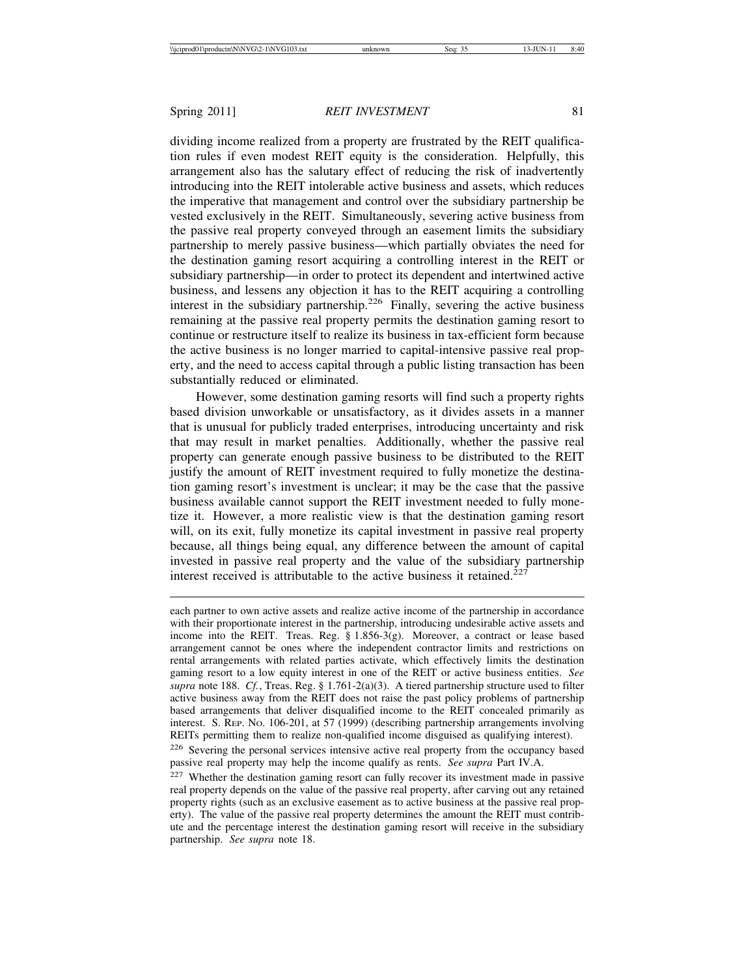dividing income realized from a property are frustrated by the REIT qualification rules if even modest REIT equity is the consideration. Helpfully, this arrangement also has the salutary effect of reducing the risk of inadvertently introducing into the REIT intolerable active business and assets, which reduces the imperative that management and control over the subsidiary partnership be vested exclusively in the REIT. Simultaneously, severing active business from the passive real property conveyed through an easement limits the subsidiary partnership to merely passive business—which partially obviates the need for the destination gaming resort acquiring a controlling interest in the REIT or subsidiary partnership—in order to protect its dependent and intertwined active business, and lessens any objection it has to the REIT acquiring a controlling interest in the subsidiary partnership.<sup>226</sup> Finally, severing the active business remaining at the passive real property permits the destination gaming resort to continue or restructure itself to realize its business in tax-efficient form because the active business is no longer married to capital-intensive passive real property, and the need to access capital through a public listing transaction has been substantially reduced or eliminated.

However, some destination gaming resorts will find such a property rights based division unworkable or unsatisfactory, as it divides assets in a manner that is unusual for publicly traded enterprises, introducing uncertainty and risk that may result in market penalties. Additionally, whether the passive real property can generate enough passive business to be distributed to the REIT justify the amount of REIT investment required to fully monetize the destination gaming resort's investment is unclear; it may be the case that the passive business available cannot support the REIT investment needed to fully monetize it. However, a more realistic view is that the destination gaming resort will, on its exit, fully monetize its capital investment in passive real property because, all things being equal, any difference between the amount of capital invested in passive real property and the value of the subsidiary partnership interest received is attributable to the active business it retained.<sup>227</sup>

each partner to own active assets and realize active income of the partnership in accordance with their proportionate interest in the partnership, introducing undesirable active assets and income into the REIT. Treas. Reg. § 1.856-3(g). Moreover, a contract or lease based arrangement cannot be ones where the independent contractor limits and restrictions on rental arrangements with related parties activate, which effectively limits the destination gaming resort to a low equity interest in one of the REIT or active business entities. *See supra* note 188. *Cf.*, Treas. Reg. § 1.761-2(a)(3). A tiered partnership structure used to filter active business away from the REIT does not raise the past policy problems of partnership based arrangements that deliver disqualified income to the REIT concealed primarily as interest. S. REP. NO. 106-201, at 57 (1999) (describing partnership arrangements involving REITs permitting them to realize non-qualified income disguised as qualifying interest).

<sup>226</sup> Severing the personal services intensive active real property from the occupancy based passive real property may help the income qualify as rents. *See supra* Part IV.A.

<sup>227</sup> Whether the destination gaming resort can fully recover its investment made in passive real property depends on the value of the passive real property, after carving out any retained property rights (such as an exclusive easement as to active business at the passive real property). The value of the passive real property determines the amount the REIT must contribute and the percentage interest the destination gaming resort will receive in the subsidiary partnership. *See supra* note 18.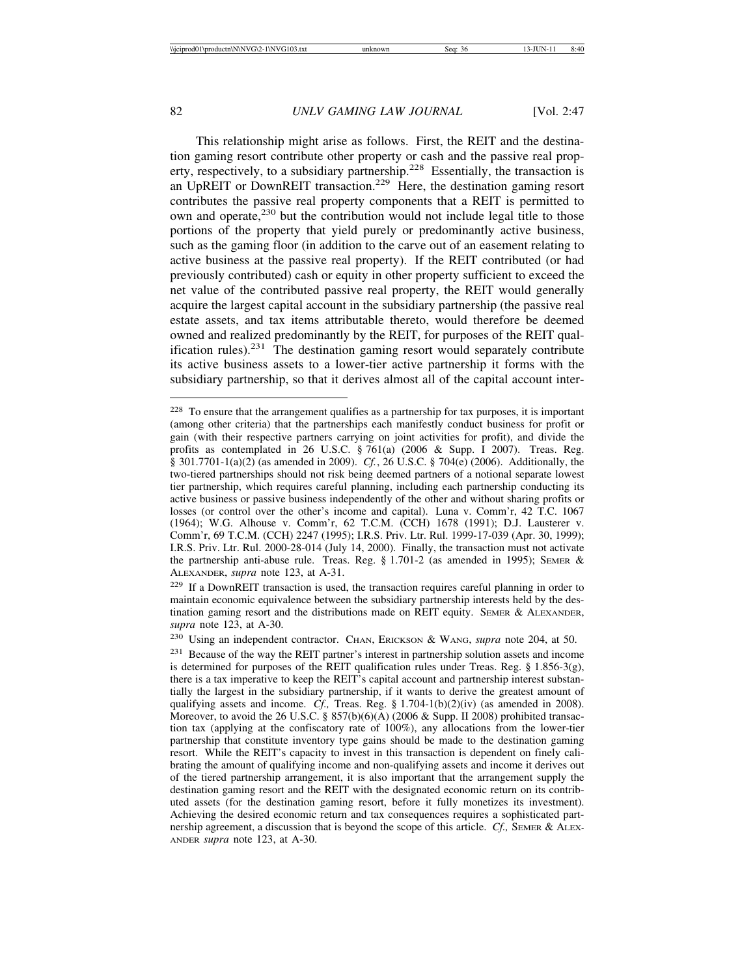This relationship might arise as follows. First, the REIT and the destination gaming resort contribute other property or cash and the passive real property, respectively, to a subsidiary partnership.<sup>228</sup> Essentially, the transaction is an UpREIT or DownREIT transaction.<sup>229</sup> Here, the destination gaming resort contributes the passive real property components that a REIT is permitted to own and operate,<sup>230</sup> but the contribution would not include legal title to those portions of the property that yield purely or predominantly active business, such as the gaming floor (in addition to the carve out of an easement relating to active business at the passive real property). If the REIT contributed (or had previously contributed) cash or equity in other property sufficient to exceed the net value of the contributed passive real property, the REIT would generally acquire the largest capital account in the subsidiary partnership (the passive real estate assets, and tax items attributable thereto, would therefore be deemed owned and realized predominantly by the REIT, for purposes of the REIT qualification rules).<sup>231</sup> The destination gaming resort would separately contribute its active business assets to a lower-tier active partnership it forms with the subsidiary partnership, so that it derives almost all of the capital account inter-

<sup>&</sup>lt;sup>228</sup> To ensure that the arrangement qualifies as a partnership for tax purposes, it is important (among other criteria) that the partnerships each manifestly conduct business for profit or gain (with their respective partners carrying on joint activities for profit), and divide the profits as contemplated in 26 U.S.C. § 761(a) (2006 & Supp. I 2007). Treas. Reg. § 301.7701-1(a)(2) (as amended in 2009). *Cf.*, 26 U.S.C. § 704(e) (2006). Additionally, the two-tiered partnerships should not risk being deemed partners of a notional separate lowest tier partnership, which requires careful planning, including each partnership conducting its active business or passive business independently of the other and without sharing profits or losses (or control over the other's income and capital). Luna v. Comm'r, 42 T.C. 1067 (1964); W.G. Alhouse v. Comm'r, 62 T.C.M. (CCH) 1678 (1991); D.J. Lausterer v. Comm'r, 69 T.C.M. (CCH) 2247 (1995); I.R.S. Priv. Ltr. Rul. 1999-17-039 (Apr. 30, 1999); I.R.S. Priv. Ltr. Rul. 2000-28-014 (July 14, 2000). Finally, the transaction must not activate the partnership anti-abuse rule. Treas. Reg. § 1.701-2 (as amended in 1995); SEMER & ALEXANDER, *supra* note 123, at A-31.

<sup>229</sup> If a DownREIT transaction is used, the transaction requires careful planning in order to maintain economic equivalence between the subsidiary partnership interests held by the destination gaming resort and the distributions made on REIT equity. SEMER & ALEXANDER, *supra* note 123, at A-30.

<sup>230</sup> Using an independent contractor. CHAN, ERICKSON & WANG, *supra* note 204, at 50.

<sup>231</sup> Because of the way the REIT partner's interest in partnership solution assets and income is determined for purposes of the REIT qualification rules under Treas. Reg.  $\S$  1.856-3(g), there is a tax imperative to keep the REIT's capital account and partnership interest substantially the largest in the subsidiary partnership, if it wants to derive the greatest amount of qualifying assets and income. *Cf.,* Treas. Reg. § 1.704-1(b)(2)(iv) (as amended in 2008). Moreover, to avoid the 26 U.S.C. § 857(b)(6)(A) (2006 & Supp. II 2008) prohibited transaction tax (applying at the confiscatory rate of 100%), any allocations from the lower-tier partnership that constitute inventory type gains should be made to the destination gaming resort. While the REIT's capacity to invest in this transaction is dependent on finely calibrating the amount of qualifying income and non-qualifying assets and income it derives out of the tiered partnership arrangement, it is also important that the arrangement supply the destination gaming resort and the REIT with the designated economic return on its contributed assets (for the destination gaming resort, before it fully monetizes its investment). Achieving the desired economic return and tax consequences requires a sophisticated partnership agreement, a discussion that is beyond the scope of this article. *Cf.*, SEMER & ALEX-ANDER *supra* note 123, at A-30.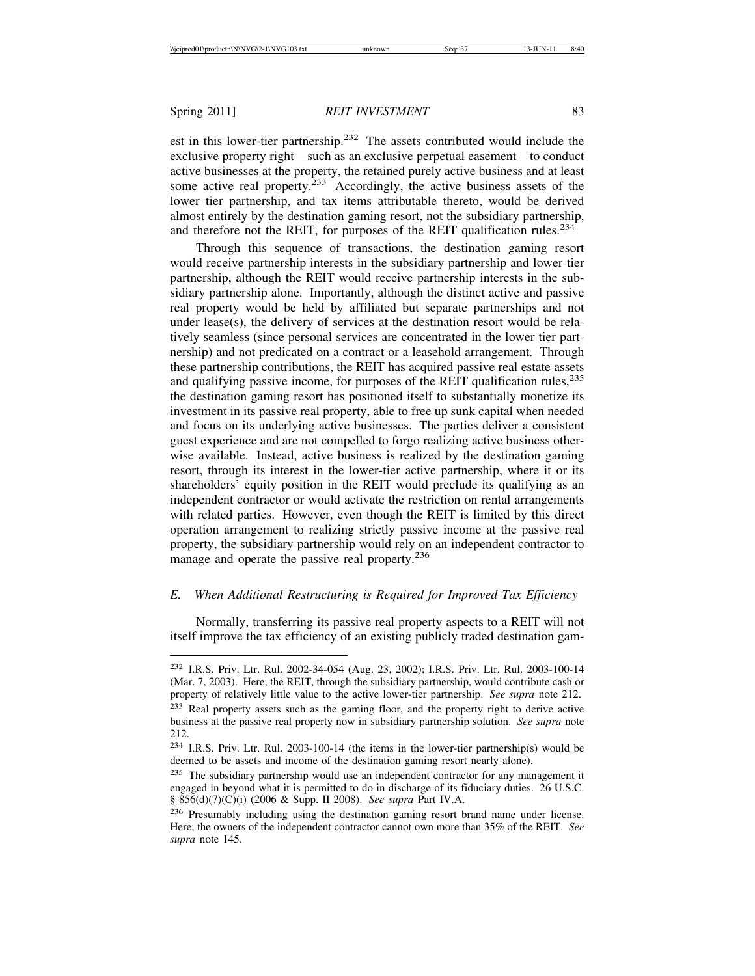est in this lower-tier partnership.<sup>232</sup> The assets contributed would include the exclusive property right—such as an exclusive perpetual easement—to conduct active businesses at the property, the retained purely active business and at least some active real property.<sup>233</sup> Accordingly, the active business assets of the lower tier partnership, and tax items attributable thereto, would be derived almost entirely by the destination gaming resort, not the subsidiary partnership, and therefore not the REIT, for purposes of the REIT qualification rules.<sup>234</sup>

Through this sequence of transactions, the destination gaming resort would receive partnership interests in the subsidiary partnership and lower-tier partnership, although the REIT would receive partnership interests in the subsidiary partnership alone. Importantly, although the distinct active and passive real property would be held by affiliated but separate partnerships and not under lease(s), the delivery of services at the destination resort would be relatively seamless (since personal services are concentrated in the lower tier partnership) and not predicated on a contract or a leasehold arrangement. Through these partnership contributions, the REIT has acquired passive real estate assets and qualifying passive income, for purposes of the REIT qualification rules,  $235$ the destination gaming resort has positioned itself to substantially monetize its investment in its passive real property, able to free up sunk capital when needed and focus on its underlying active businesses. The parties deliver a consistent guest experience and are not compelled to forgo realizing active business otherwise available. Instead, active business is realized by the destination gaming resort, through its interest in the lower-tier active partnership, where it or its shareholders' equity position in the REIT would preclude its qualifying as an independent contractor or would activate the restriction on rental arrangements with related parties. However, even though the REIT is limited by this direct operation arrangement to realizing strictly passive income at the passive real property, the subsidiary partnership would rely on an independent contractor to manage and operate the passive real property.<sup>236</sup>

# *E. When Additional Restructuring is Required for Improved Tax Efficiency*

Normally, transferring its passive real property aspects to a REIT will not itself improve the tax efficiency of an existing publicly traded destination gam-

<sup>232</sup> I.R.S. Priv. Ltr. Rul. 2002-34-054 (Aug. 23, 2002); I.R.S. Priv. Ltr. Rul. 2003-100-14 (Mar. 7, 2003). Here, the REIT, through the subsidiary partnership, would contribute cash or property of relatively little value to the active lower-tier partnership. *See supra* note 212.

<sup>233</sup> Real property assets such as the gaming floor, and the property right to derive active business at the passive real property now in subsidiary partnership solution. *See supra* note 212.

<sup>234</sup> I.R.S. Priv. Ltr. Rul. 2003-100-14 (the items in the lower-tier partnership(s) would be deemed to be assets and income of the destination gaming resort nearly alone).

<sup>&</sup>lt;sup>235</sup> The subsidiary partnership would use an independent contractor for any management it engaged in beyond what it is permitted to do in discharge of its fiduciary duties. 26 U.S.C. § 856(d)(7)(C)(i) (2006 & Supp. II 2008). *See supra* Part IV.A.

<sup>236</sup> Presumably including using the destination gaming resort brand name under license. Here, the owners of the independent contractor cannot own more than 35% of the REIT. *See supra* note 145.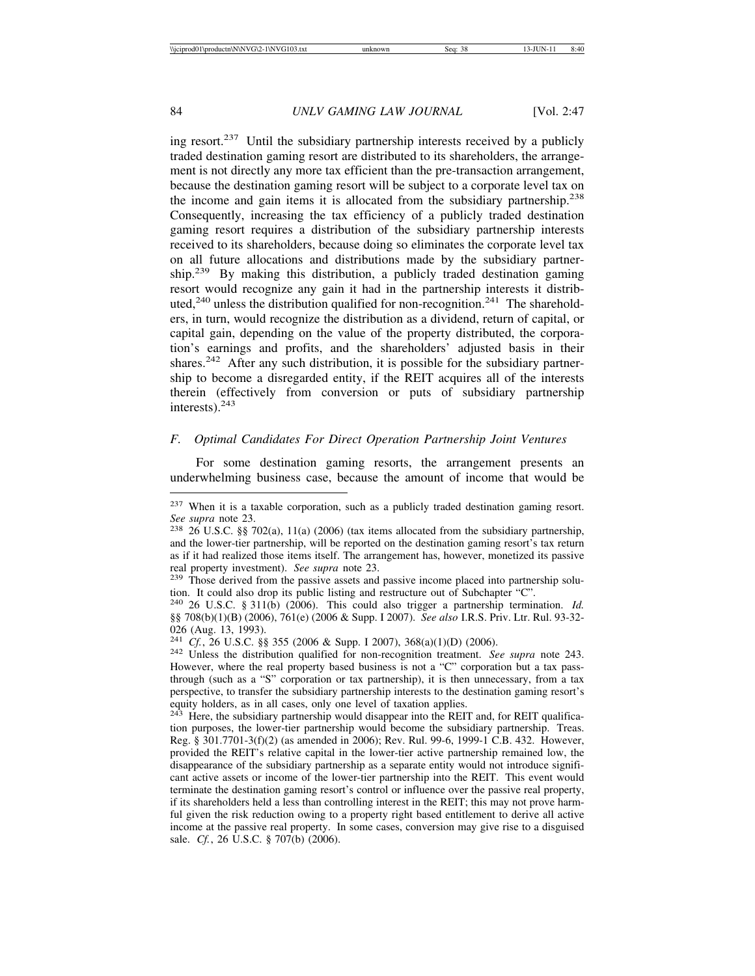ing resort. $237$  Until the subsidiary partnership interests received by a publicly traded destination gaming resort are distributed to its shareholders, the arrangement is not directly any more tax efficient than the pre-transaction arrangement, because the destination gaming resort will be subject to a corporate level tax on the income and gain items it is allocated from the subsidiary partnership.<sup>238</sup> Consequently, increasing the tax efficiency of a publicly traded destination gaming resort requires a distribution of the subsidiary partnership interests received to its shareholders, because doing so eliminates the corporate level tax on all future allocations and distributions made by the subsidiary partnership.<sup>239</sup> By making this distribution, a publicly traded destination gaming resort would recognize any gain it had in the partnership interests it distributed,<sup>240</sup> unless the distribution qualified for non-recognition.<sup>241</sup> The shareholders, in turn, would recognize the distribution as a dividend, return of capital, or capital gain, depending on the value of the property distributed, the corporation's earnings and profits, and the shareholders' adjusted basis in their shares.<sup>242</sup> After any such distribution, it is possible for the subsidiary partnership to become a disregarded entity, if the REIT acquires all of the interests therein (effectively from conversion or puts of subsidiary partnership interests).<sup>243</sup>

# *F. Optimal Candidates For Direct Operation Partnership Joint Ventures*

For some destination gaming resorts, the arrangement presents an underwhelming business case, because the amount of income that would be

<sup>237</sup> When it is a taxable corporation, such as a publicly traded destination gaming resort. *See supra* note 23.<br><sup>238</sup> 26 U.S.C. §§ 702(a), 11(a) (2006) (tax items allocated from the subsidiary partnership,

and the lower-tier partnership, will be reported on the destination gaming resort's tax return as if it had realized those items itself. The arrangement has, however, monetized its passive real property investment). *See supra* note 23.<br><sup>239</sup> Those derived from the passive assets and passive income placed into partnership solu-

tion. It could also drop its public listing and restructure out of Subchapter "C".

<sup>240</sup> 26 U.S.C. § 311(b) (2006). This could also trigger a partnership termination. *Id.* §§ 708(b)(1)(B) (2006), 761(e) (2006 & Supp. I 2007). *See also* I.R.S. Priv. Ltr. Rul. 93-32- 026 (Aug. 13, 1993).<br><sup>241</sup> *Cf.*, 26 U.S.C. §§ 355 (2006 & Supp. I 2007), 368(a)(1)(D) (2006).

<sup>&</sup>lt;sup>242</sup> Unless the distribution qualified for non-recognition treatment. *See supra* note 243. However, where the real property based business is not a "C" corporation but a tax passthrough (such as a "S" corporation or tax partnership), it is then unnecessary, from a tax perspective, to transfer the subsidiary partnership interests to the destination gaming resort's equity holders, as in all cases, only one level of taxation applies.

 $243$  Here, the subsidiary partnership would disappear into the REIT and, for REIT qualification purposes, the lower-tier partnership would become the subsidiary partnership. Treas. Reg. § 301.7701-3(f)(2) (as amended in 2006); Rev. Rul. 99-6, 1999-1 C.B. 432. However, provided the REIT's relative capital in the lower-tier active partnership remained low, the disappearance of the subsidiary partnership as a separate entity would not introduce significant active assets or income of the lower-tier partnership into the REIT. This event would terminate the destination gaming resort's control or influence over the passive real property, if its shareholders held a less than controlling interest in the REIT; this may not prove harmful given the risk reduction owing to a property right based entitlement to derive all active income at the passive real property. In some cases, conversion may give rise to a disguised sale. *Cf.*, 26 U.S.C. § 707(b) (2006).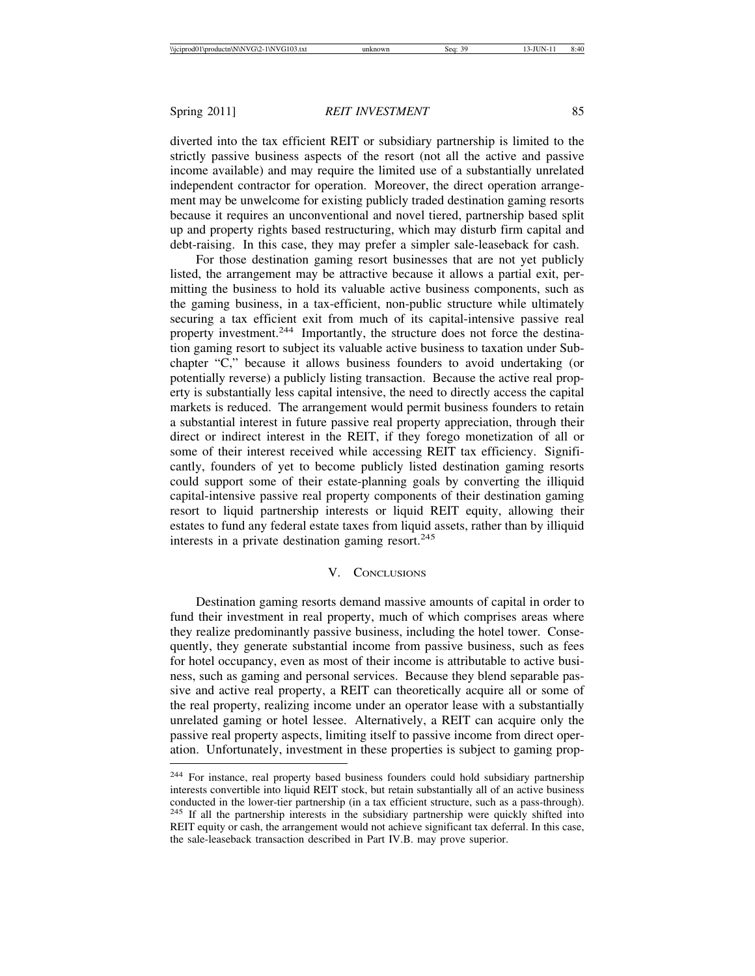diverted into the tax efficient REIT or subsidiary partnership is limited to the strictly passive business aspects of the resort (not all the active and passive income available) and may require the limited use of a substantially unrelated independent contractor for operation. Moreover, the direct operation arrangement may be unwelcome for existing publicly traded destination gaming resorts because it requires an unconventional and novel tiered, partnership based split up and property rights based restructuring, which may disturb firm capital and debt-raising. In this case, they may prefer a simpler sale-leaseback for cash.

For those destination gaming resort businesses that are not yet publicly listed, the arrangement may be attractive because it allows a partial exit, permitting the business to hold its valuable active business components, such as the gaming business, in a tax-efficient, non-public structure while ultimately securing a tax efficient exit from much of its capital-intensive passive real property investment.<sup>244</sup> Importantly, the structure does not force the destination gaming resort to subject its valuable active business to taxation under Subchapter "C," because it allows business founders to avoid undertaking (or potentially reverse) a publicly listing transaction. Because the active real property is substantially less capital intensive, the need to directly access the capital markets is reduced. The arrangement would permit business founders to retain a substantial interest in future passive real property appreciation, through their direct or indirect interest in the REIT, if they forego monetization of all or some of their interest received while accessing REIT tax efficiency. Significantly, founders of yet to become publicly listed destination gaming resorts could support some of their estate-planning goals by converting the illiquid capital-intensive passive real property components of their destination gaming resort to liquid partnership interests or liquid REIT equity, allowing their estates to fund any federal estate taxes from liquid assets, rather than by illiquid interests in a private destination gaming resort. $245$ 

# V. CONCLUSIONS

Destination gaming resorts demand massive amounts of capital in order to fund their investment in real property, much of which comprises areas where they realize predominantly passive business, including the hotel tower. Consequently, they generate substantial income from passive business, such as fees for hotel occupancy, even as most of their income is attributable to active business, such as gaming and personal services. Because they blend separable passive and active real property, a REIT can theoretically acquire all or some of the real property, realizing income under an operator lease with a substantially unrelated gaming or hotel lessee. Alternatively, a REIT can acquire only the passive real property aspects, limiting itself to passive income from direct operation. Unfortunately, investment in these properties is subject to gaming prop-

<sup>244</sup> For instance, real property based business founders could hold subsidiary partnership interests convertible into liquid REIT stock, but retain substantially all of an active business conducted in the lower-tier partnership (in a tax efficient structure, such as a pass-through). <sup>245</sup> If all the partnership interests in the subsidiary partnership were quickly shifted into REIT equity or cash, the arrangement would not achieve significant tax deferral. In this case, the sale-leaseback transaction described in Part IV.B. may prove superior.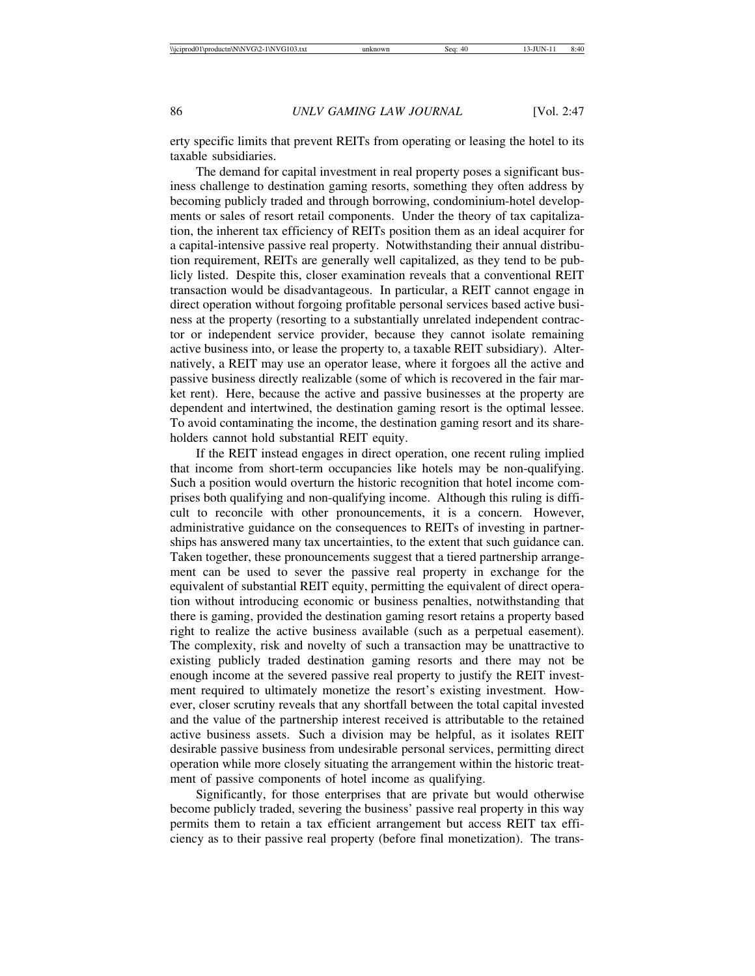erty specific limits that prevent REITs from operating or leasing the hotel to its taxable subsidiaries.

The demand for capital investment in real property poses a significant business challenge to destination gaming resorts, something they often address by becoming publicly traded and through borrowing, condominium-hotel developments or sales of resort retail components. Under the theory of tax capitalization, the inherent tax efficiency of REITs position them as an ideal acquirer for a capital-intensive passive real property. Notwithstanding their annual distribution requirement, REITs are generally well capitalized, as they tend to be publicly listed. Despite this, closer examination reveals that a conventional REIT transaction would be disadvantageous. In particular, a REIT cannot engage in direct operation without forgoing profitable personal services based active business at the property (resorting to a substantially unrelated independent contractor or independent service provider, because they cannot isolate remaining active business into, or lease the property to, a taxable REIT subsidiary). Alternatively, a REIT may use an operator lease, where it forgoes all the active and passive business directly realizable (some of which is recovered in the fair market rent). Here, because the active and passive businesses at the property are dependent and intertwined, the destination gaming resort is the optimal lessee. To avoid contaminating the income, the destination gaming resort and its shareholders cannot hold substantial REIT equity.

If the REIT instead engages in direct operation, one recent ruling implied that income from short-term occupancies like hotels may be non-qualifying. Such a position would overturn the historic recognition that hotel income comprises both qualifying and non-qualifying income. Although this ruling is difficult to reconcile with other pronouncements, it is a concern. However, administrative guidance on the consequences to REITs of investing in partnerships has answered many tax uncertainties, to the extent that such guidance can. Taken together, these pronouncements suggest that a tiered partnership arrangement can be used to sever the passive real property in exchange for the equivalent of substantial REIT equity, permitting the equivalent of direct operation without introducing economic or business penalties, notwithstanding that there is gaming, provided the destination gaming resort retains a property based right to realize the active business available (such as a perpetual easement). The complexity, risk and novelty of such a transaction may be unattractive to existing publicly traded destination gaming resorts and there may not be enough income at the severed passive real property to justify the REIT investment required to ultimately monetize the resort's existing investment. However, closer scrutiny reveals that any shortfall between the total capital invested and the value of the partnership interest received is attributable to the retained active business assets. Such a division may be helpful, as it isolates REIT desirable passive business from undesirable personal services, permitting direct operation while more closely situating the arrangement within the historic treatment of passive components of hotel income as qualifying.

Significantly, for those enterprises that are private but would otherwise become publicly traded, severing the business' passive real property in this way permits them to retain a tax efficient arrangement but access REIT tax efficiency as to their passive real property (before final monetization). The trans-